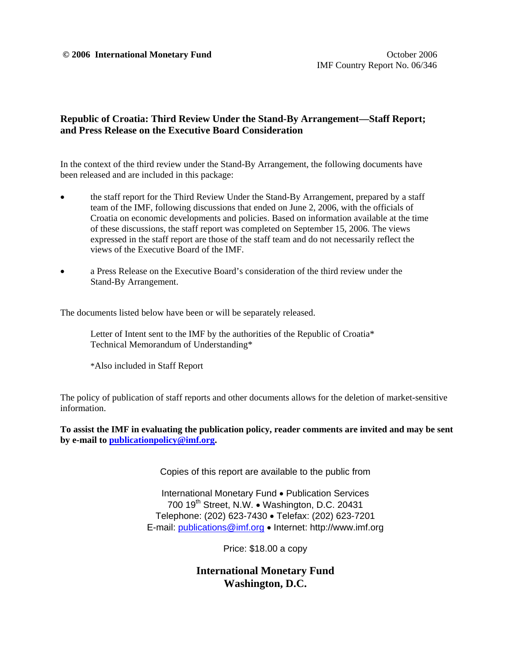#### $\odot$  **2006 International Monetary Fund COLOGIST 2006 October 2006**

## **Republic of Croatia: Third Review Under the Stand-By Arrangement—Staff Report; and Press Release on the Executive Board Consideration**

In the context of the third review under the Stand-By Arrangement, the following documents have been released and are included in this package:

- the staff report for the Third Review Under the Stand-By Arrangement, prepared by a staff team of the IMF, following discussions that ended on June 2, 2006, with the officials of Croatia on economic developments and policies. Based on information available at the time of these discussions, the staff report was completed on September 15, 2006. The views expressed in the staff report are those of the staff team and do not necessarily reflect the views of the Executive Board of the IMF.
- a Press Release on the Executive Board's consideration of the third review under the Stand-By Arrangement.

The documents listed below have been or will be separately released.

 Letter of Intent sent to the IMF by the authorities of the Republic of Croatia\* Technical Memorandum of Understanding\*

\*Also included in Staff Report

The policy of publication of staff reports and other documents allows for the deletion of market-sensitive information.

**To assist the IMF in evaluating the publication policy, reader comments are invited and may be sent by e-mail to publicationpolicy@imf.org.**

Copies of this report are available to the public from

International Monetary Fund • Publication Services 700 19<sup>th</sup> Street, N.W. • Washington, D.C. 20431 Telephone: (202) 623-7430 • Telefax: (202) 623-7201 E-mail: publications@imf.org • Internet: http://www.imf.org

Price: \$18.00 a copy

**International Monetary Fund Washington, D.C.**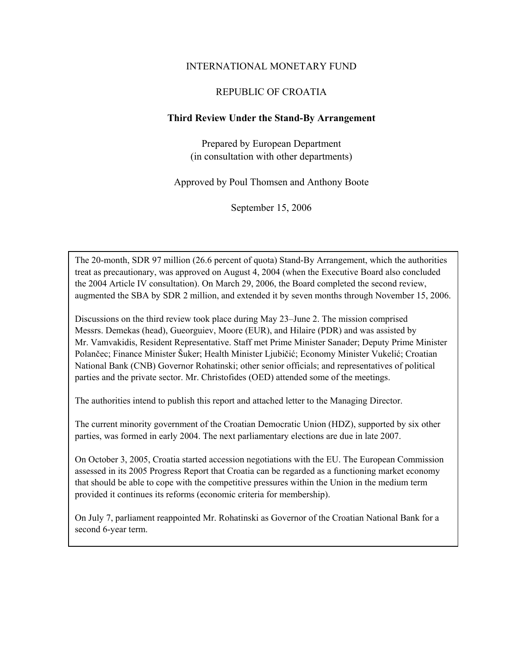### INTERNATIONAL MONETARY FUND

### REPUBLIC OF CROATIA

#### **Third Review Under the Stand-By Arrangement**

Prepared by European Department (in consultation with other departments)

Approved by Poul Thomsen and Anthony Boote

September 15, 2006

The 20-month, SDR 97 million (26.6 percent of quota) Stand-By Arrangement, which the authorities treat as precautionary, was approved on August 4, 2004 (when the Executive Board also concluded the 2004 Article IV consultation). On March 29, 2006, the Board completed the second review, augmented the SBA by SDR 2 million, and extended it by seven months through November 15, 2006.

Discussions on the third review took place during May 23–June 2. The mission comprised Messrs. Demekas (head), Gueorguiev, Moore (EUR), and Hilaire (PDR) and was assisted by Mr. Vamvakidis, Resident Representative. Staff met Prime Minister Sanader; Deputy Prime Minister Polančec; Finance Minister Šuker; Health Minister Ljubičić; Economy Minister Vukelić; Croatian National Bank (CNB) Governor Rohatinski; other senior officials; and representatives of political parties and the private sector. Mr. Christofides (OED) attended some of the meetings.

The authorities intend to publish this report and attached letter to the Managing Director.

The current minority government of the Croatian Democratic Union (HDZ), supported by six other parties, was formed in early 2004. The next parliamentary elections are due in late 2007.

On October 3, 2005, Croatia started accession negotiations with the EU. The European Commission assessed in its 2005 Progress Report that Croatia can be regarded as a functioning market economy that should be able to cope with the competitive pressures within the Union in the medium term provided it continues its reforms (economic criteria for membership).

On July 7, parliament reappointed Mr. Rohatinski as Governor of the Croatian National Bank for a second 6-year term.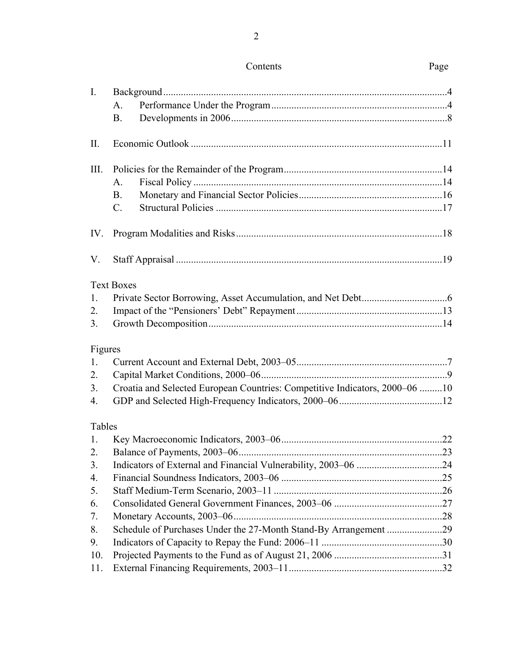| Contents | Page |
|----------|------|
|          |      |

| $\mathbf{I}$ . |                                                                             |  |
|----------------|-----------------------------------------------------------------------------|--|
|                | A.                                                                          |  |
|                | <b>B.</b>                                                                   |  |
| II.            |                                                                             |  |
| III.           |                                                                             |  |
|                | A.                                                                          |  |
|                | <b>B.</b>                                                                   |  |
|                | $C_{\cdot}$                                                                 |  |
| IV.            |                                                                             |  |
| V.             |                                                                             |  |
|                | <b>Text Boxes</b>                                                           |  |
| 1.             |                                                                             |  |
| 2.             |                                                                             |  |
| 3 <sub>1</sub> |                                                                             |  |
| Figures        |                                                                             |  |
| 1.             |                                                                             |  |
| 2.             |                                                                             |  |
| 3.             | Croatia and Selected European Countries: Competitive Indicators, 2000–06 10 |  |
| 4.             |                                                                             |  |
| Tables         |                                                                             |  |
| $\mathbf{1}$ . |                                                                             |  |
| 2.             |                                                                             |  |
| 3.             |                                                                             |  |
| 4.             |                                                                             |  |
| 5.             |                                                                             |  |
| 6.             |                                                                             |  |
| 7.             |                                                                             |  |
| 8.             |                                                                             |  |
| 9.             |                                                                             |  |
| 10.            |                                                                             |  |
| 11.            |                                                                             |  |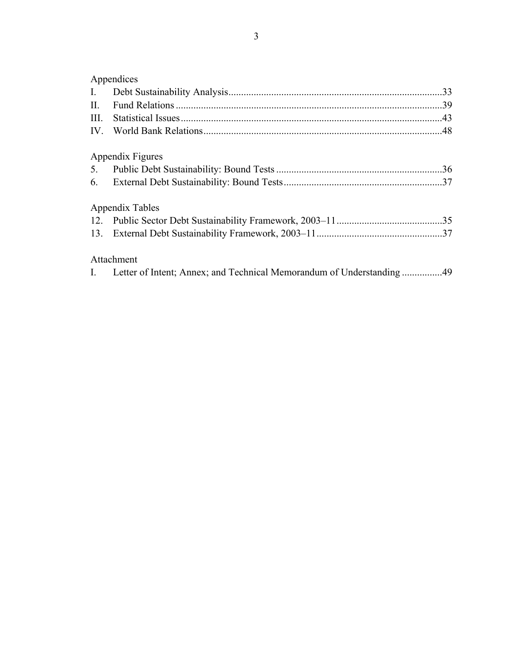# Appendices

| $I_{\cdot}$ |                  |  |
|-------------|------------------|--|
| II.         |                  |  |
| III.        |                  |  |
| IV.         |                  |  |
|             | Appendix Figures |  |
| 5.          |                  |  |
|             |                  |  |
|             | Appendix Tables  |  |
|             |                  |  |
|             |                  |  |
|             | Attachment       |  |
|             |                  |  |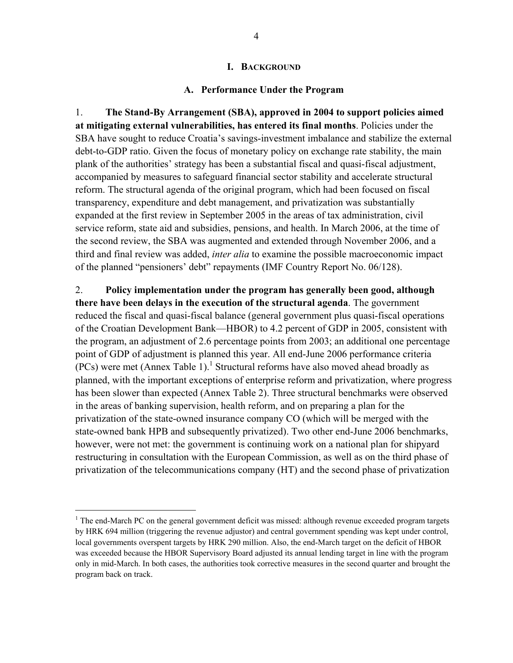#### **I. BACKGROUND**

#### **A. Performance Under the Program**

1. **The Stand-By Arrangement (SBA), approved in 2004 to support policies aimed at mitigating external vulnerabilities, has entered its final months**. Policies under the SBA have sought to reduce Croatia's savings-investment imbalance and stabilize the external debt-to-GDP ratio. Given the focus of monetary policy on exchange rate stability, the main plank of the authorities' strategy has been a substantial fiscal and quasi-fiscal adjustment, accompanied by measures to safeguard financial sector stability and accelerate structural reform. The structural agenda of the original program, which had been focused on fiscal transparency, expenditure and debt management, and privatization was substantially expanded at the first review in September 2005 in the areas of tax administration, civil service reform, state aid and subsidies, pensions, and health. In March 2006, at the time of the second review, the SBA was augmented and extended through November 2006, and a third and final review was added, *inter alia* to examine the possible macroeconomic impact of the planned "pensioners' debt" repayments (IMF Country Report No. 06/128).

2. **Policy implementation under the program has generally been good, although there have been delays in the execution of the structural agenda**. The government reduced the fiscal and quasi-fiscal balance (general government plus quasi-fiscal operations of the Croatian Development Bank—HBOR) to 4.2 percent of GDP in 2005, consistent with the program, an adjustment of 2.6 percentage points from 2003; an additional one percentage point of GDP of adjustment is planned this year. All end-June 2006 performance criteria (PCs) were met (Annex Table 1).<sup>1</sup> Structural reforms have also moved ahead broadly as planned, with the important exceptions of enterprise reform and privatization, where progress has been slower than expected (Annex Table 2). Three structural benchmarks were observed in the areas of banking supervision, health reform, and on preparing a plan for the privatization of the state-owned insurance company CO (which will be merged with the state-owned bank HPB and subsequently privatized). Two other end-June 2006 benchmarks, however, were not met: the government is continuing work on a national plan for shipyard restructuring in consultation with the European Commission, as well as on the third phase of privatization of the telecommunications company (HT) and the second phase of privatization

1

 $1$  The end-March PC on the general government deficit was missed: although revenue exceeded program targets by HRK 694 million (triggering the revenue adjustor) and central government spending was kept under control, local governments overspent targets by HRK 290 million. Also, the end-March target on the deficit of HBOR was exceeded because the HBOR Supervisory Board adjusted its annual lending target in line with the program only in mid-March. In both cases, the authorities took corrective measures in the second quarter and brought the program back on track.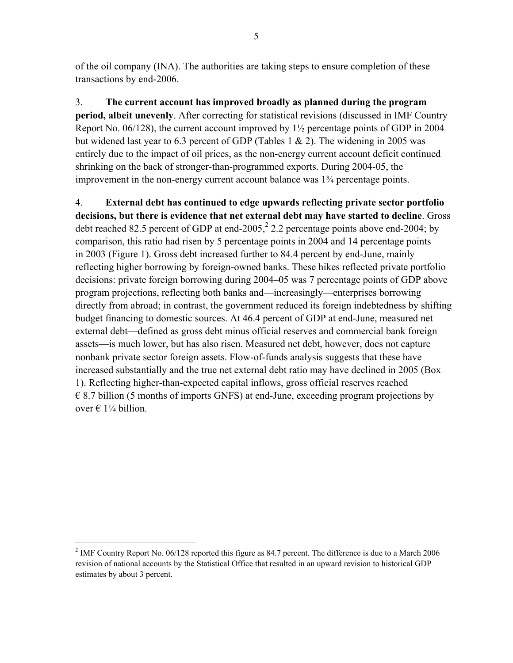of the oil company (INA). The authorities are taking steps to ensure completion of these transactions by end-2006.

3. **The current account has improved broadly as planned during the program period, albeit unevenly**. After correcting for statistical revisions (discussed in IMF Country Report No. 06/128), the current account improved by  $1\frac{1}{2}$  percentage points of GDP in 2004 but widened last year to 6.3 percent of GDP (Tables 1  $\&$  2). The widening in 2005 was entirely due to the impact of oil prices, as the non-energy current account deficit continued shrinking on the back of stronger-than-programmed exports. During 2004-05, the improvement in the non-energy current account balance was 1¾ percentage points.

4. **External debt has continued to edge upwards reflecting private sector portfolio decisions, but there is evidence that net external debt may have started to decline**. Gross debt reached 82.5 percent of GDP at end-2005,<sup>2</sup> 2.2 percentage points above end-2004; by comparison, this ratio had risen by 5 percentage points in 2004 and 14 percentage points in 2003 (Figure 1). Gross debt increased further to 84.4 percent by end-June, mainly reflecting higher borrowing by foreign-owned banks. These hikes reflected private portfolio decisions: private foreign borrowing during 2004–05 was 7 percentage points of GDP above program projections, reflecting both banks and—increasingly—enterprises borrowing directly from abroad; in contrast, the government reduced its foreign indebtedness by shifting budget financing to domestic sources. At 46.4 percent of GDP at end-June, measured net external debt—defined as gross debt minus official reserves and commercial bank foreign assets—is much lower, but has also risen. Measured net debt, however, does not capture nonbank private sector foreign assets. Flow-of-funds analysis suggests that these have increased substantially and the true net external debt ratio may have declined in 2005 (Box 1). Reflecting higher-than-expected capital inflows, gross official reserves reached  $\epsilon$  8.7 billion (5 months of imports GNFS) at end-June, exceeding program projections by over €  $1\frac{1}{4}$  billion.

1

<sup>&</sup>lt;sup>2</sup> IMF Country Report No. 06/128 reported this figure as 84.7 percent. The difference is due to a March 2006 revision of national accounts by the Statistical Office that resulted in an upward revision to historical GDP estimates by about 3 percent.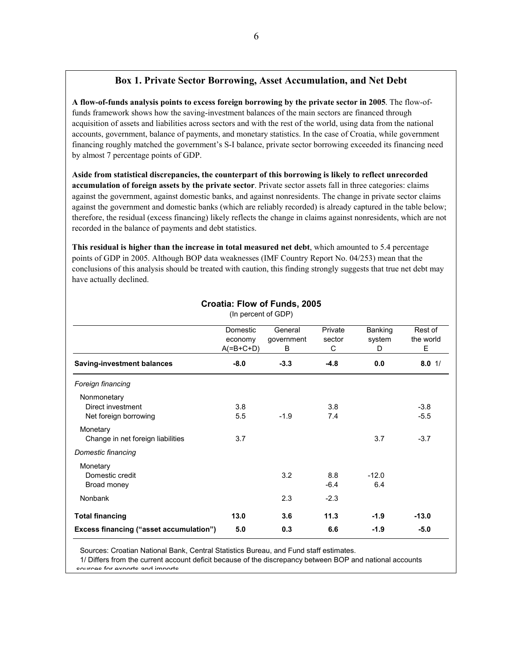## **Box 1. Private Sector Borrowing, Asset Accumulation, and Net Debt**

**A flow-of-funds analysis points to excess foreign borrowing by the private sector in 2005**. The flow-offunds framework shows how the saving-investment balances of the main sectors are financed through acquisition of assets and liabilities across sectors and with the rest of the world, using data from the national accounts, government, balance of payments, and monetary statistics. In the case of Croatia, while government financing roughly matched the government's S-I balance, private sector borrowing exceeded its financing need by almost 7 percentage points of GDP.

**Aside from statistical discrepancies, the counterpart of this borrowing is likely to reflect unrecorded accumulation of foreign assets by the private sector**. Private sector assets fall in three categories: claims against the government, against domestic banks, and against nonresidents. The change in private sector claims against the government and domestic banks (which are reliably recorded) is already captured in the table below; therefore, the residual (excess financing) likely reflects the change in claims against nonresidents, which are not recorded in the balance of payments and debt statistics.

**This residual is higher than the increase in total measured net debt**, which amounted to 5.4 percentage points of GDP in 2005. Although BOP data weaknesses (IMF Country Report No. 04/253) mean that the conclusions of this analysis should be treated with caution, this finding strongly suggests that true net debt may have actually declined.

|                                                           | Domestic<br>economy<br>$A(=B+C+D)$ | General<br>government<br>B | Private<br>sector<br>C | Banking<br>system<br>D | Rest of<br>the world<br>Ε |
|-----------------------------------------------------------|------------------------------------|----------------------------|------------------------|------------------------|---------------------------|
| <b>Saving-investment balances</b>                         | $-8.0$                             | $-3.3$                     | $-4.8$                 | 0.0                    | $8.0$ 1/                  |
| Foreign financing                                         |                                    |                            |                        |                        |                           |
| Nonmonetary<br>Direct investment<br>Net foreign borrowing | 3.8<br>5.5                         | $-1.9$                     | 3.8<br>7.4             |                        | $-3.8$<br>$-5.5$          |
| Monetary<br>Change in net foreign liabilities             | 3.7                                |                            |                        | 3.7                    | $-3.7$                    |
| Domestic financing                                        |                                    |                            |                        |                        |                           |
| Monetary<br>Domestic credit<br>Broad money                |                                    | 3.2                        | 8.8<br>$-6.4$          | $-12.0$<br>6.4         |                           |
| <b>Nonbank</b>                                            |                                    | 2.3                        | $-2.3$                 |                        |                           |
| <b>Total financing</b>                                    | 13.0                               | 3.6                        | 11.3                   | $-1.9$                 | $-13.0$                   |
| <b>Excess financing ("asset accumulation")</b>            | 5.0                                | 0.3                        | 6.6                    | $-1.9$                 | $-5.0$                    |

**Croatia: Flow of Funds, 2005** (In percent of GDP)

Sources: Croatian National Bank, Central Statistics Bureau, and Fund staff estimates.

1/ Differs from the current account deficit because of the discrepancy between BOP and national accounts sources for exports and imports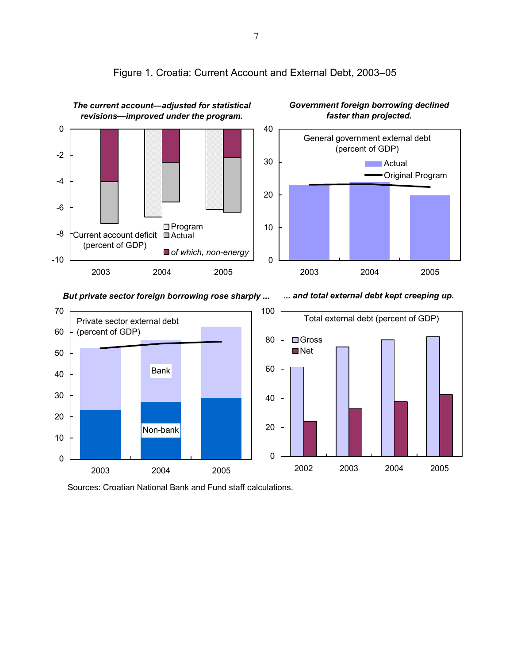

# Figure 1. Croatia: Current Account and External Debt, 2003–05

*But private sector foreign borrowing rose sharply ...*

*... and total external debt kept creeping up.*



Sources: Croatian National Bank and Fund staff calculations.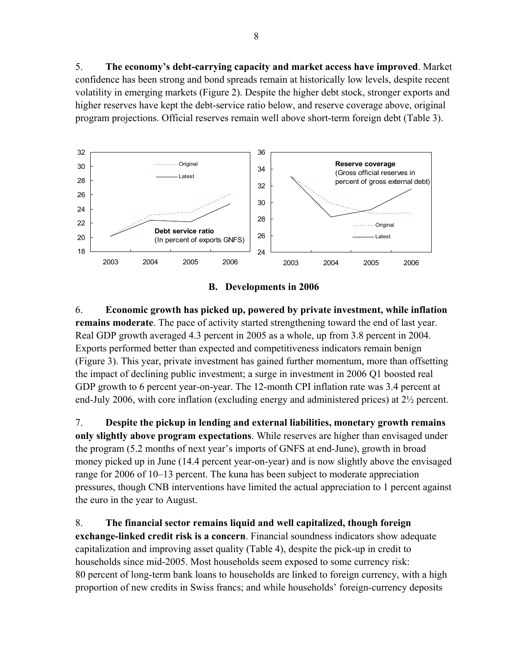5. **The economy's debt-carrying capacity and market access have improved**. Market confidence has been strong and bond spreads remain at historically low levels, despite recent volatility in emerging markets (Figure 2). Despite the higher debt stock, stronger exports and higher reserves have kept the debt-service ratio below, and reserve coverage above, original program projections. Official reserves remain well above short-term foreign debt (Table 3).





6. **Economic growth has picked up, powered by private investment, while inflation remains moderate**. The pace of activity started strengthening toward the end of last year. Real GDP growth averaged 4.3 percent in 2005 as a whole, up from 3.8 percent in 2004. Exports performed better than expected and competitiveness indicators remain benign (Figure 3). This year, private investment has gained further momentum, more than offsetting the impact of declining public investment; a surge in investment in 2006 Q1 boosted real GDP growth to 6 percent year-on-year. The 12-month CPI inflation rate was 3.4 percent at end-July 2006, with core inflation (excluding energy and administered prices) at 2½ percent.

7. **Despite the pickup in lending and external liabilities, monetary growth remains only slightly above program expectations**. While reserves are higher than envisaged under the program (5.2 months of next year's imports of GNFS at end-June), growth in broad money picked up in June (14.4 percent year-on-year) and is now slightly above the envisaged range for 2006 of 10–13 percent. The kuna has been subject to moderate appreciation pressures, though CNB interventions have limited the actual appreciation to 1 percent against the euro in the year to August.

8. **The financial sector remains liquid and well capitalized, though foreign exchange-linked credit risk is a concern**. Financial soundness indicators show adequate capitalization and improving asset quality (Table 4), despite the pick-up in credit to households since mid-2005. Most households seem exposed to some currency risk: 80 percent of long-term bank loans to households are linked to foreign currency, with a high proportion of new credits in Swiss francs; and while households' foreign-currency deposits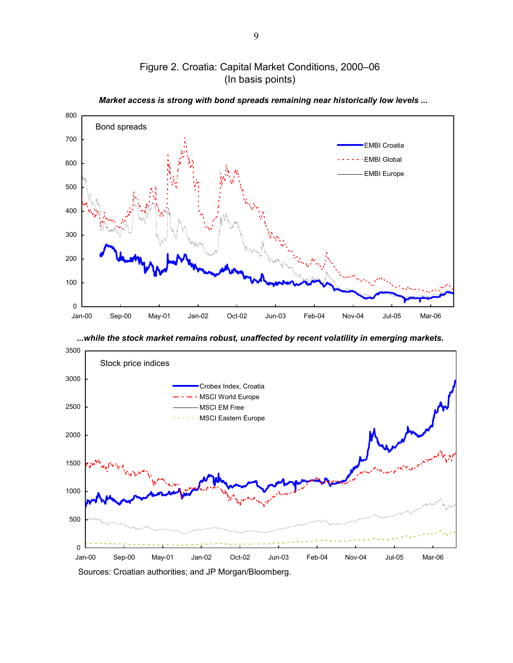

# Figure 2. Croatia: Capital Market Conditions, 2000–06 (In basis points)

*...while the stock market remains robust, unaffected by recent volatility in emerging markets.*



9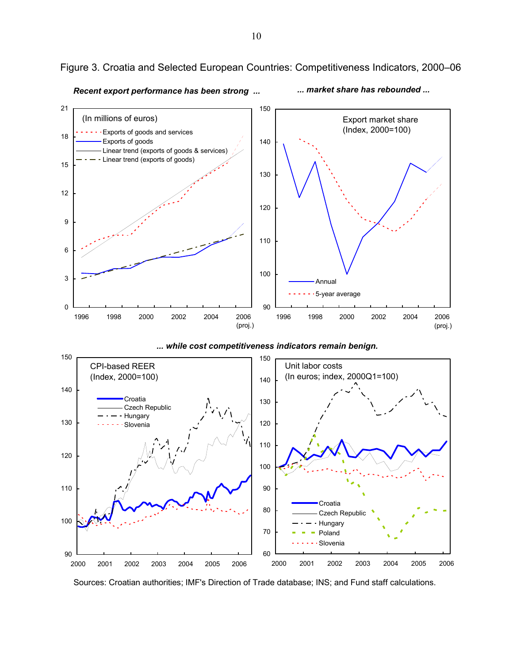

Figure 3. Croatia and Selected European Countries: Competitiveness Indicators, 2000–06

*Recent export performance has been strong ... ... market share has rebounded ...*



2000 2001 2002 2003 2004 2005 2006

90

Sources: Croatian authorities; IMF's Direction of Trade database; INS; and Fund staff calculations.

60

2000 2001 2002 2003 2004 2005 2006

Slovenia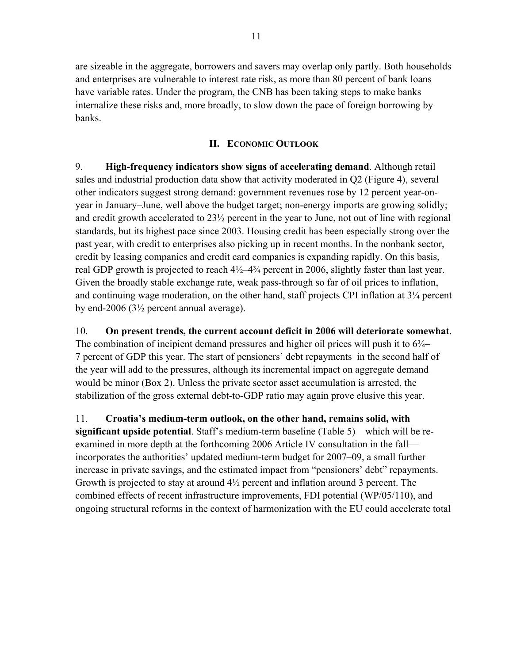are sizeable in the aggregate, borrowers and savers may overlap only partly. Both households and enterprises are vulnerable to interest rate risk, as more than 80 percent of bank loans have variable rates. Under the program, the CNB has been taking steps to make banks internalize these risks and, more broadly, to slow down the pace of foreign borrowing by banks.

### **II. ECONOMIC OUTLOOK**

9. **High-frequency indicators show signs of accelerating demand**. Although retail sales and industrial production data show that activity moderated in Q2 (Figure 4), several other indicators suggest strong demand: government revenues rose by 12 percent year-onyear in January–June, well above the budget target; non-energy imports are growing solidly; and credit growth accelerated to 23½ percent in the year to June, not out of line with regional standards, but its highest pace since 2003. Housing credit has been especially strong over the past year, with credit to enterprises also picking up in recent months. In the nonbank sector, credit by leasing companies and credit card companies is expanding rapidly. On this basis, real GDP growth is projected to reach  $4\frac{1}{2}$ – $4\frac{3}{4}$  percent in 2006, slightly faster than last year. Given the broadly stable exchange rate, weak pass-through so far of oil prices to inflation, and continuing wage moderation, on the other hand, staff projects CPI inflation at 3¼ percent by end-2006 (3½ percent annual average).

10. **On present trends, the current account deficit in 2006 will deteriorate somewhat**. The combination of incipient demand pressures and higher oil prices will push it to  $6\frac{3}{4}$ 7 percent of GDP this year. The start of pensioners' debt repayments in the second half of the year will add to the pressures, although its incremental impact on aggregate demand would be minor (Box 2). Unless the private sector asset accumulation is arrested, the stabilization of the gross external debt-to-GDP ratio may again prove elusive this year.

11. **Croatia's medium-term outlook, on the other hand, remains solid, with significant upside potential**. Staff's medium-term baseline (Table 5)—which will be reexamined in more depth at the forthcoming 2006 Article IV consultation in the fall incorporates the authorities' updated medium-term budget for 2007–09, a small further increase in private savings, and the estimated impact from "pensioners' debt" repayments. Growth is projected to stay at around  $4\frac{1}{2}$  percent and inflation around 3 percent. The combined effects of recent infrastructure improvements, FDI potential (WP/05/110), and ongoing structural reforms in the context of harmonization with the EU could accelerate total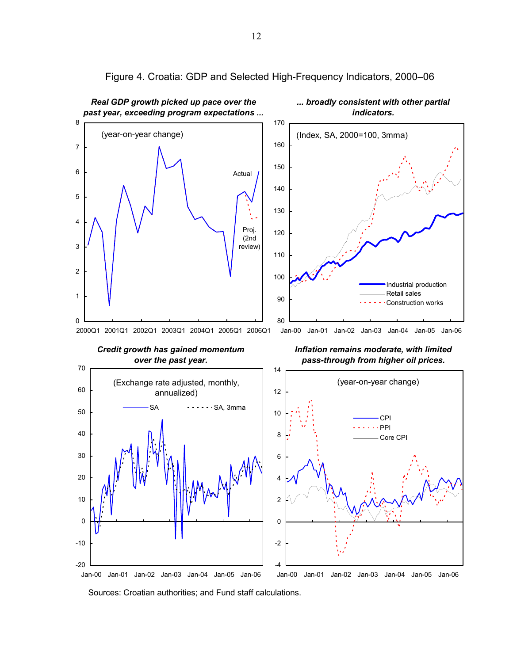

-4

Jan-00 Jan-01 Jan-02 Jan-03 Jan-04 Jan-05 Jan-06

Figure 4. Croatia: GDP and Selected High-Frequency Indicators, 2000–06

Sources: Croatian authorities; and Fund staff calculations.

Jan-00 Jan-01 Jan-02 Jan-03 Jan-04 Jan-05 Jan-06

-20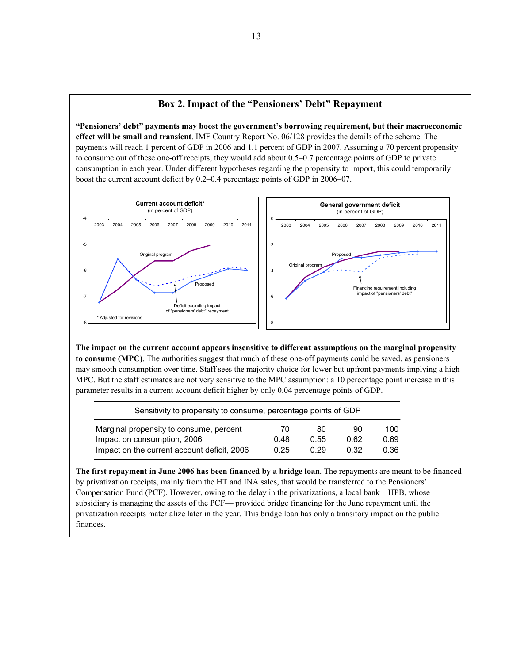#### **Box 2. Impact of the "Pensioners' Debt" Repayment**

**"Pensioners' debt" payments may boost the government's borrowing requirement, but their macroeconomic effect will be small and transient**. IMF Country Report No. 06/128 provides the details of the scheme. The payments will reach 1 percent of GDP in 2006 and 1.1 percent of GDP in 2007. Assuming a 70 percent propensity to consume out of these one-off receipts, they would add about 0.5–0.7 percentage points of GDP to private consumption in each year. Under different hypotheses regarding the propensity to import, this could temporarily boost the current account deficit by 0.2–0.4 percentage points of GDP in 2006–07.



**The impact on the current account appears insensitive to different assumptions on the marginal propensity to consume (MPC)**. The authorities suggest that much of these one-off payments could be saved, as pensioners may smooth consumption over time. Staff sees the majority choice for lower but upfront payments implying a high MPC. But the staff estimates are not very sensitive to the MPC assumption: a 10 percentage point increase in this parameter results in a current account deficit higher by only 0.04 percentage points of GDP.

| Sensitivity to propensity to consume, percentage points of GDP |      |      |      |      |  |  |  |
|----------------------------------------------------------------|------|------|------|------|--|--|--|
| Marginal propensity to consume, percent                        | 70   | 80   | 90   | 100  |  |  |  |
| Impact on consumption, 2006                                    | 0.48 | 0.55 | 0.62 | 0.69 |  |  |  |
| Impact on the current account deficit, 2006                    | 0.25 | 0.29 | 0.32 | 0.36 |  |  |  |

**The first repayment in June 2006 has been financed by a bridge loan**. The repayments are meant to be financed by privatization receipts, mainly from the HT and INA sales, that would be transferred to the Pensioners' Compensation Fund (PCF). However, owing to the delay in the privatizations, a local bank—HPB, whose subsidiary is managing the assets of the PCF— provided bridge financing for the June repayment until the privatization receipts materialize later in the year. This bridge loan has only a transitory impact on the public finances.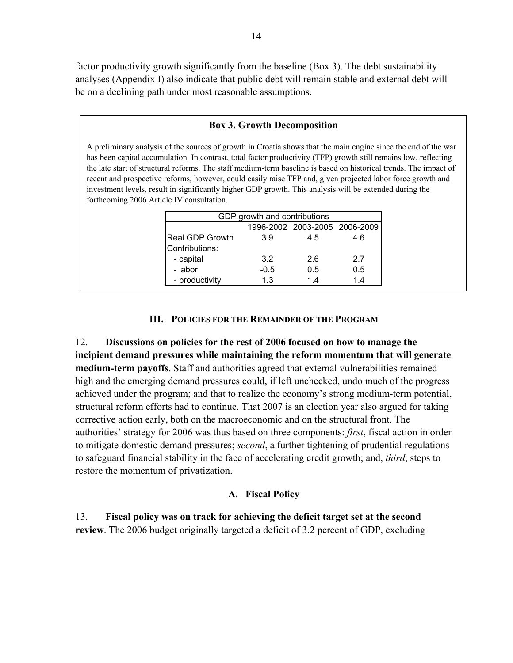factor productivity growth significantly from the baseline (Box 3). The debt sustainability analyses (Appendix I) also indicate that public debt will remain stable and external debt will be on a declining path under most reasonable assumptions.

### **Box 3. Growth Decomposition**

A preliminary analysis of the sources of growth in Croatia shows that the main engine since the end of the war has been capital accumulation. In contrast, total factor productivity (TFP) growth still remains low, reflecting the late start of structural reforms. The staff medium-term baseline is based on historical trends. The impact of recent and prospective reforms, however, could easily raise TFP and, given projected labor force growth and investment levels, result in significantly higher GDP growth. This analysis will be extended during the forthcoming 2006 Article IV consultation.

| GDP growth and contributions |        |                               |     |  |  |  |  |  |
|------------------------------|--------|-------------------------------|-----|--|--|--|--|--|
|                              |        | 1996-2002 2003-2005 2006-2009 |     |  |  |  |  |  |
| <b>Real GDP Growth</b>       | 3.9    | 4.5                           | 4.6 |  |  |  |  |  |
| Contributions:               |        |                               |     |  |  |  |  |  |
| - capital                    | 3.2    | 2.6                           | 27  |  |  |  |  |  |
| - labor                      | $-0.5$ | 0.5                           | 0.5 |  |  |  |  |  |
| - productivity               | 1.3    | 14                            | 14  |  |  |  |  |  |
|                              |        |                               |     |  |  |  |  |  |

### **III. POLICIES FOR THE REMAINDER OF THE PROGRAM**

12. **Discussions on policies for the rest of 2006 focused on how to manage the incipient demand pressures while maintaining the reform momentum that will generate medium-term payoffs**. Staff and authorities agreed that external vulnerabilities remained high and the emerging demand pressures could, if left unchecked, undo much of the progress achieved under the program; and that to realize the economy's strong medium-term potential, structural reform efforts had to continue. That 2007 is an election year also argued for taking corrective action early, both on the macroeconomic and on the structural front. The authorities' strategy for 2006 was thus based on three components: *first*, fiscal action in order to mitigate domestic demand pressures; *second*, a further tightening of prudential regulations to safeguard financial stability in the face of accelerating credit growth; and, *third*, steps to restore the momentum of privatization.

### **A. Fiscal Policy**

13. **Fiscal policy was on track for achieving the deficit target set at the second review**. The 2006 budget originally targeted a deficit of 3.2 percent of GDP, excluding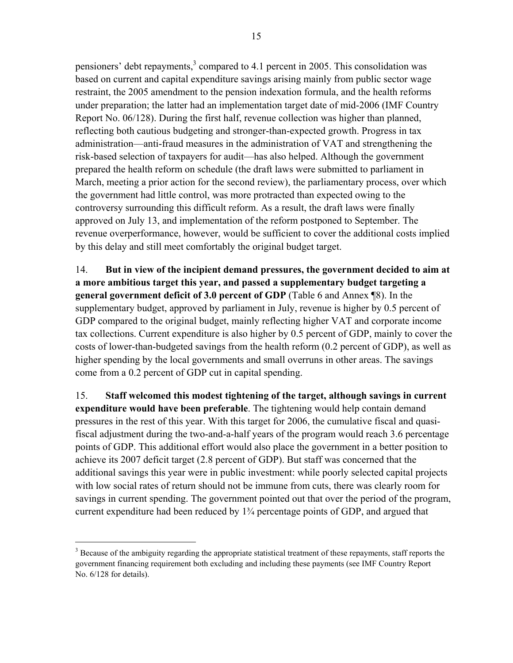pensioners' debt repayments, $3$  compared to 4.1 percent in 2005. This consolidation was based on current and capital expenditure savings arising mainly from public sector wage restraint, the 2005 amendment to the pension indexation formula, and the health reforms under preparation; the latter had an implementation target date of mid-2006 (IMF Country Report No. 06/128). During the first half, revenue collection was higher than planned, reflecting both cautious budgeting and stronger-than-expected growth. Progress in tax administration—anti-fraud measures in the administration of VAT and strengthening the risk-based selection of taxpayers for audit—has also helped. Although the government prepared the health reform on schedule (the draft laws were submitted to parliament in March, meeting a prior action for the second review), the parliamentary process, over which the government had little control, was more protracted than expected owing to the controversy surrounding this difficult reform. As a result, the draft laws were finally approved on July 13, and implementation of the reform postponed to September. The revenue overperformance, however, would be sufficient to cover the additional costs implied by this delay and still meet comfortably the original budget target.

14. **But in view of the incipient demand pressures, the government decided to aim at a more ambitious target this year, and passed a supplementary budget targeting a general government deficit of 3.0 percent of GDP** (Table 6 and Annex ¶8). In the supplementary budget, approved by parliament in July, revenue is higher by 0.5 percent of GDP compared to the original budget, mainly reflecting higher VAT and corporate income tax collections. Current expenditure is also higher by 0.5 percent of GDP, mainly to cover the costs of lower-than-budgeted savings from the health reform (0.2 percent of GDP), as well as higher spending by the local governments and small overruns in other areas. The savings come from a 0.2 percent of GDP cut in capital spending.

15. **Staff welcomed this modest tightening of the target, although savings in current expenditure would have been preferable**. The tightening would help contain demand pressures in the rest of this year. With this target for 2006, the cumulative fiscal and quasifiscal adjustment during the two-and-a-half years of the program would reach 3.6 percentage points of GDP. This additional effort would also place the government in a better position to achieve its 2007 deficit target (2.8 percent of GDP). But staff was concerned that the additional savings this year were in public investment: while poorly selected capital projects with low social rates of return should not be immune from cuts, there was clearly room for savings in current spending. The government pointed out that over the period of the program, current expenditure had been reduced by 1¾ percentage points of GDP, and argued that

 $\overline{a}$ 

 $3$  Because of the ambiguity regarding the appropriate statistical treatment of these repayments, staff reports the government financing requirement both excluding and including these payments (see IMF Country Report No. 6/128 for details).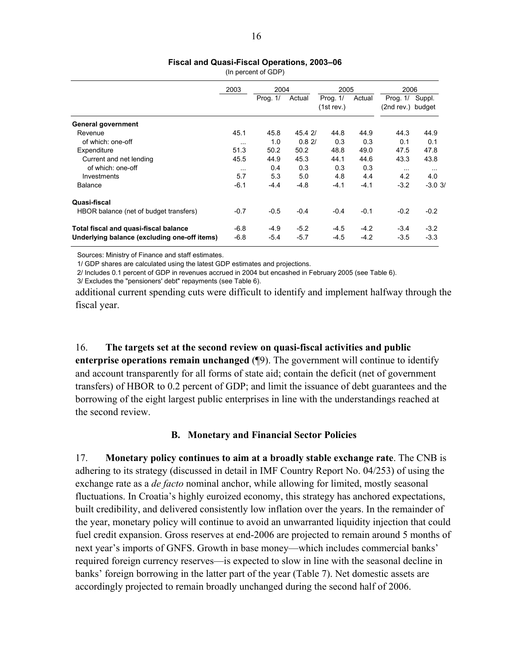#### **Fiscal and Quasi-Fiscal Operations, 2003–06**

|                                              | 2003     | 2004       |         | 2005                   |        | 2006                            |          |
|----------------------------------------------|----------|------------|---------|------------------------|--------|---------------------------------|----------|
|                                              |          | Prog. $1/$ | Actual  | Prog. 1/<br>(1st rev.) | Actual | Prog. $1/$<br>(2nd rev.) budget | Suppl.   |
| <b>General government</b>                    |          |            |         |                        |        |                                 |          |
| Revenue                                      | 45.1     | 45.8       | 45.4 2/ | 44.8                   | 44.9   | 44.3                            | 44.9     |
| of which: one-off                            | $\cdots$ | 1.0        | 0.82/   | 0.3                    | 0.3    | 0.1                             | 0.1      |
| Expenditure                                  | 51.3     | 50.2       | 50.2    | 48.8                   | 49.0   | 47.5                            | 47.8     |
| Current and net lending                      | 45.5     | 44.9       | 45.3    | 44.1                   | 44.6   | 43.3                            | 43.8     |
| of which: one-off                            | $\cdots$ | 0.4        | 0.3     | 0.3                    | 0.3    | $\cdots$                        | $\cdots$ |
| Investments                                  | 5.7      | 5.3        | 5.0     | 4.8                    | 4.4    | 4.2                             | 4.0      |
| <b>Balance</b>                               | $-6.1$   | $-4.4$     | $-4.8$  | $-4.1$                 | $-4.1$ | $-3.2$                          | $-3.03/$ |
| Quasi-fiscal                                 |          |            |         |                        |        |                                 |          |
| HBOR balance (net of budget transfers)       | $-0.7$   | $-0.5$     | $-0.4$  | $-0.4$                 | $-0.1$ | $-0.2$                          | $-0.2$   |
| Total fiscal and quasi-fiscal balance        | $-6.8$   | $-4.9$     | $-5.2$  | $-4.5$                 | $-4.2$ | $-3.4$                          | $-3.2$   |
| Underlying balance (excluding one-off items) | $-6.8$   | $-5.4$     | $-5.7$  | $-4.5$                 | $-4.2$ | $-3.5$                          | $-3.3$   |

(In percent of GDP)

Sources: Ministry of Finance and staff estimates.

1/ GDP shares are calculated using the latest GDP estimates and projections.

2/ Includes 0.1 percent of GDP in revenues accrued in 2004 but encashed in February 2005 (see Table 6).

3/ Excludes the "pensioners' debt" repayments (see Table 6).

additional current spending cuts were difficult to identify and implement halfway through the fiscal year.

16. **The targets set at the second review on quasi-fiscal activities and public enterprise operations remain unchanged** (¶9). The government will continue to identify and account transparently for all forms of state aid; contain the deficit (net of government transfers) of HBOR to 0.2 percent of GDP; and limit the issuance of debt guarantees and the borrowing of the eight largest public enterprises in line with the understandings reached at the second review.

### **B. Monetary and Financial Sector Policies**

17. **Monetary policy continues to aim at a broadly stable exchange rate**. The CNB is adhering to its strategy (discussed in detail in IMF Country Report No. 04/253) of using the exchange rate as a *de facto* nominal anchor, while allowing for limited, mostly seasonal fluctuations. In Croatia's highly euroized economy, this strategy has anchored expectations, built credibility, and delivered consistently low inflation over the years. In the remainder of the year, monetary policy will continue to avoid an unwarranted liquidity injection that could fuel credit expansion. Gross reserves at end-2006 are projected to remain around 5 months of next year's imports of GNFS. Growth in base money—which includes commercial banks' required foreign currency reserves—is expected to slow in line with the seasonal decline in banks' foreign borrowing in the latter part of the year (Table 7). Net domestic assets are accordingly projected to remain broadly unchanged during the second half of 2006.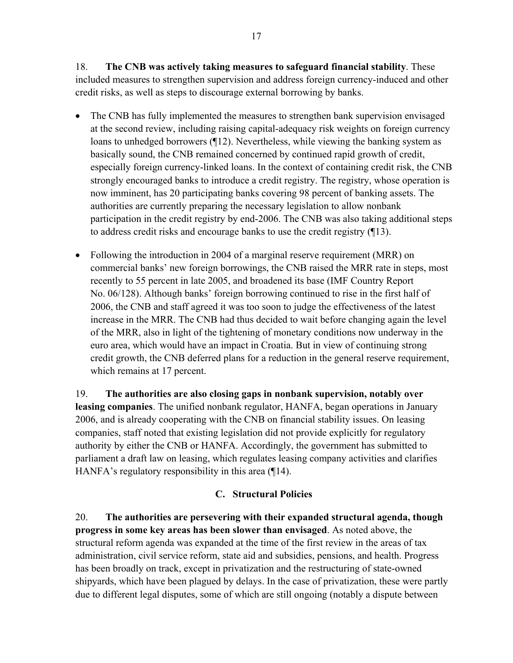18. **The CNB was actively taking measures to safeguard financial stability**. These included measures to strengthen supervision and address foreign currency-induced and other credit risks, as well as steps to discourage external borrowing by banks.

- The CNB has fully implemented the measures to strengthen bank supervision envisaged at the second review, including raising capital-adequacy risk weights on foreign currency loans to unhedged borrowers (¶12). Nevertheless, while viewing the banking system as basically sound, the CNB remained concerned by continued rapid growth of credit, especially foreign currency-linked loans. In the context of containing credit risk, the CNB strongly encouraged banks to introduce a credit registry. The registry, whose operation is now imminent, has 20 participating banks covering 98 percent of banking assets. The authorities are currently preparing the necessary legislation to allow nonbank participation in the credit registry by end-2006. The CNB was also taking additional steps to address credit risks and encourage banks to use the credit registry (¶13).
- Following the introduction in 2004 of a marginal reserve requirement (MRR) on commercial banks' new foreign borrowings, the CNB raised the MRR rate in steps, most recently to 55 percent in late 2005, and broadened its base (IMF Country Report No. 06/128). Although banks' foreign borrowing continued to rise in the first half of 2006, the CNB and staff agreed it was too soon to judge the effectiveness of the latest increase in the MRR. The CNB had thus decided to wait before changing again the level of the MRR, also in light of the tightening of monetary conditions now underway in the euro area, which would have an impact in Croatia. But in view of continuing strong credit growth, the CNB deferred plans for a reduction in the general reserve requirement, which remains at 17 percent.

19. **The authorities are also closing gaps in nonbank supervision, notably over leasing companies**. The unified nonbank regulator, HANFA, began operations in January 2006, and is already cooperating with the CNB on financial stability issues. On leasing companies, staff noted that existing legislation did not provide explicitly for regulatory authority by either the CNB or HANFA. Accordingly, the government has submitted to parliament a draft law on leasing, which regulates leasing company activities and clarifies HANFA's regulatory responsibility in this area (¶14).

# **C. Structural Policies**

20. **The authorities are persevering with their expanded structural agenda, though progress in some key areas has been slower than envisaged**. As noted above, the structural reform agenda was expanded at the time of the first review in the areas of tax administration, civil service reform, state aid and subsidies, pensions, and health. Progress has been broadly on track, except in privatization and the restructuring of state-owned shipyards, which have been plagued by delays. In the case of privatization, these were partly due to different legal disputes, some of which are still ongoing (notably a dispute between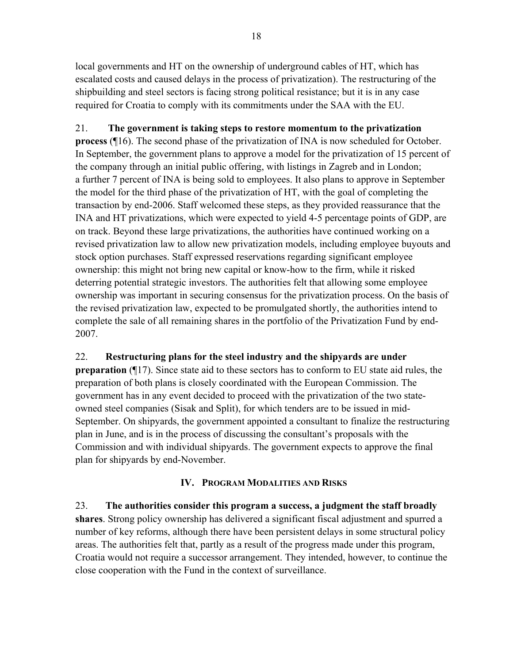local governments and HT on the ownership of underground cables of HT, which has escalated costs and caused delays in the process of privatization). The restructuring of the shipbuilding and steel sectors is facing strong political resistance; but it is in any case required for Croatia to comply with its commitments under the SAA with the EU.

# 21. **The government is taking steps to restore momentum to the privatization**

**process** (¶16). The second phase of the privatization of INA is now scheduled for October. In September, the government plans to approve a model for the privatization of 15 percent of the company through an initial public offering, with listings in Zagreb and in London; a further 7 percent of INA is being sold to employees. It also plans to approve in September the model for the third phase of the privatization of HT, with the goal of completing the transaction by end-2006. Staff welcomed these steps, as they provided reassurance that the INA and HT privatizations, which were expected to yield 4-5 percentage points of GDP, are on track. Beyond these large privatizations, the authorities have continued working on a revised privatization law to allow new privatization models, including employee buyouts and stock option purchases. Staff expressed reservations regarding significant employee ownership: this might not bring new capital or know-how to the firm, while it risked deterring potential strategic investors. The authorities felt that allowing some employee ownership was important in securing consensus for the privatization process. On the basis of the revised privatization law, expected to be promulgated shortly, the authorities intend to complete the sale of all remaining shares in the portfolio of the Privatization Fund by end-2007.

# 22. **Restructuring plans for the steel industry and the shipyards are under**

**preparation** (¶17). Since state aid to these sectors has to conform to EU state aid rules, the preparation of both plans is closely coordinated with the European Commission. The government has in any event decided to proceed with the privatization of the two stateowned steel companies (Sisak and Split), for which tenders are to be issued in mid-September. On shipyards, the government appointed a consultant to finalize the restructuring plan in June, and is in the process of discussing the consultant's proposals with the Commission and with individual shipyards. The government expects to approve the final plan for shipyards by end-November.

# **IV. PROGRAM MODALITIES AND RISKS**

23. **The authorities consider this program a success, a judgment the staff broadly shares**. Strong policy ownership has delivered a significant fiscal adjustment and spurred a number of key reforms, although there have been persistent delays in some structural policy areas. The authorities felt that, partly as a result of the progress made under this program, Croatia would not require a successor arrangement. They intended, however, to continue the close cooperation with the Fund in the context of surveillance.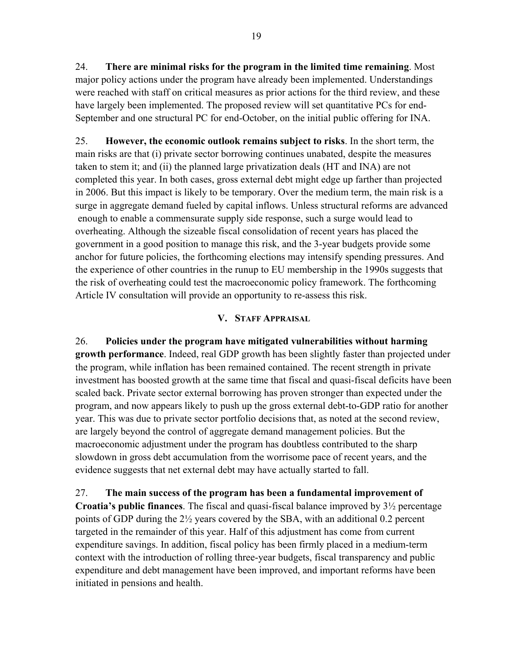24. **There are minimal risks for the program in the limited time remaining**. Most major policy actions under the program have already been implemented. Understandings were reached with staff on critical measures as prior actions for the third review, and these have largely been implemented. The proposed review will set quantitative PCs for end-September and one structural PC for end-October, on the initial public offering for INA.

25. **However, the economic outlook remains subject to risks**. In the short term, the main risks are that (i) private sector borrowing continues unabated, despite the measures taken to stem it; and (ii) the planned large privatization deals (HT and INA) are not completed this year. In both cases, gross external debt might edge up farther than projected in 2006. But this impact is likely to be temporary. Over the medium term, the main risk is a surge in aggregate demand fueled by capital inflows. Unless structural reforms are advanced enough to enable a commensurate supply side response, such a surge would lead to overheating. Although the sizeable fiscal consolidation of recent years has placed the government in a good position to manage this risk, and the 3-year budgets provide some anchor for future policies, the forthcoming elections may intensify spending pressures. And the experience of other countries in the runup to EU membership in the 1990s suggests that the risk of overheating could test the macroeconomic policy framework. The forthcoming Article IV consultation will provide an opportunity to re-assess this risk.

## **V. STAFF APPRAISAL**

26. **Policies under the program have mitigated vulnerabilities without harming growth performance**. Indeed, real GDP growth has been slightly faster than projected under the program, while inflation has been remained contained. The recent strength in private investment has boosted growth at the same time that fiscal and quasi-fiscal deficits have been scaled back. Private sector external borrowing has proven stronger than expected under the program, and now appears likely to push up the gross external debt-to-GDP ratio for another year. This was due to private sector portfolio decisions that, as noted at the second review, are largely beyond the control of aggregate demand management policies. But the macroeconomic adjustment under the program has doubtless contributed to the sharp slowdown in gross debt accumulation from the worrisome pace of recent years, and the evidence suggests that net external debt may have actually started to fall.

27. **The main success of the program has been a fundamental improvement of Croatia's public finances**. The fiscal and quasi-fiscal balance improved by 3½ percentage points of GDP during the 2½ years covered by the SBA, with an additional 0.2 percent targeted in the remainder of this year. Half of this adjustment has come from current expenditure savings. In addition, fiscal policy has been firmly placed in a medium-term context with the introduction of rolling three-year budgets, fiscal transparency and public expenditure and debt management have been improved, and important reforms have been initiated in pensions and health.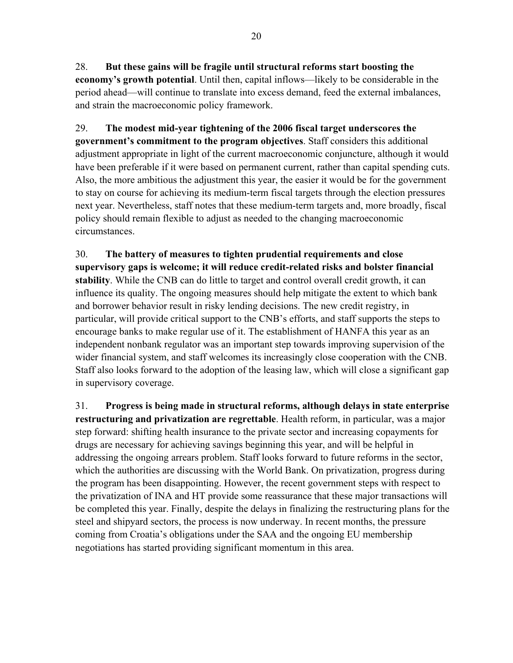28. **But these gains will be fragile until structural reforms start boosting the economy's growth potential**. Until then, capital inflows—likely to be considerable in the period ahead—will continue to translate into excess demand, feed the external imbalances, and strain the macroeconomic policy framework.

29. **The modest mid-year tightening of the 2006 fiscal target underscores the government's commitment to the program objectives**. Staff considers this additional adjustment appropriate in light of the current macroeconomic conjuncture, although it would have been preferable if it were based on permanent current, rather than capital spending cuts. Also, the more ambitious the adjustment this year, the easier it would be for the government to stay on course for achieving its medium-term fiscal targets through the election pressures next year. Nevertheless, staff notes that these medium-term targets and, more broadly, fiscal policy should remain flexible to adjust as needed to the changing macroeconomic circumstances.

30. **The battery of measures to tighten prudential requirements and close supervisory gaps is welcome; it will reduce credit-related risks and bolster financial stability**. While the CNB can do little to target and control overall credit growth, it can influence its quality. The ongoing measures should help mitigate the extent to which bank and borrower behavior result in risky lending decisions. The new credit registry, in particular, will provide critical support to the CNB's efforts, and staff supports the steps to encourage banks to make regular use of it. The establishment of HANFA this year as an independent nonbank regulator was an important step towards improving supervision of the wider financial system, and staff welcomes its increasingly close cooperation with the CNB. Staff also looks forward to the adoption of the leasing law, which will close a significant gap in supervisory coverage.

31. **Progress is being made in structural reforms, although delays in state enterprise restructuring and privatization are regrettable**. Health reform, in particular, was a major step forward: shifting health insurance to the private sector and increasing copayments for drugs are necessary for achieving savings beginning this year, and will be helpful in addressing the ongoing arrears problem. Staff looks forward to future reforms in the sector, which the authorities are discussing with the World Bank. On privatization, progress during the program has been disappointing. However, the recent government steps with respect to the privatization of INA and HT provide some reassurance that these major transactions will be completed this year. Finally, despite the delays in finalizing the restructuring plans for the steel and shipyard sectors, the process is now underway. In recent months, the pressure coming from Croatia's obligations under the SAA and the ongoing EU membership negotiations has started providing significant momentum in this area.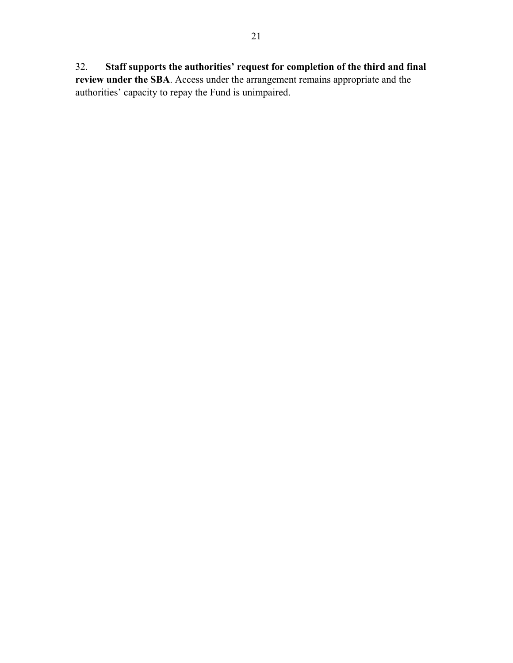32. **Staff supports the authorities' request for completion of the third and final** 

**review under the SBA**. Access under the arrangement remains appropriate and the authorities' capacity to repay the Fund is unimpaired.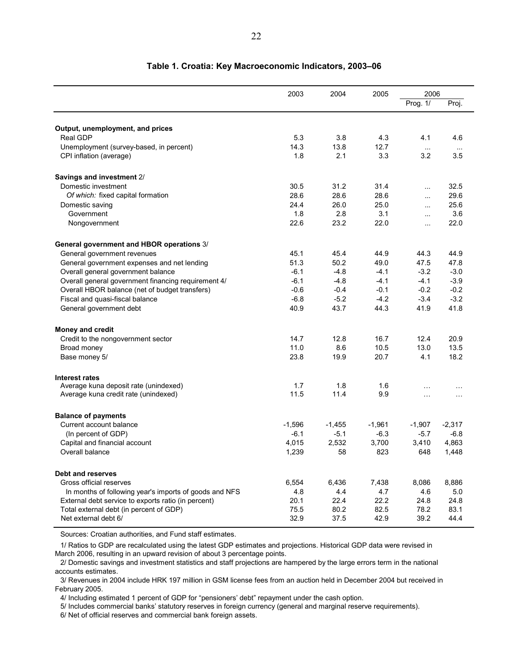|                                                        | 2003     | 2004     | 2005     | 2006            |                  |
|--------------------------------------------------------|----------|----------|----------|-----------------|------------------|
|                                                        |          |          |          | Prog. 1/        | Proj.            |
| Output, unemployment, and prices                       |          |          |          |                 |                  |
| <b>Real GDP</b>                                        | 5.3      | 3.8      | 4.3      | 4.1             | 4.6              |
| Unemployment (survey-based, in percent)                | 14.3     | 13.8     | 12.7     |                 |                  |
| CPI inflation (average)                                | 1.8      | 2.1      | 3.3      | $\ldots$<br>3.2 | $\ddotsc$<br>3.5 |
| Savings and investment 2/                              |          |          |          |                 |                  |
| Domestic investment                                    | 30.5     | 31.2     | 31.4     | $\cdots$        | 32.5             |
| Of which: fixed capital formation                      | 28.6     | 28.6     | 28.6     | $\cdots$        | 29.6             |
| Domestic saving                                        | 24.4     | 26.0     | 25.0     | $\cdots$        | 25.6             |
| Government                                             | 1.8      | 2.8      | 3.1      | $\ddotsc$       | 3.6              |
| Nongovernment                                          | 22.6     | 23.2     | 22.0     |                 | 22.0             |
| General government and HBOR operations 3/              |          |          |          |                 |                  |
| General government revenues                            | 45.1     | 45.4     | 44.9     | 44.3            | 44.9             |
| General government expenses and net lending            | 51.3     | 50.2     | 49.0     | 47.5            | 47.8             |
| Overall general government balance                     | $-6.1$   | $-4.8$   | $-4.1$   | $-3.2$          | $-3.0$           |
| Overall general government financing requirement 4/    | $-6.1$   | $-4.8$   | $-4.1$   | $-4.1$          | $-3.9$           |
| Overall HBOR balance (net of budget transfers)         | $-0.6$   | $-0.4$   | $-0.1$   | $-0.2$          | $-0.2$           |
| Fiscal and quasi-fiscal balance                        | $-6.8$   | $-5.2$   | $-4.2$   | $-3.4$          | $-3.2$           |
| General government debt                                | 40.9     | 43.7     | 44.3     | 41.9            | 41.8             |
| <b>Money and credit</b>                                |          |          |          |                 |                  |
| Credit to the nongovernment sector                     | 14.7     | 12.8     | 16.7     | 12.4            | 20.9             |
| Broad money                                            | 11.0     | 8.6      | 10.5     | 13.0            | 13.5             |
| Base money 5/                                          | 23.8     | 19.9     | 20.7     | 4.1             | 18.2             |
| <b>Interest rates</b>                                  |          |          |          |                 |                  |
| Average kuna deposit rate (unindexed)                  | 1.7      | 1.8      | 1.6      | $\ddotsc$       | $\cdot$          |
| Average kuna credit rate (unindexed)                   | 11.5     | 11.4     | 9.9      | $\cdots$        | $\cdots$         |
| <b>Balance of payments</b>                             |          |          |          |                 |                  |
| Current account balance                                | $-1,596$ | $-1,455$ | $-1,961$ | $-1,907$        | $-2,317$         |
| (In percent of GDP)                                    | $-6.1$   | $-5.1$   | $-6.3$   | $-5.7$          | $-6.8$           |
| Capital and financial account                          | 4,015    | 2,532    | 3,700    | 3,410           | 4,863            |
| Overall balance                                        | 1,239    | 58       | 823      | 648             | 1,448            |
| Debt and reserves                                      |          |          |          |                 |                  |
| Gross official reserves                                | 6,554    | 6,436    | 7,438    | 8,086           | 8,886            |
| In months of following year's imports of goods and NFS | 4.8      | 4.4      | 4.7      | 4.6             | 5.0              |
| External debt service to exports ratio (in percent)    | 20.1     | 22.4     | 22.2     | 24.8            | 24.8             |
| Total external debt (in percent of GDP)                | 75.5     | 80.2     | 82.5     | 78.2            | 83.1             |
| Net external debt 6/                                   | 32.9     | 37.5     | 42.9     | 39.2            | 44.4             |

#### **Table 1. Croatia: Key Macroeconomic Indicators, 2003–06**

Sources: Croatian authorities, and Fund staff estimates.

1/ Ratios to GDP are recalculated using the latest GDP estimates and projections. Historical GDP data were revised in March 2006, resulting in an upward revision of about 3 percentage points.

2/ Domestic savings and investment statistics and staff projections are hampered by the large errors term in the national accounts estimates.

3/ Revenues in 2004 include HRK 197 million in GSM license fees from an auction held in December 2004 but received in February 2005.

4/ Including estimated 1 percent of GDP for "pensioners' debt" repayment under the cash option.

5/ Includes commercial banks' statutory reserves in foreign currency (general and marginal reserve requirements).

6/ Net of official reserves and commercial bank foreign assets.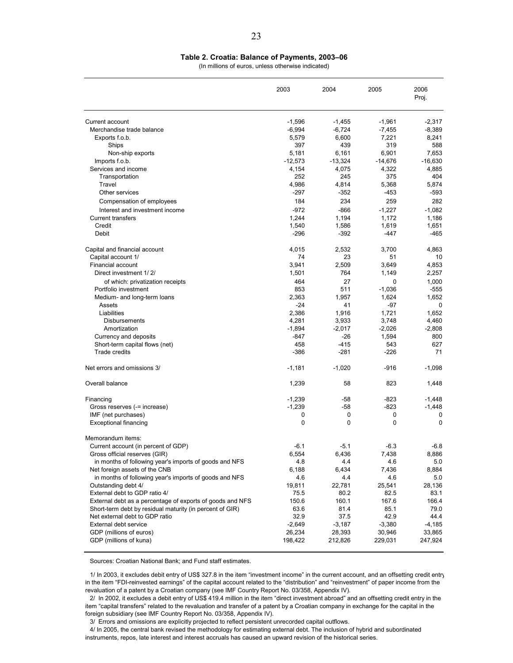(In millions of euros, unless otherwise indicated)

|                                                           | 2003            | 2004            | 2005            | 2006<br>Proj. |
|-----------------------------------------------------------|-----------------|-----------------|-----------------|---------------|
| Current account                                           | $-1,596$        | $-1,455$        | $-1,961$        | $-2,317$      |
| Merchandise trade balance                                 | $-6,994$        | $-6,724$        | $-7,455$        | $-8,389$      |
| Exports f.o.b.                                            | 5,579           | 6,600           | 7,221           | 8,241         |
| Ships                                                     | 397             | 439             | 319             | 588           |
| Non-ship exports                                          | 5,181           | 6,161           | 6,901           | 7,653         |
| Imports f.o.b.                                            | $-12,573$       | $-13,324$       | $-14,676$       | $-16,630$     |
| Services and income                                       | 4,154           | 4,075           | 4,322           | 4,885         |
| Transportation                                            | 252             | 245             | 375             | 404           |
| Travel<br>Other services                                  | 4,986<br>$-297$ | 4,814<br>$-352$ | 5,368<br>$-453$ | 5,874<br>-593 |
|                                                           |                 |                 |                 |               |
| Compensation of employees                                 | 184             | 234             | 259             | 282           |
| Interest and investment income                            | $-972$          | $-866$          | $-1,227$        | $-1,082$      |
| <b>Current transfers</b><br>Credit                        | 1,244           | 1,194           | 1,172           | 1,186         |
| Debit                                                     | 1,540<br>$-296$ | 1,586<br>$-392$ | 1,619<br>-447   | 1,651<br>-465 |
|                                                           |                 |                 |                 |               |
| Capital and financial account                             | 4.015           | 2,532           | 3,700           | 4,863         |
| Capital account 1/                                        | 74              | 23              | 51              | 10            |
| <b>Financial account</b>                                  | 3,941           | 2,509           | 3,649           | 4,853         |
| Direct investment 1/2/                                    | 1,501           | 764             | 1,149           | 2,257         |
| of which: privatization receipts                          | 464             | 27              | 0               | 1,000         |
| Portfolio investment                                      | 853             | 511             | $-1,036$        | -555          |
| Medium- and long-term loans                               | 2,363           | 1,957           | 1,624           | 1,652         |
| Assets                                                    | $-24$           | 41              | $-97$           | $\Omega$      |
| Liabilities                                               | 2,386           | 1,916           | 1,721           | 1,652         |
| <b>Disbursements</b>                                      | 4,281           | 3,933           | 3,748           | 4,460         |
| Amortization                                              | $-1,894$        | $-2,017$        | $-2,026$        | $-2,808$      |
| Currency and deposits                                     | -847            | -26             | 1,594           | 800           |
| Short-term capital flows (net)                            | 458             | $-415$          | 543             | 627           |
| <b>Trade credits</b>                                      | $-386$          | $-281$          | $-226$          | 71            |
| Net errors and omissions 3/                               | $-1,181$        | $-1,020$        | $-916$          | $-1,098$      |
| Overall balance                                           | 1,239           | 58              | 823             | 1,448         |
| Financing                                                 | $-1,239$        | $-58$           | $-823$          | -1,448        |
| Gross reserves (-= increase)                              | $-1,239$        | $-58$           | $-823$          | $-1.448$      |
| IMF (net purchases)                                       | 0               | 0               | 0               | 0             |
| <b>Exceptional financing</b>                              | 0               | 0               | 0               | $\Omega$      |
| Memorandum items:                                         |                 |                 |                 |               |
| Current account (in percent of GDP)                       | $-6.1$          | $-5.1$          | $-6.3$          | $-6.8$        |
| Gross official reserves (GIR)                             | 6,554           | 6,436           | 7,438           | 8,886         |
| in months of following year's imports of goods and NFS    | 4.8             | 4.4             | 4.6             | 5.0           |
| Net foreign assets of the CNB                             | 6,188           | 6,434           | 7,436           | 8,884         |
| in months of following year's imports of goods and NFS    | 4.6             | 4.4             | 4.6             | 5.0           |
| Outstanding debt 4/                                       | 19,811          | 22,781          | 25,541          | 28,136        |
| External debt to GDP ratio 4/                             | 75.5            | 80.2            | 82.5            | 83.1          |
| External debt as a percentage of exports of goods and NFS | 150.6           | 160.1           | 167.6           | 166.4         |
| Short-term debt by residual maturity (in percent of GIR)  | 63.6            | 81.4            | 85.1            | 79.0          |
| Net external debt to GDP ratio                            | 32.9            | 37.5            | 42.9            | 44.4          |
| External debt service                                     | $-2,649$        | $-3,187$        | $-3,380$        | $-4,185$      |
| GDP (millions of euros)                                   | 26,234          | 28,393          | 30,946          | 33,865        |
| GDP (millions of kuna)                                    | 198,422         | 212,826         | 229,031         | 247,924       |

Sources: Croatian National Bank; and Fund staff estimates.

1/ In 2003, it excludes debit entry of US\$ 327.8 in the item "investment income" in the current account, and an offsetting credit entry in the item "FDI-reinvested earnings" of the capital account related to the "distribution" and "reinvestment" of paper income from the revaluation of a patent by a Croatian company (see IMF Country Report No. 03/358, Appendix IV).

2/ In 2002, it excludes a debit entry of US\$ 419.4 million in the item "direct investment abroad" and an offsetting credit entry in the item "capital transfers" related to the revaluation and transfer of a patent by a Croatian company in exchange for the capital in the foreign subsidiary (see IMF Country Report No. 03/358, Appendix IV).

3/ Errors and omissions are explicitly projected to reflect persistent unrecorded capital outflows.

4/ In 2005, the central bank revised the methodology for estimating external debt. The inclusion of hybrid and subordinated

instruments, repos, late interest and interest accruals has caused an upward revision of the historical series.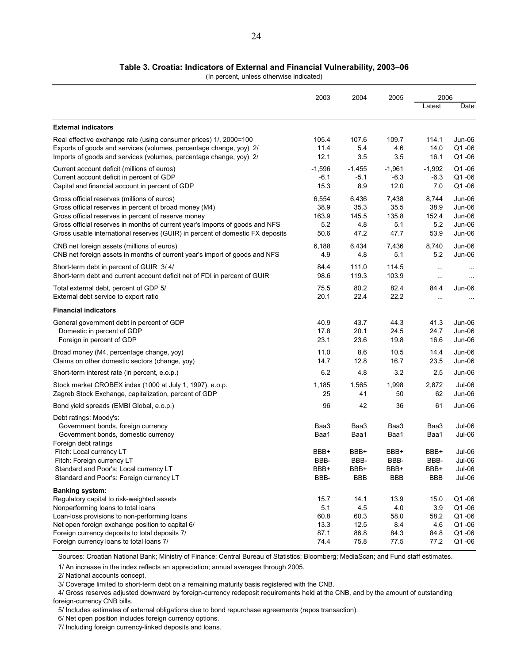#### **Table 3. Croatia: Indicators of External and Financial Vulnerability, 2003–06**

(In percent, unless otherwise indicated)

|                                                                                                                                                                                                                                                                                                              | 2003                                        | 2004                                        | 2005                                       | 2006                                       |                                                    |
|--------------------------------------------------------------------------------------------------------------------------------------------------------------------------------------------------------------------------------------------------------------------------------------------------------------|---------------------------------------------|---------------------------------------------|--------------------------------------------|--------------------------------------------|----------------------------------------------------|
|                                                                                                                                                                                                                                                                                                              |                                             |                                             |                                            | Latest                                     | Date                                               |
| <b>External indicators</b>                                                                                                                                                                                                                                                                                   |                                             |                                             |                                            |                                            |                                                    |
| Real effective exchange rate (using consumer prices) 1/, 2000=100                                                                                                                                                                                                                                            | 105.4                                       | 107.6                                       | 109.7                                      | 114.1                                      | Jun-06                                             |
| Exports of goods and services (volumes, percentage change, yoy) 2/                                                                                                                                                                                                                                           | 11.4                                        | 5.4                                         | 4.6                                        | 14.0                                       | $Q1 - 06$                                          |
| Imports of goods and services (volumes, percentage change, yoy) 2/                                                                                                                                                                                                                                           | 12.1                                        | 3.5                                         | 3.5                                        | 16.1                                       | Q1-06                                              |
| Current account deficit (millions of euros)                                                                                                                                                                                                                                                                  | $-1,596$                                    | $-1,455$                                    | $-1.961$                                   | $-1,992$                                   | $Q1 - 06$                                          |
| Current account deficit in percent of GDP                                                                                                                                                                                                                                                                    | -6.1                                        | $-5.1$                                      | $-6.3$                                     | $-6.3$                                     | $Q1 - 06$                                          |
| Capital and financial account in percent of GDP                                                                                                                                                                                                                                                              | 15.3                                        | 8.9                                         | 12.0                                       | 7.0                                        | Q1-06                                              |
| Gross official reserves (millions of euros)                                                                                                                                                                                                                                                                  | 6,554                                       | 6,436                                       | 7,438                                      | 8,744                                      | Jun-06                                             |
| Gross official reserves in percent of broad money (M4)                                                                                                                                                                                                                                                       | 38.9                                        | 35.3                                        | 35.5                                       | 38.9                                       | Jun-06                                             |
| Gross official reserves in percent of reserve money                                                                                                                                                                                                                                                          | 163.9                                       | 145.5                                       | 135.8                                      | 152.4                                      | Jun-06                                             |
| Gross official reserves in months of current year's imports of goods and NFS                                                                                                                                                                                                                                 | 5.2                                         | 4.8                                         | 5.1                                        | 5.2                                        | Jun-06                                             |
| Gross usable international reserves (GUIR) in percent of domestic FX deposits                                                                                                                                                                                                                                | 50.6                                        | 47.2                                        | 47.7                                       | 53.9                                       | Jun-06                                             |
| CNB net foreign assets (millions of euros)                                                                                                                                                                                                                                                                   | 6,188                                       | 6,434                                       | 7,436                                      | 8,740                                      | Jun-06                                             |
| CNB net foreign assets in months of current year's import of goods and NFS                                                                                                                                                                                                                                   | 4.9                                         | 4.8                                         | 5.1                                        | 5.2                                        | Jun-06                                             |
| Short-term debt in percent of GUIR 3/4/                                                                                                                                                                                                                                                                      | 84.4                                        | 111.0                                       | 114.5                                      | $\ddotsc$                                  | $\sim$ $\sim$                                      |
| Short-term debt and current account deficit net of FDI in percent of GUIR                                                                                                                                                                                                                                    | 98.6                                        | 119.3                                       | 103.9                                      | $\cdots$                                   |                                                    |
| Total external debt, percent of GDP 5/                                                                                                                                                                                                                                                                       | 75.5                                        | 80.2                                        | 82.4                                       | 84.4                                       | Jun-06                                             |
| External debt service to export ratio                                                                                                                                                                                                                                                                        | 20.1                                        | 22.4                                        | 22.2                                       | $\cdots$                                   |                                                    |
| <b>Financial indicators</b>                                                                                                                                                                                                                                                                                  |                                             |                                             |                                            |                                            |                                                    |
| General government debt in percent of GDP                                                                                                                                                                                                                                                                    | 40.9                                        | 43.7                                        | 44.3                                       | 41.3                                       | Jun-06                                             |
| Domestic in percent of GDP                                                                                                                                                                                                                                                                                   | 17.8                                        | 20.1                                        | 24.5                                       | 24.7                                       | Jun-06                                             |
| Foreign in percent of GDP                                                                                                                                                                                                                                                                                    | 23.1                                        | 23.6                                        | 19.8                                       | 16.6                                       | Jun-06                                             |
| Broad money (M4, percentage change, yoy)                                                                                                                                                                                                                                                                     | 11.0                                        | 8.6                                         | 10.5                                       | 14.4                                       | Jun-06                                             |
| Claims on other domestic sectors (change, yoy)                                                                                                                                                                                                                                                               | 14.7                                        | 12.8                                        | 16.7                                       | 23.5                                       | Jun-06                                             |
| Short-term interest rate (in percent, e.o.p.)                                                                                                                                                                                                                                                                | 6.2                                         | 4.8                                         | 3.2                                        | 2.5                                        | Jun-06                                             |
| Stock market CROBEX index (1000 at July 1, 1997), e.o.p.                                                                                                                                                                                                                                                     | 1,185                                       | 1,565                                       | 1,998                                      | 2,872                                      | Jul-06                                             |
| Zagreb Stock Exchange, capitalization, percent of GDP                                                                                                                                                                                                                                                        | 25                                          | 41                                          | 50                                         | 62                                         | Jun-06                                             |
| Bond yield spreads (EMBI Global, e.o.p.)                                                                                                                                                                                                                                                                     | 96                                          | 42                                          | 36                                         | 61                                         | Jun-06                                             |
| Debt ratings: Moody's:<br>Government bonds, foreign currency<br>Government bonds, domestic currency<br>Foreign debt ratings                                                                                                                                                                                  | Baa3<br>Baa1                                | Baa3<br>Baa1                                | Baa3<br>Baa1                               | Baa3<br>Baa1                               | $Jul-06$<br>Jul-06                                 |
| Fitch: Local currency LT                                                                                                                                                                                                                                                                                     | BBB+                                        | BBB+                                        | BBB+                                       | BBB+                                       | Jul-06                                             |
| Fitch: Foreign currency LT                                                                                                                                                                                                                                                                                   | BBB-                                        | BBB                                         | BBB-                                       | BBB-                                       | Jul-06                                             |
| Standard and Poor's: Local currency LT                                                                                                                                                                                                                                                                       | BBB+                                        | BBB+                                        | BBB+                                       | BBB+                                       | Jul-06                                             |
| Standard and Poor's: Foreign currency LT                                                                                                                                                                                                                                                                     | BBB-                                        | <b>BBB</b>                                  | <b>BBB</b>                                 | <b>BBB</b>                                 | Jul-06                                             |
| <b>Banking system:</b><br>Regulatory capital to risk-weighted assets<br>Nonperforming loans to total loans<br>Loan-loss provisions to non-performing loans<br>Net open foreign exchange position to capital 6/<br>Foreign currency deposits to total deposits 7/<br>Foreign currency loans to total loans 7/ | 15.7<br>5.1<br>60.8<br>13.3<br>87.1<br>74.4 | 14.1<br>4.5<br>60.3<br>12.5<br>86.8<br>75.8 | 13.9<br>4.0<br>58.0<br>8.4<br>84.3<br>77.5 | 15.0<br>3.9<br>58.2<br>4.6<br>84.8<br>77.2 | Q1-06<br>Q1-06<br>Q1-06<br>Q1-06<br>Q1-06<br>Q1-06 |

Sources: Croatian National Bank; Ministry of Finance; Central Bureau of Statistics; Bloomberg; MediaScan; and Fund staff estimates.

1/ An increase in the index reflects an appreciation; annual averages through 2005.

2/ National accounts concept.

4/ Gross reserves adjusted downward by foreign-currency redeposit requirements held at the CNB, and by the amount of outstanding foreign-currency CNB bills.

5/ Includes estimates of external obligations due to bond repurchase agreements (repos transaction).

6/ Net open position includes foreign currency options.

7/ Including foreign currency-linked deposits and loans.

<sup>3/</sup> Coverage limited to short-term debt on a remaining maturity basis registered with the CNB.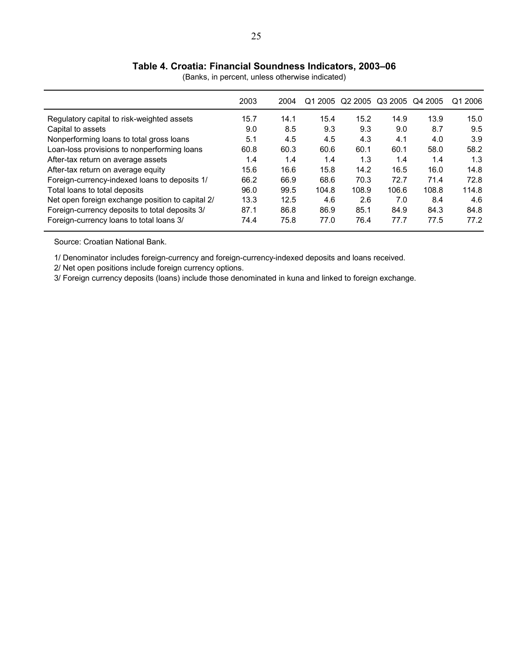#### 25

# **Table 4. Croatia: Financial Soundness Indicators, 2003–06**

|                                                  | 2003 | 2004 | Q1 2005 |       | Q2 2005 Q3 2005 | Q4 2005 | Q1 2006 |
|--------------------------------------------------|------|------|---------|-------|-----------------|---------|---------|
| Regulatory capital to risk-weighted assets       | 15.7 | 14.1 | 15.4    | 15.2  | 14.9            | 13.9    | 15.0    |
| Capital to assets                                | 9.0  | 8.5  | 9.3     | 9.3   | 9.0             | 8.7     | 9.5     |
| Nonperforming loans to total gross loans         | 5.1  | 4.5  | 4.5     | 4.3   | 4.1             | 4.0     | 3.9     |
| Loan-loss provisions to nonperforming loans      | 60.8 | 60.3 | 60.6    | 60.1  | 60.1            | 58.0    | 58.2    |
| After-tax return on average assets               | 1.4  | 1.4  | 1.4     | 1.3   | 1.4             | 1.4     | 1.3     |
| After-tax return on average equity               | 15.6 | 16.6 | 15.8    | 14.2  | 16.5            | 16.0    | 14.8    |
| Foreign-currency-indexed loans to deposits 1/    | 66.2 | 66.9 | 68.6    | 70.3  | 72.7            | 71.4    | 72.8    |
| Total loans to total deposits                    | 96.0 | 99.5 | 104.8   | 108.9 | 106.6           | 108.8   | 114.8   |
| Net open foreign exchange position to capital 2/ | 13.3 | 12.5 | 4.6     | 2.6   | 7.0             | 8.4     | 4.6     |
| Foreign-currency deposits to total deposits 3/   | 87.1 | 86.8 | 86.9    | 85.1  | 84.9            | 84.3    | 84.8    |
| Foreign-currency loans to total loans 3/         | 74.4 | 75.8 | 77.0    | 76.4  | 77.7            | 77.5    | 77.2    |

(Banks, in percent, unless otherwise indicated)

Source: Croatian National Bank.

1/ Denominator includes foreign-currency and foreign-currency-indexed deposits and loans received.

2/ Net open positions include foreign currency options.

3/ Foreign currency deposits (loans) include those denominated in kuna and linked to foreign exchange.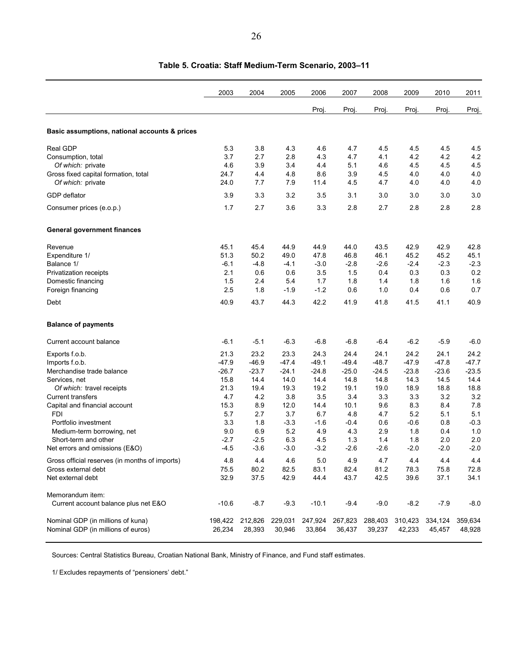|                                                          | 2003          | 2004             | 2005          | 2006          | 2007          | 2008          | 2009       | 2010          | 2011          |
|----------------------------------------------------------|---------------|------------------|---------------|---------------|---------------|---------------|------------|---------------|---------------|
|                                                          |               |                  |               | Proj.         | Proj.         | Proj.         | Proj.      | Proj.         | Proj.         |
| Basic assumptions, national accounts & prices            |               |                  |               |               |               |               |            |               |               |
| Real GDP                                                 | 5.3           | 3.8              | 4.3           | 4.6           | 4.7           | 4.5           | 4.5        | 4.5           | 4.5           |
| Consumption, total                                       | 3.7           | 2.7              | 2.8           | 4.3           | 4.7           | 4.1           | 4.2        | 4.2           | 4.2           |
| Of which: private                                        | 4.6           | 3.9              | 3.4           | 4.4           | 5.1           | 4.6           | 4.5        | 4.5           | 4.5           |
| Gross fixed capital formation, total                     | 24.7          | 4.4              | 4.8           | 8.6           | 3.9           | 4.5           | 4.0        | 4.0           | 4.0           |
| Of which: private                                        | 24.0          | 7.7              | 7.9           | 11.4          | 4.5           | 4.7           | 4.0        | 4.0           | 4.0           |
| GDP deflator                                             | 3.9           | 3.3              | 3.2           | 3.5           | 3.1           | 3.0           | 3.0        | 3.0           | 3.0           |
| Consumer prices (e.o.p.)                                 | 1.7           | 2.7              | 3.6           | 3.3           | 2.8           | 2.7           | 2.8        | 2.8           | 2.8           |
| <b>General government finances</b>                       |               |                  |               |               |               |               |            |               |               |
| Revenue                                                  | 45.1          | 45.4             | 44.9          | 44.9          | 44.0          | 43.5          | 42.9       | 42.9          | 42.8          |
| Expenditure 1/                                           | 51.3          | 50.2             | 49.0          | 47.8          | 46.8          | 46.1          | 45.2       | 45.2          | 45.1          |
| Balance 1/                                               | $-6.1$        | $-4.8$           | $-4.1$        | $-3.0$        | -2.8          | $-2.6$        | $-2.4$     | $-2.3$        | $-2.3$        |
| Privatization receipts                                   | 2.1           | 0.6              | 0.6           | 3.5           | 1.5           | 0.4           | 0.3        | 0.3           | 0.2           |
| Domestic financing                                       | 1.5           | 2.4              | 5.4           | 1.7           | 1.8           | 1.4           | 1.8        | 1.6           | 1.6           |
| Foreign financing                                        | 2.5           | 1.8              | $-1.9$        | $-1.2$        | 0.6           | 1.0           | 0.4        | 0.6           | 0.7           |
| Debt                                                     | 40.9          | 43.7             | 44.3          | 42.2          | 41.9          | 41.8          | 41.5       | 41.1          | 40.9          |
| <b>Balance of payments</b>                               |               |                  |               |               |               |               |            |               |               |
| Current account balance                                  | $-6.1$        | $-5.1$           | $-6.3$        | $-6.8$        | $-6.8$        | $-6.4$        | $-6.2$     | $-5.9$        | $-6.0$        |
| Exports f.o.b.                                           | 21.3          | 23.2             | 23.3          | 24.3          | 24.4          | 24.1          | 24.2       | 24.1          | 24.2          |
| Imports f.o.b.                                           | $-47.9$       | $-46.9$          | $-47.4$       | $-49.1$       | $-49.4$       | $-48.7$       | $-47.9$    | $-47.8$       | $-47.7$       |
| Merchandise trade balance                                | $-26.7$       | $-23.7$          | $-24.1$       | $-24.8$       | $-25.0$       | $-24.5$       | $-23.8$    | $-23.6$       | $-23.5$       |
| Services, net                                            | 15.8          | 14.4             | 14.0          | 14.4          | 14.8          | 14.8          | 14.3       | 14.5          | 14.4          |
| Of which: travel receipts                                | 21.3          | 19.4             | 19.3          | 19.2          | 19.1          | 19.0          | 18.9       | 18.8          | 18.8          |
| <b>Current transfers</b>                                 | 4.7           | 4.2              | 3.8           | 3.5           | 3.4           | 3.3           | 3.3        | 3.2           | 3.2           |
| Capital and financial account                            | 15.3          | 8.9              | 12.0          | 14.4          | 10.1          | 9.6           | 8.3        | 8.4           | 7.8           |
| <b>FDI</b>                                               | 5.7           | 2.7              | 3.7           | 6.7           | 4.8           | 4.7           | 5.2        | 5.1           | 5.1           |
| Portfolio investment                                     | 3.3           | 1.8              | $-3.3$        | $-1.6$        | $-0.4$        | 0.6           | $-0.6$     | 0.8           | $-0.3$        |
| Medium-term borrowing, net                               | 9.0<br>$-2.7$ | 6.9              | 5.2           | 4.9           | 4.3           | 2.9           | 1.8<br>1.8 | 0.4           | 1.0           |
| Short-term and other<br>Net errors and omissions (E&O)   | $-4.5$        | $-2.5$<br>$-3.6$ | 6.3<br>$-3.0$ | 4.5<br>$-3.2$ | 1.3<br>$-2.6$ | 1.4<br>$-2.6$ | $-2.0$     | 2.0<br>$-2.0$ | 2.0<br>$-2.0$ |
|                                                          |               |                  |               |               |               |               |            |               |               |
| Gross official reserves (in months of imports)           | 4.8           | 4.4              | 4.6           | $5.0\,$       | 4.9           | 4.7           | 4.4        | 4.4           | 4.4           |
| Gross external debt                                      | 75.5          | 80.2             | 82.5          | 83.1          | 82.4          | 81.2          | 78.3       | 75.8          | 72.8          |
| Net external debt                                        | 32.9          | 37.5             | 42.9          | 44.4          | 43.7          | 42.5          | 39.6       | 37.1          | 34.1          |
| Memorandum item:<br>Current account balance plus net E&O | $-10.6$       | $-8.7$           | $-9.3$        | $-10.1$       | $-9.4$        | $-9.0$        | $-8.2$     | $-7.9$        | $-8.0$        |
|                                                          |               |                  |               |               |               |               |            |               |               |
| Nominal GDP (in millions of kuna)                        |               | 198,422 212,826  | 229,031       | 247,924       | 267,823       | 288,403       | 310,423    | 334,124       | 359,634       |
| Nominal GDP (in millions of euros)                       | 26,234        | 28,393           | 30,946        | 33,864        | 36,437        | 39,237        | 42,233     | 45,457        | 48,928        |

### **Table 5. Croatia: Staff Medium-Term Scenario, 2003–11**

Sources: Central Statistics Bureau, Croatian National Bank, Ministry of Finance, and Fund staff estimates.

1/ Excludes repayments of "pensioners' debt."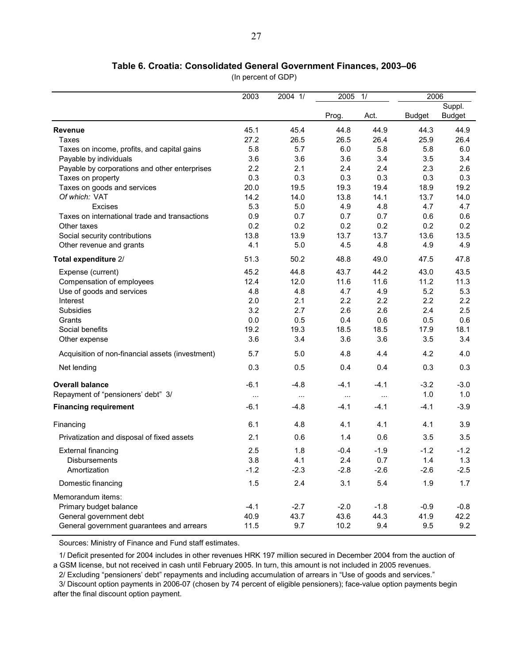#### **Table 6. Croatia: Consolidated General Government Finances, 2003–06**

(In percent of GDP)

|                                                  | 2003          | 2004 1/  | 2005     | 1/       | 2006          |               |
|--------------------------------------------------|---------------|----------|----------|----------|---------------|---------------|
|                                                  |               |          |          |          |               | Suppl.        |
|                                                  |               |          | Prog.    | Act.     | <b>Budget</b> | <b>Budget</b> |
| <b>Revenue</b>                                   | 45.1          | 45.4     | 44.8     | 44.9     | 44.3          | 44.9          |
| Taxes                                            | 27.2          | 26.5     | 26.5     | 26.4     | 25.9          | 26.4          |
| Taxes on income, profits, and capital gains      | 5.8           | 5.7      | 6.0      | 5.8      | 5.8           | 6.0           |
| Payable by individuals                           | 3.6           | 3.6      | 3.6      | 3.4      | 3.5           | 3.4           |
| Payable by corporations and other enterprises    | 2.2           | 2.1      | 2.4      | 2.4      | 2.3           | 2.6           |
| Taxes on property                                | 0.3           | 0.3      | 0.3      | 0.3      | 0.3           | 0.3           |
| Taxes on goods and services                      | 20.0          | 19.5     | 19.3     | 19.4     | 18.9          | 19.2          |
| Of which: VAT                                    | 14.2          | 14.0     | 13.8     | 14.1     | 13.7          | 14.0          |
| Excises                                          | 5.3           | 5.0      | 4.9      | 4.8      | 4.7           | 4.7           |
| Taxes on international trade and transactions    | 0.9           | 0.7      | 0.7      | 0.7      | 0.6           | 0.6           |
| Other taxes                                      | 0.2           | 0.2      | 0.2      | 0.2      | 0.2           | 0.2           |
| Social security contributions                    | 13.8          | 13.9     | 13.7     | 13.7     | 13.6          | 13.5          |
| Other revenue and grants                         | 4.1           | 5.0      | 4.5      | 4.8      | 4.9           | 4.9           |
| Total expenditure 2/                             | 51.3          | 50.2     | 48.8     | 49.0     | 47.5          | 47.8          |
| Expense (current)                                | 45.2          | 44.8     | 43.7     | 44.2     | 43.0          | 43.5          |
| Compensation of employees                        | 12.4          | 12.0     | 11.6     | 11.6     | 11.2          | 11.3          |
| Use of goods and services                        | 4.8           | 4.8      | 4.7      | 4.9      | 5.2           | 5.3           |
| Interest                                         | 2.0           | 2.1      | 2.2      | 2.2      | 2.2           | 2.2           |
| Subsidies                                        | 3.2           | 2.7      | 2.6      | 2.6      | 2.4           | 2.5           |
| Grants                                           | 0.0           | 0.5      | 0.4      | 0.6      | 0.5           | 0.6           |
| Social benefits                                  | 19.2          | 19.3     | 18.5     | 18.5     | 17.9          | 18.1          |
| Other expense                                    | 3.6           | 3.4      | 3.6      | 3.6      | 3.5           | 3.4           |
| Acquisition of non-financial assets (investment) | 5.7           | 5.0      | 4.8      | 4.4      | 4.2           | 4.0           |
| Net lending                                      | 0.3           | 0.5      | 0.4      | 0.4      | 0.3           | 0.3           |
| <b>Overall balance</b>                           | $-6.1$        | $-4.8$   | $-4.1$   | $-4.1$   | $-3.2$        | $-3.0$        |
| Repayment of "pensioners' debt" 3/               | $\sim$ $\sim$ | $\cdots$ | $\cdots$ | $\ddots$ | 1.0           | 1.0           |
| <b>Financing requirement</b>                     | $-6.1$        | $-4.8$   | $-4.1$   | $-4.1$   | $-4.1$        | $-3.9$        |
| Financing                                        | 6.1           | 4.8      | 4.1      | 4.1      | 4.1           | 3.9           |
| Privatization and disposal of fixed assets       | 2.1           | 0.6      | 1.4      | 0.6      | 3.5           | 3.5           |
| <b>External financing</b>                        | 2.5           | 1.8      | $-0.4$   | $-1.9$   | $-1.2$        | $-1.2$        |
| <b>Disbursements</b>                             | 3.8           | 4.1      | 2.4      | 0.7      | 1.4           | 1.3           |
| Amortization                                     | $-1.2$        | $-2.3$   | $-2.8$   | $-2.6$   | $-2.6$        | $-2.5$        |
| Domestic financing                               | 1.5           | 2.4      | 3.1      | 5.4      | 1.9           | 1.7           |
| Memorandum items:                                |               |          |          |          |               |               |
| Primary budget balance                           | $-4.1$        | $-2.7$   | $-2.0$   | $-1.8$   | $-0.9$        | $-0.8$        |
| General government debt                          | 40.9          | 43.7     | 43.6     | 44.3     | 41.9          | 42.2          |
| General government guarantees and arrears        | 11.5          | 9.7      | 10.2     | 9.4      | 9.5           | 9.2           |

Sources: Ministry of Finance and Fund staff estimates.

1/ Deficit presented for 2004 includes in other revenues HRK 197 million secured in December 2004 from the auction of a GSM license, but not received in cash until February 2005. In turn, this amount is not included in 2005 revenues.

2/ Excluding "pensioners' debt" repayments and including accumulation of arrears in "Use of goods and services."

3/ Discount option payments in 2006-07 (chosen by 74 percent of eligible pensioners); face-value option payments begin after the final discount option payment.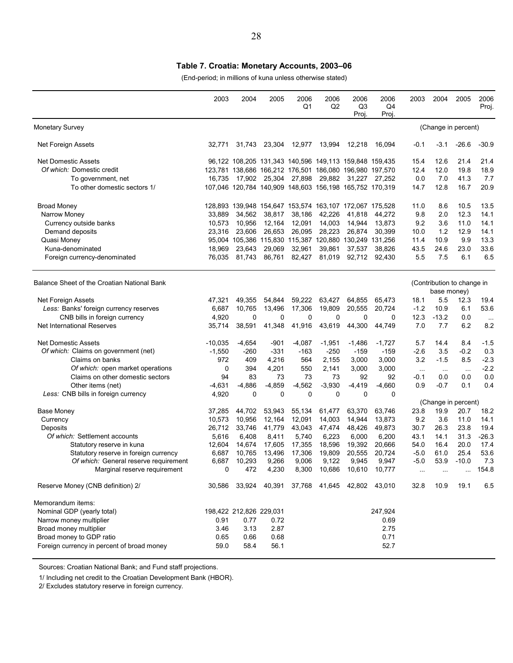### **Table 7. Croatia: Monetary Accounts, 2003–06**

(End-period; in millions of kuna unless otherwise stated)

|                                             | 2003      | 2004                    | 2005     | 2006<br>Q1                                              | 2006<br>Q <sub>2</sub> | 2006<br>Q <sub>3</sub><br>Proj. | 2006<br>Q4<br>Proj | 2003     | 2004                                      | 2005    | 2006<br>Proj. |
|---------------------------------------------|-----------|-------------------------|----------|---------------------------------------------------------|------------------------|---------------------------------|--------------------|----------|-------------------------------------------|---------|---------------|
| Monetary Survey                             |           |                         |          |                                                         |                        |                                 |                    |          | (Change in percent)                       |         |               |
| Net Foreign Assets                          | 32.771    | 31,743                  | 23,304   | 12,977                                                  | 13,994                 | 12,218                          | 16,094             | -0.1     | $-3.1$                                    | $-26.6$ | $-30.9$       |
| Net Domestic Assets                         |           |                         |          | 96,122 108,205 131,343 140,596 149,113 159,848 159,435  |                        |                                 |                    | 15.4     | 12.6                                      | 21.4    | 21.4          |
| Of which: Domestic credit                   |           |                         |          | 123,781 138,686 166,212 176,501 186,080 196,980 197,570 |                        |                                 |                    | 12.4     | 12.0                                      | 19.8    | 18.9          |
| To government, net                          | 16.735    |                         |          | 17,902 25,304 27,898                                    | 29,882                 |                                 | 31.227 27.252      | 0.0      | 7.0                                       | 41.3    | 7.7           |
| To other domestic sectors 1/                |           |                         |          | 107,046 120,784 140,909 148,603 156,198 165,752 170,319 |                        |                                 |                    | 14.7     | 12.8                                      | 16.7    | 20.9          |
| <b>Broad Money</b>                          |           |                         |          | 128,893 139,948 154,647 153,574 163,107 172,067 175,528 |                        |                                 |                    | 11.0     | 8.6                                       | 10.5    | 13.5          |
| Narrow Money                                | 33,889    | 34,562                  | 38,817   | 38,186                                                  | 42,226                 | 41,818                          | 44,272             | 9.8      | 2.0                                       | 12.3    | 14.1          |
| Currency outside banks                      | 10,573    | 10,956                  | 12,164   | 12,091                                                  | 14,003                 | 14,944                          | 13,873             | 9.2      | 3.6                                       | 11.0    | 14.1          |
| Demand deposits                             | 23,316    | 23,606                  | 26,653   | 26,095                                                  | 28,223                 | 26,874                          | 30,399             | 10.0     | 1.2                                       | 12.9    | 14.1          |
| Quasi Money                                 |           |                         |          | 95,004 105,386 115,830 115,387 120,880 130,249 131,256  |                        |                                 |                    | 11.4     | 10.9                                      | 9.9     | 13.3          |
| Kuna-denominated                            | 18,969    | 23,643                  | 29,069   | 32,961                                                  | 39,861                 | 37,537                          | 38,826             | 43.5     | 24.6                                      | 23.0    | 33.6          |
| Foreign currency-denominated                | 76,035    | 81,743                  | 86,761   | 82,427                                                  | 81,019                 | 92,712                          | 92,430             | 55       | 7.5                                       | 6.1     | 6.5           |
| Balance Sheet of the Croatian National Bank |           |                         |          |                                                         |                        |                                 |                    |          | (Contribution to change in<br>base money) |         |               |
| Net Foreign Assets                          | 47,321    | 49,355                  | 54,844   | 59,222                                                  | 63,427                 | 64,855                          | 65,473             | 18.1     | 5.5                                       | 12.3    | 19.4          |
| Less: Banks' foreign currency reserves      | 6,687     | 10,765                  | 13,496   | 17.306                                                  | 19,809                 | 20,555                          | 20.724             | $-1.2$   | 10.9                                      | 6.1     | 53.6          |
| CNB bills in foreign currency               | 4,920     | 0                       | 0        | 0                                                       | 0                      | 0                               | 0                  | 12.3     | $-13.2$                                   | 0.0     | $\ddotsc$     |
| <b>Net International Reserves</b>           | 35,714    | 38,591                  | 41,348   | 41,916                                                  | 43,619                 | 44,300                          | 44,749             | 7.0      | 7.7                                       | 6.2     | 8.2           |
| Net Domestic Assets                         | $-10,035$ | $-4,654$                | -901     | $-4,087$                                                | $-1,951$               | $-1,486$                        | $-1,727$           | 5.7      | 14.4                                      | 8.4     | $-1.5$        |
| Of which: Claims on government (net)        | $-1,550$  | -260                    | $-331$   | $-163$                                                  | $-250$                 | -159                            | $-159$             | $-2.6$   | 3.5                                       | $-0.2$  | 0.3           |
| Claims on banks                             | 972       | 409                     | 4,216    | 564                                                     | 2,155                  | 3,000                           | 3,000              | 3.2      | $-1.5$                                    | 8.5     | $-2.3$        |
| Of which: open market operations            | 0         | 394                     | 4,201    | 550                                                     | 2,141                  | 3,000                           | 3,000              | $\ldots$ | $\ldots$                                  | $\sim$  | $-2.2$        |
| Claims on other domestic sectors            | 94        | 83                      | 73       | 73                                                      | 73                     | 92                              | 92                 | $-0.1$   | 0.0                                       | 0.0     | 0.0           |
| Other items (net)                           | $-4,631$  | $-4,886$                | $-4,859$ | $-4,562$                                                | $-3,930$               | $-4,419$                        | $-4,660$           | 0.9      | $-0.7$                                    | 0.1     | 0.4           |
| Less: CNB bills in foreign currency         | 4,920     | 0                       | 0        | 0                                                       | 0                      | 0                               | 0                  |          |                                           |         |               |
|                                             |           |                         |          |                                                         |                        |                                 |                    |          | (Change in percent)                       |         |               |
| <b>Base Money</b>                           | 37,285    | 44,702                  | 53,943   | 55,134                                                  | 61,477                 | 63,370                          | 63,746             | 23.8     | 19.9                                      | 20.7    | 18.2          |
| Currency                                    | 10,573    | 10,956                  | 12,164   | 12,091                                                  | 14,003                 | 14,944                          | 13,873             | 9.2      | 3.6                                       | 11.0    | 14.1          |
| Deposits                                    | 26.712    | 33,746                  | 41,779   | 43,043                                                  | 47,474                 | 48,426                          | 49,873             | 30.7     | 26.3                                      | 23.8    | 19.4          |
| Of which: Settlement accounts               | 5,616     | 6,408                   | 8,411    | 5,740                                                   | 6,223                  | 6,000                           | 6,200              | 43.1     | 14.1                                      | 31.3    | $-26.3$       |
| Statutory reserve in kuna                   | 12,604    | 14,674                  | 17,605   | 17,355                                                  | 18,596                 | 19,392                          | 20,666             | 54.0     | 16.4                                      | 20.0    | 17.4          |
| Statutory reserve in foreign currency       | 6,687     | 10,765                  | 13,496   | 17,306                                                  | 19,809                 | 20,555                          | 20,724             | $-5.0$   | 61.0                                      | 25.4    | 53.6          |
| Of which: General reserve requirement       | 6,687     | 10,293                  | 9,266    | 9,006                                                   | 9,122                  | 9,945                           | 9,947              | $-5.0$   | 53.9                                      | $-10.0$ | 7.3           |
| Marginal reserve requirement                | 0         | 472                     | 4,230    | 8,300                                                   | 10,686                 | 10,610                          | 10,777             |          |                                           |         | 154.8         |
| Reserve Money (CNB definition) 2/           | 30,586    | 33,924                  | 40,391   |                                                         |                        | 37,768 41,645 42,802 43,010     |                    | 32.8     | 10.9                                      | 19.1    | 6.5           |
| Memorandum items:                           |           |                         |          |                                                         |                        |                                 |                    |          |                                           |         |               |
| Nominal GDP (yearly total)                  |           | 198,422 212,826 229,031 |          |                                                         |                        |                                 | 247,924            |          |                                           |         |               |
| Narrow money multiplier                     | 0.91      | 0.77                    | 0.72     |                                                         |                        |                                 | 0.69               |          |                                           |         |               |
| Broad money multiplier                      | 3.46      | 3.13                    | 2.87     |                                                         |                        |                                 | 2.75               |          |                                           |         |               |
| Broad money to GDP ratio                    | 0.65      | 0.66                    | 0.68     |                                                         |                        |                                 | 0.71               |          |                                           |         |               |
| Foreign currency in percent of broad money  | 59.0      | 58.4                    | 56.1     |                                                         |                        |                                 | 52.7               |          |                                           |         |               |

Sources: Croatian National Bank; and Fund staff projections.

1/ Including net credit to the Croatian Development Bank (HBOR).

2/ Excludes statutory reserve in foreign currency.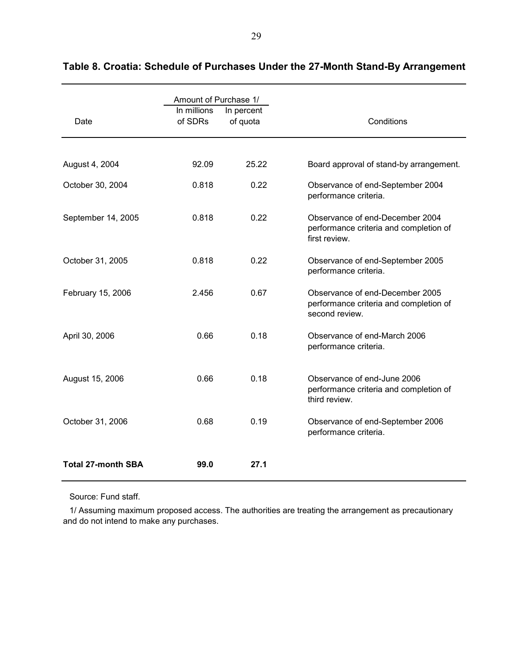|                           | Amount of Purchase 1/  |                        |                                                                                             |
|---------------------------|------------------------|------------------------|---------------------------------------------------------------------------------------------|
| Date                      | In millions<br>of SDRs | In percent<br>of quota | Conditions                                                                                  |
|                           |                        |                        |                                                                                             |
| August 4, 2004            | 92.09                  | 25.22                  | Board approval of stand-by arrangement.                                                     |
| October 30, 2004          | 0.818                  | 0.22                   | Observance of end-September 2004<br>performance criteria.                                   |
| September 14, 2005        | 0.818                  | 0.22                   | Observance of end-December 2004<br>performance criteria and completion of<br>first review.  |
| October 31, 2005          | 0.818                  | 0.22                   | Observance of end-September 2005<br>performance criteria.                                   |
| February 15, 2006         | 2.456                  | 0.67                   | Observance of end-December 2005<br>performance criteria and completion of<br>second review. |
| April 30, 2006            | 0.66                   | 0.18                   | Observance of end-March 2006<br>performance criteria.                                       |
| August 15, 2006           | 0.66                   | 0.18                   | Observance of end-June 2006<br>performance criteria and completion of<br>third review.      |
| October 31, 2006          | 0.68                   | 0.19                   | Observance of end-September 2006<br>performance criteria.                                   |
| <b>Total 27-month SBA</b> | 99.0                   | 27.1                   |                                                                                             |

# **Table 8. Croatia: Schedule of Purchases Under the 27-Month Stand-By Arrangement**

Source: Fund staff.

1/ Assuming maximum proposed access. The authorities are treating the arrangement as precautionary and do not intend to make any purchases.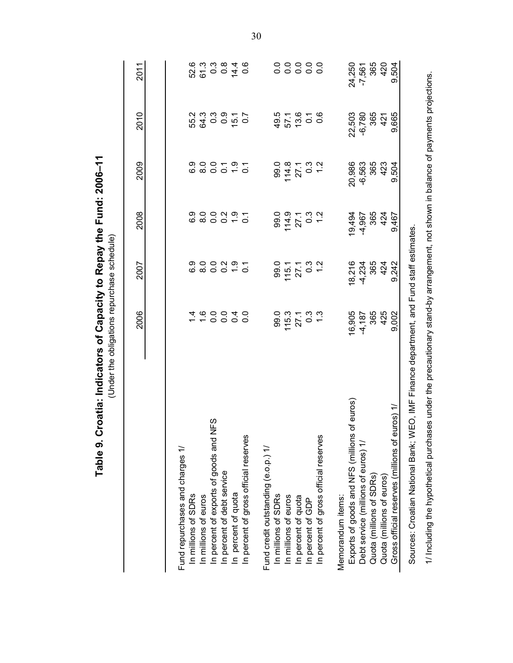| Table 9. Croatia: Indicators of Capacity to Repay the Fund: 2006-11                               | (Under the obligations repurchase schedule) |                                      |            |            |                      |                  |
|---------------------------------------------------------------------------------------------------|---------------------------------------------|--------------------------------------|------------|------------|----------------------|------------------|
|                                                                                                   | 2006                                        | 2007                                 | 2008       | 2009       | 2010                 | 2011             |
| Fund repurchases and charges 1/                                                                   |                                             |                                      |            |            |                      |                  |
| In millions of SDRs                                                                               |                                             |                                      |            |            |                      |                  |
| In millions of euros                                                                              | $\frac{6000}{7000}$                         | 0,000<br>0000                        |            | 0.00707    | ちゅうりょうしょう しょうしょう     | 52.6<br>61.3     |
| INFS<br>In percent of exports of goods and                                                        |                                             |                                      |            |            |                      | $0.84$<br>$0.84$ |
| In percent of debt service                                                                        |                                             |                                      |            |            |                      |                  |
| In percent of quota                                                                               | 0.4                                         | $\frac{9}{2}$ 5.1                    |            |            |                      |                  |
| In percent of gross official reserves                                                             | $\overline{0}$ .                            |                                      |            |            |                      | 0.6              |
| Fund credit outstanding (e.o.p.) 1/                                                               |                                             |                                      |            |            |                      |                  |
| In millions of SDRs                                                                               | 99.0                                        | 99.0                                 | 99.0       | 99.0       |                      |                  |
| In millions of euros                                                                              | $115.3$<br>27.1                             | 115.1                                | 114.9      | 114.8      | 49.5<br>57.1<br>13.6 |                  |
| In percent of quota                                                                               |                                             | 27.1                                 | 27.1       | 27.1       |                      | 。。。。。。<br>。。。。。。 |
| In percent of GDP                                                                                 | 0.3<br>1.3                                  | $0.\overline{0}$<br>$7.\overline{0}$ | 0.2<br>0.4 | 0.2<br>0.1 | $\frac{7}{0.6}$      |                  |
| In percent of gross official reserves                                                             |                                             |                                      |            |            |                      |                  |
| Memorandum items:                                                                                 |                                             |                                      |            |            |                      |                  |
| of euros<br>Exports of goods and NFS (millions                                                    | 16,905                                      | 18,216                               | 19,494     | 20,986     | 22,503               | 24,250           |
| Debt service (millions of euros) 1/                                                               | $-4,187$                                    | $-4,234$                             | -4,967     | $-6,563$   | $-6,780$             | $-7,561$         |
| Quota (millions of SDRs)                                                                          | 365                                         | 365                                  | 365        | 365        | 365                  | 365              |
| Quota (millions of euros)                                                                         | 425                                         | 424                                  | 424        | 423        | 421                  | 420              |
| Gross official reserves (millions of euros) 1/                                                    | 9,002                                       | 9,242                                | 9,467      | 9,504      | 9,665                | 9,504            |
| <b>EO, IMF Finance department, and Fund staff estimates</b><br>Sources: Croatian National Bank; W |                                             |                                      |            |            |                      |                  |

1/ Including the hypothetical purchases under the precautionary stand-by arrangement, not shown in balance of payments projections. 1/ Including the hypothetical purchases under the precautionary stand-by arrangement, not shown in balance of payments projections.

30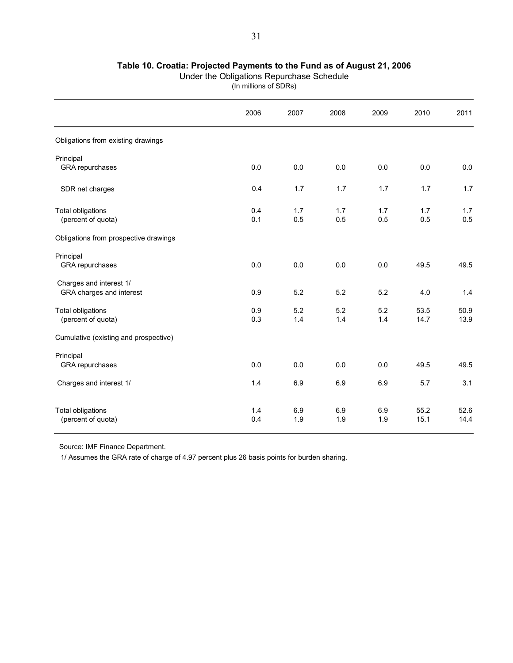### **Table 10. Croatia: Projected Payments to the Fund as of August 21, 2006**

(In millions of SDRs)

|                                                     | 2006       | 2007       | 2008       | 2009       | 2010         | 2011         |
|-----------------------------------------------------|------------|------------|------------|------------|--------------|--------------|
| Obligations from existing drawings                  |            |            |            |            |              |              |
| Principal<br>GRA repurchases                        | 0.0        | 0.0        | 0.0        | 0.0        | 0.0          | 0.0          |
| SDR net charges                                     | 0.4        | 1.7        | 1.7        | 1.7        | 1.7          | 1.7          |
| <b>Total obligations</b><br>(percent of quota)      | 0.4<br>0.1 | 1.7<br>0.5 | 1.7<br>0.5 | 1.7<br>0.5 | 1.7<br>0.5   | 1.7<br>0.5   |
| Obligations from prospective drawings               |            |            |            |            |              |              |
| Principal<br>GRA repurchases                        | 0.0        | 0.0        | 0.0        | 0.0        | 49.5         | 49.5         |
| Charges and interest 1/<br>GRA charges and interest | 0.9        | 5.2        | 5.2        | 5.2        | 4.0          | 1.4          |
| <b>Total obligations</b><br>(percent of quota)      | 0.9<br>0.3 | 5.2<br>1.4 | 5.2<br>1.4 | 5.2<br>1.4 | 53.5<br>14.7 | 50.9<br>13.9 |
| Cumulative (existing and prospective)               |            |            |            |            |              |              |
| Principal<br>GRA repurchases                        | 0.0        | 0.0        | 0.0        | 0.0        | 49.5         | 49.5         |
| Charges and interest 1/                             | 1.4        | 6.9        | 6.9        | 6.9        | 5.7          | 3.1          |
| <b>Total obligations</b><br>(percent of quota)      | 1.4<br>0.4 | 6.9<br>1.9 | 6.9<br>1.9 | 6.9<br>1.9 | 55.2<br>15.1 | 52.6<br>14.4 |

Source: IMF Finance Department.

1/ Assumes the GRA rate of charge of 4.97 percent plus 26 basis points for burden sharing.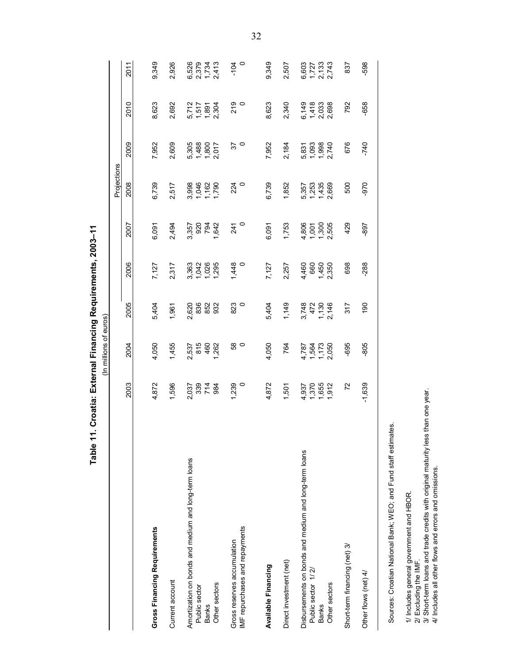| Table 1                                               |                                  | In millions of euros            |                                                 | 1. Croatia: External Financing Requirements, 2003–11 |                                          |                                  |                         |                                                     |                                  |
|-------------------------------------------------------|----------------------------------|---------------------------------|-------------------------------------------------|------------------------------------------------------|------------------------------------------|----------------------------------|-------------------------|-----------------------------------------------------|----------------------------------|
|                                                       |                                  |                                 |                                                 |                                                      |                                          | Projections                      |                         |                                                     |                                  |
|                                                       | 2003                             | 2004                            | 2005                                            | 2006                                                 | 2007                                     | 2008                             | 2009                    | 2010                                                | 2011                             |
|                                                       |                                  |                                 |                                                 |                                                      |                                          |                                  |                         |                                                     |                                  |
| Gross Financing Requirements                          | 4,872                            | 4,050                           | 5,404                                           | 7,127                                                | 6,091                                    | 6,739                            | 7,952                   | 8,623                                               | 9,349                            |
| Current account                                       | 1,596                            | 1,455                           | 1,961                                           | 2,317                                                | 2,494                                    | 2,517                            | 2,609                   | 2,692                                               | 2,926                            |
| Amortization on bonds and medium and long-term loans  |                                  |                                 |                                                 |                                                      |                                          |                                  | 5,305                   |                                                     |                                  |
| Public sector<br><b>Banks</b>                         | 2,037<br>339<br>2,034<br>2,034   | 2,537<br>815<br>1,262<br>1,262  | 0.62<br>0.83<br>0.83<br>0.932                   | $363$<br>$728$<br>$728$<br>$729$<br>$729$            |                                          | 3,998<br>1,046<br>1,790<br>1,790 | 1,488<br>1,800<br>2,017 | 5,712<br>1,517<br>1,8914<br>2,304                   |                                  |
| Other sectors                                         |                                  |                                 |                                                 |                                                      |                                          |                                  |                         |                                                     |                                  |
| Gross reserves accumulation                           | 1,239                            | $\frac{8}{5}$                   | 823                                             | 1,448                                                | 241                                      | 224                              | 57                      | 219                                                 | $-104$                           |
| IMF repurchases and repayments                        |                                  |                                 | $\circ$                                         |                                                      | $\circ$                                  | $\circ$                          | $\circ$                 | $\circ$                                             | $\circ$                          |
| Available Financing                                   | 4,872                            | 4,050                           | 5,404                                           | 7,127                                                | 6,091                                    | 6,739                            | 7,952                   | 8,623                                               | 9,349                            |
| Direct investment (net)                               | 1,501                            | 764                             | 1,149                                           | 2,257                                                | 1,753                                    | 1,852                            | 2,184                   | 2,340                                               | 2,507                            |
| Disbursements on bonds and medium and long-term loans |                                  |                                 |                                                 | 4,460<br>660                                         |                                          | 5,357                            | 5,831<br>1,093          |                                                     |                                  |
| Public sector 1/2/<br><b>Banks</b>                    | 4,370<br>1,370<br>1,655<br>1,912 | 4,787<br>1,564<br>1,73<br>1,730 | $3,748$<br>$472$<br>$7,470$<br>$7,46$<br>$7,46$ |                                                      | $4,001$<br>$7,300$<br>$7,505$<br>$2,505$ | 1,253                            |                         | $6, 48$<br>$4, 63$<br>$6, 68$<br>$6, 68$<br>$6, 68$ | 6,603<br>1,727<br>2,743<br>2,743 |
| Other sectors                                         |                                  |                                 |                                                 | 1,450<br>2,350                                       |                                          | 1,435<br>2,669                   | 1,998<br>2,740          |                                                     |                                  |
| Short-term financing (net) 3/                         | $\overline{r}$                   | -695                            | 317                                             | 698                                                  | 429                                      | 500                              | 676                     | 792                                                 | 837                              |
| Other flows (net) 4/                                  | $-1,639$                         | -805                            | 190                                             | $-288$                                               | -897                                     | -970                             | $-740$                  | -658                                                | -598                             |

Sources: Croatian National Bank; WEO; and Fund staff estimates. Sources: Croatian National Bank; WEO; and Fund staff estimates.

1/ Includes general government and HBOR.<br>2/ Excluding the IMF. 1/ Includes general government and HBOR.

2/ Excluding the IMF.

3/ Short-term loans and trade credits with original maturity less than one year. 3/ Short-term loans and trade credits with original maturity less than one year.<br>4/ Includes all other flows and errors and omissions.

4/ Includes all other flows and errors and omissions.

Table 11. Croatia: External Financing Requirements, 2003-11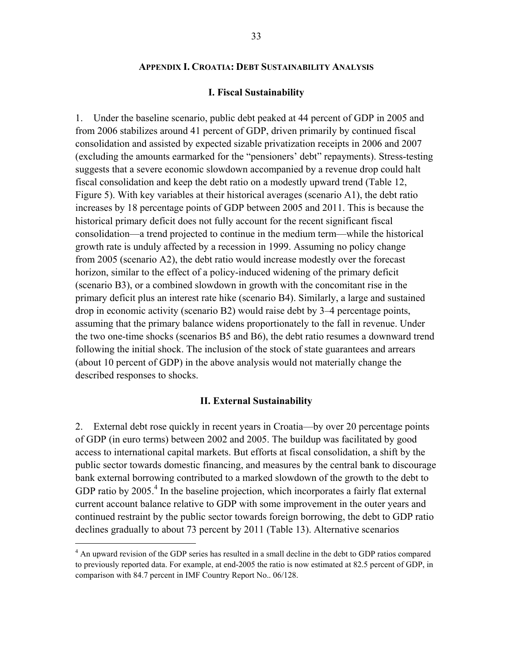#### **APPENDIX I. CROATIA: DEBT SUSTAINABILITY ANALYSIS**

#### **I. Fiscal Sustainability**

1. Under the baseline scenario, public debt peaked at 44 percent of GDP in 2005 and from 2006 stabilizes around 41 percent of GDP, driven primarily by continued fiscal consolidation and assisted by expected sizable privatization receipts in 2006 and 2007 (excluding the amounts earmarked for the "pensioners' debt" repayments). Stress-testing suggests that a severe economic slowdown accompanied by a revenue drop could halt fiscal consolidation and keep the debt ratio on a modestly upward trend (Table 12, Figure 5). With key variables at their historical averages (scenario A1), the debt ratio increases by 18 percentage points of GDP between 2005 and 2011. This is because the historical primary deficit does not fully account for the recent significant fiscal consolidation—a trend projected to continue in the medium term—while the historical growth rate is unduly affected by a recession in 1999. Assuming no policy change from 2005 (scenario A2), the debt ratio would increase modestly over the forecast horizon, similar to the effect of a policy-induced widening of the primary deficit (scenario B3), or a combined slowdown in growth with the concomitant rise in the primary deficit plus an interest rate hike (scenario B4). Similarly, a large and sustained drop in economic activity (scenario B2) would raise debt by 3–4 percentage points, assuming that the primary balance widens proportionately to the fall in revenue. Under the two one-time shocks (scenarios B5 and B6), the debt ratio resumes a downward trend following the initial shock. The inclusion of the stock of state guarantees and arrears (about 10 percent of GDP) in the above analysis would not materially change the described responses to shocks.

#### **II. External Sustainability**

2. External debt rose quickly in recent years in Croatia—by over 20 percentage points of GDP (in euro terms) between 2002 and 2005. The buildup was facilitated by good access to international capital markets. But efforts at fiscal consolidation, a shift by the public sector towards domestic financing, and measures by the central bank to discourage bank external borrowing contributed to a marked slowdown of the growth to the debt to GDP ratio by  $2005<sup>4</sup>$  In the baseline projection, which incorporates a fairly flat external current account balance relative to GDP with some improvement in the outer years and continued restraint by the public sector towards foreign borrowing, the debt to GDP ratio declines gradually to about 73 percent by 2011 (Table 13). Alternative scenarios

1

<sup>&</sup>lt;sup>4</sup> An upward revision of the GDP series has resulted in a small decline in the debt to GDP ratios compared to previously reported data. For example, at end-2005 the ratio is now estimated at 82.5 percent of GDP, in comparison with 84.7 percent in IMF Country Report No.. 06/128.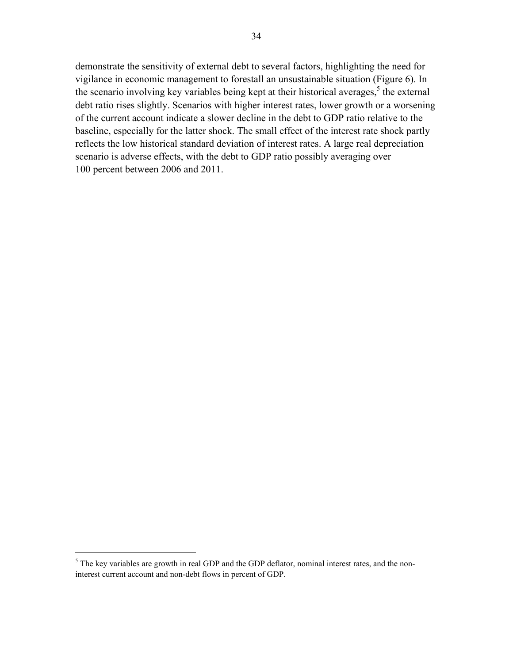demonstrate the sensitivity of external debt to several factors, highlighting the need for vigilance in economic management to forestall an unsustainable situation (Figure 6). In the scenario involving key variables being kept at their historical averages, $5$  the external debt ratio rises slightly. Scenarios with higher interest rates, lower growth or a worsening of the current account indicate a slower decline in the debt to GDP ratio relative to the baseline, especially for the latter shock. The small effect of the interest rate shock partly reflects the low historical standard deviation of interest rates. A large real depreciation scenario is adverse effects, with the debt to GDP ratio possibly averaging over 100 percent between 2006 and 2011.

 $\overline{a}$ 

 $<sup>5</sup>$  The key variables are growth in real GDP and the GDP deflator, nominal interest rates, and the non-</sup> interest current account and non-debt flows in percent of GDP.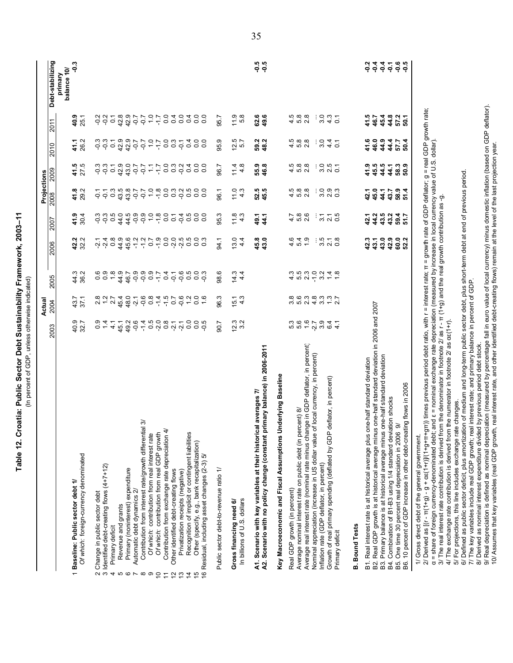Table 12. Croatia: Public Sector Debt Sustainability Framework, 2003-11 **Table 12. Croatia: Public Sector Debt Sustainability Framework, 2003–11** (In percent of GDP, unless otherwise indicated) (In percent of GDP, unless otherwise indicated)

|                                                                                                                                                                                                                                                                                                                                                                                                                                                                                                                                                                                                                                                                                                                                                                                                                                                                                   |                                                                                                                                                                         | Actual                                                                                                                                                                    |                                                                                                                                                                                                                   |                                                                                                                                                                                |                                                                                                                                                                                                   | Projections                                                                                                                                                                                     |                                                                                                                                        |                                                                                                                                             |                                                                                                     |                                                                             |
|-----------------------------------------------------------------------------------------------------------------------------------------------------------------------------------------------------------------------------------------------------------------------------------------------------------------------------------------------------------------------------------------------------------------------------------------------------------------------------------------------------------------------------------------------------------------------------------------------------------------------------------------------------------------------------------------------------------------------------------------------------------------------------------------------------------------------------------------------------------------------------------|-------------------------------------------------------------------------------------------------------------------------------------------------------------------------|---------------------------------------------------------------------------------------------------------------------------------------------------------------------------|-------------------------------------------------------------------------------------------------------------------------------------------------------------------------------------------------------------------|--------------------------------------------------------------------------------------------------------------------------------------------------------------------------------|---------------------------------------------------------------------------------------------------------------------------------------------------------------------------------------------------|-------------------------------------------------------------------------------------------------------------------------------------------------------------------------------------------------|----------------------------------------------------------------------------------------------------------------------------------------|---------------------------------------------------------------------------------------------------------------------------------------------|-----------------------------------------------------------------------------------------------------|-----------------------------------------------------------------------------|
|                                                                                                                                                                                                                                                                                                                                                                                                                                                                                                                                                                                                                                                                                                                                                                                                                                                                                   | 2003                                                                                                                                                                    | 2004                                                                                                                                                                      | 2005                                                                                                                                                                                                              | 2006                                                                                                                                                                           | 2007                                                                                                                                                                                              | 2008                                                                                                                                                                                            | 2009                                                                                                                                   | 2010                                                                                                                                        | 2011                                                                                                | Debt-stabilizing                                                            |
|                                                                                                                                                                                                                                                                                                                                                                                                                                                                                                                                                                                                                                                                                                                                                                                                                                                                                   |                                                                                                                                                                         |                                                                                                                                                                           |                                                                                                                                                                                                                   |                                                                                                                                                                                |                                                                                                                                                                                                   |                                                                                                                                                                                                 |                                                                                                                                        |                                                                                                                                             |                                                                                                     | balance 10/<br>primary                                                      |
| Of which: foreign-currency denominated<br>1 Baseline: Public sector debt 1/                                                                                                                                                                                                                                                                                                                                                                                                                                                                                                                                                                                                                                                                                                                                                                                                       | 40.9<br>32.7                                                                                                                                                            | 43.7<br>37.1                                                                                                                                                              | 44.3<br>36.2                                                                                                                                                                                                      | 42.2<br>32.2                                                                                                                                                                   | 30.4<br>41.9                                                                                                                                                                                      | $41.8$<br>29.2                                                                                                                                                                                  | $41.5$<br>$27.5$                                                                                                                       | 26.2<br>41.1                                                                                                                                | 40.9<br>25.1                                                                                        | ှိ                                                                          |
| $a1$ 3/<br>Contribution from exchange rate depreciation 4/<br>Contribution from interest rate/growth differenti<br>Of which: contribution from real interest rate<br>Of which: contribution from real GDP growth<br>Recognition of implicit or contingent liabilities<br>Other (specify, e.g., bank recapitalization)<br>16 Residual, including asset changes (2-3) 5/<br>2 Change in public sector ueble<br>3 Identified debt-creating flows (4+7+12)<br>Primary (noninterest) expenditure<br>Public sector debt-to-revenue ratio 1/<br>Other identified debt-creating flows<br>Privatization receipts (negative)<br>Automatic debt dynamics 2/<br>In billions of U.S. dollars<br>Gross financing need 6/<br>Revenue and grants<br>Primary deficit<br>4<br>5<br>$\circ$<br>ၜ<br>$\frac{3}{2}$<br>$\overline{ }$<br>$\infty$<br>S<br>$\tilde{c}$<br>$\overline{4}$<br>$\tilde{t}$ | 8770<br>8790<br>12.3<br>49.2<br>$-0.6$<br>$-1.4$<br>0.5<br>0.91<br>$\overline{0}$ .<br>3.2<br>$\frac{0}{2}$<br>$\frac{4}{1}$<br>45.1<br>$-0.5$<br>90.7<br>$\frac{1}{4}$ | $49.76$<br>$49.76$<br>0.4<br>$2.8$<br>$7.2$<br>2.7<br>$7.5$<br>$-0.5$<br>$-1.5$<br>$\frac{1}{2}$<br>$\overline{0}$ .<br>$\frac{6}{1}$<br>96.3<br>$4.\overline{3}$<br>15.1 | <b>이 이 이 느</b><br>이 이 이 누<br>98.6<br>14.3<br>ဇဝ<br>ဝဝ<br>1.8<br>44.7<br>46.7<br>$\begin{array}{c} 4 & - & 6 & 0 \\ 0 & 0 & 0 \\ 0 & 0 & 0 \end{array}$<br>$\overline{0}$ .<br>$0.\overline{3}$<br>$4\overline{4}$ | $-1.9$<br>$0.\overline{8}$<br>44.9<br>45.6<br>$7.2$<br>$7.2$<br>0 0 10 10<br>0 0 10 10<br>$4\overline{4}$<br>$\overline{0}$<br>$0.\overline{3}$<br>13.0<br>$-2, 4$<br>त्र<br>अ | 0.5<br>44.0<br>44.5<br>$\begin{array}{ccc} \circ & \circ & \circ & \circ \\ \circ & \circ & \circ & \circ \\ \end{array}$<br>0.74<br>5<br>5<br>5<br>5<br>5<br>5<br>95.3<br>11.8<br>ဂုံ ဂုံ<br>4.3 | 43.8<br>43.8<br>$\frac{0}{1}$ $\frac{0}{0}$<br>0.002<br>$\overline{0.5}$<br>$\frac{3}{2}$<br>$-0.7$<br>$\overline{0}$<br>$\overline{0}$<br>11.0<br>$4.\overline{3}$<br>$-0.7$<br>96.1<br>$-5.7$ | ဂုံ ဂုံ<br>42.0<br>43.0<br>o m n 4 0 0<br>O 0 0 0 0 0<br>$\overline{0}$ .<br>$7.5 - 0.7$<br>$-1.7$<br>96.7<br>11.4<br>$4.\overline{8}$ | 42.9<br>42.9<br>7.7<br>0.007<br>$\overline{0}$ .<br>95.9<br>12.5<br>ဂုံ ဂုံ<br>7.7<br>7.9<br>0.4<br>$\overline{0}$<br>5.7<br>$\overline{O}$ | 0404<br>$\overline{0}$ .<br>$\overline{0}$<br>11.9<br>5.8<br>2 2 9<br>2 9<br>$\overline{O}$<br>95.7 |                                                                             |
| Average real interest rate (nominal rate minus change in GDP deflator, in percent)<br>A2. Scenario with no policy change (constant primary balance) in 2006-2011<br>of local currency, in percent)<br><b>Jnderlying Baseline</b><br>deflator, in percent)<br>A1. Scenario with key variables at their historical averages 7/<br>Average nominal interest rate on public debt (in percent) 8/<br>Nominal appreciation (increase in US dollar value<br>Growth of real primary spending (deflated by GDP<br>Key Macroeconomic and Fiscal Assumptions<br>Inflation rate (GDP deflator, in percent)<br>Real GDP growth (in percent)<br><b>B.</b> Bound Tests<br>Primary deficit                                                                                                                                                                                                        | 5.3<br>5.6<br>1.6<br>$3.\overline{9}$<br>$-2.7$<br>6.4<br>4,1                                                                                                           | 8 6 6 7 8 9 7 7<br>8 9 9 9 9 7 9 7                                                                                                                                        | $4.0.9.0.0.4$<br>$4.0.9.0.0.4$                                                                                                                                                                                    | 45.8<br>43.0<br>$\frac{54}{4}$<br>3.5<br>4.6<br>÷<br>$\frac{8}{2}$<br>$\overline{2.1}$                                                                                         | 5.8<br>2.6<br>44.1<br>4.7<br>5 1 5<br>6 1 6<br>49.1                                                                                                                                               | 452<br>452<br>52.5<br>45.5<br>0.900                                                                                                                                                             | $4.088$<br>$2.08$<br>55.9<br>46.8<br>$300 - 100$                                                                                       | 4 10 11<br>4 10 11<br>3.0<br>59.2<br>48.2<br>$4\overline{4}$<br>÷<br>$\overline{c}$                                                         | 62.6<br>49.6<br>4 10 11<br>4 10 11<br>4.3<br>3.0<br>÷<br>$\overline{C}$                             | -0.5<br>-9.5                                                                |
| is one-half standard deviation in 2006 and 2007<br>one-half standard deviation<br>B1. Real interest rate is at historical average plus one-half standard deviation<br>10 percent of GDP increase in other debt-creating flows in 2006<br>B4. Combination of B1-B3 using 1/4 standard deviation shocks<br>ଚ<br>B2. Real GDP growth is at historical average minu<br>B3. Primary balance is at historical average minus<br>B5. One time 30 percent real depreciation in 2006                                                                                                                                                                                                                                                                                                                                                                                                        |                                                                                                                                                                         |                                                                                                                                                                           |                                                                                                                                                                                                                   | 42.9<br>60.0<br>42.3<br>43.0<br>52.2<br>43.1                                                                                                                                   | 44.2<br>43.5<br>43.2<br>59.4<br>51.7<br>42.1                                                                                                                                                      | 45.0<br>58.9<br>51.4<br>42.1<br>41<br>43.7                                                                                                                                                      | $45.5$<br>$44.5$<br>$4888$<br>$489$<br>41.9                                                                                            | 41.6<br>46.0<br>44.9<br>44.4<br>57.7<br>50.4                                                                                                | 41.5<br>$4450$<br>$4601$<br>$4601$<br>46.7                                                          | $-0.6$<br>-9.5<br>$-9.4$<br>$-0.4$<br>$\frac{2}{9}$<br>$\ddot{\phantom{0}}$ |
| 2/ Derived as [(r - π(1+q) - g + αε(1+r) /(1+q+π+qπ)) times previous period debt ratio, with r = interest rate; π = growth rate of GDP deflator; g = real GDP growth rate;<br>1/ Gross direct debt of the general government.                                                                                                                                                                                                                                                                                                                                                                                                                                                                                                                                                                                                                                                     |                                                                                                                                                                         |                                                                                                                                                                           |                                                                                                                                                                                                                   |                                                                                                                                                                                |                                                                                                                                                                                                   |                                                                                                                                                                                                 |                                                                                                                                        |                                                                                                                                             |                                                                                                     |                                                                             |

2/ Derived as [(r - +g + g + g + α = (α=(1+r)] π)) times previous period debt ratio, with r = interest rate;

∠/ Deriweu as |(ι - ιι ( τчg ) - g + uε ( ι τι )/( ι τg+ιι+gιι) / unies previous periou deci ratuo, witi r – interest rate, in – grown rate on opr oenator, g – rear of<br>α = share of foreign currency-denominated debt; and α = share of foreign currency-denominated debt; and ε = nominal exchange rate depreciation (measured by increase in local currency value of U.S. dollar).

3/ The real interest rate contribution is derived from the denominator in footnote 2/ as r π (1+g) and the real growth contribution as -g.

4/ The exchange rate contribution is derived from the numerator in footnote 2/ as αε(1+r). 4/ The exchange rate contribution is derived from the numerator in footnote 2/ as  $\alpha \epsilon (1+r)$ .

5/ For projections, this line includes exchange rate changes.

6/ Defined as public sector deficit, plus amortization of medium and long-term public sector debt, plus short-term debt at end of previous period. 5/ For projections, this line includes exchange rate changes.<br>6/ Defined as public sector deficit, plus amortization of medium and long-term public sector debt, plus short-term debt at end of previous period.

7/ The key variables include real GDP growth; real interest rate; and primary balance in percent of GDP. 7/ The key variables include real GDP growth; real interest rate; and primary balance in percent of GDP. 8/ Derived as nominal interest expenditure divided by previous period debt stock. 8/ Derived as nominal interest expenditure divided by previous period debt stock.

9/ Real depreciation is defined as nominal depreciation (measured by percentage fall in euro value of local currency) minus domestic inflation (based on GDP deflator). 9/ Real depreciation is defined as nominal depreciation (measured by percentage fall in euro value of local currency) minus domestic inflation (based on GDP deflator).

10/ Assumes that key variables (real GDP growth, real interest rate, and other identified debt-creating flows) remain at the level of the last projection year. 10/ Assumes that key variables (real GDP growth, real interest rate, and other identified debt-creating flows) remain at the level of the last projection year.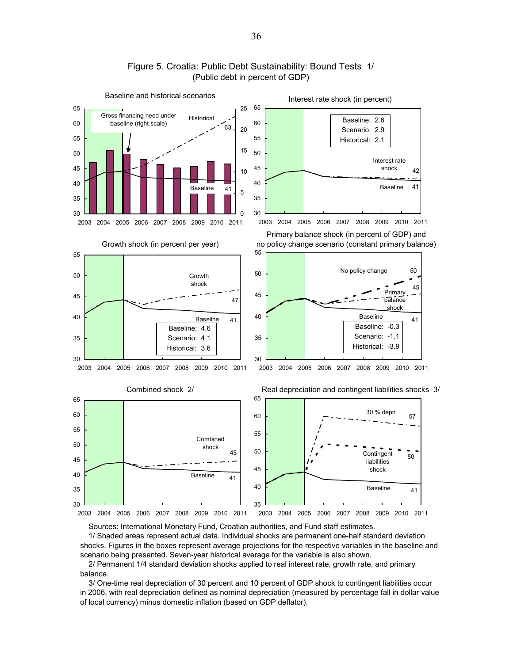

#### Figure 5. Croatia: Public Debt Sustainability: Bound Tests 1/ (Public debt in percent of GDP)

Sources: International Monetary Fund, Croatian authorities, and Fund staff estimates.

 1/ Shaded areas represent actual data. Individual shocks are permanent one-half standard deviation shocks. Figures in the boxes represent average projections for the respective variables in the baseline and scenario being presented. Seven-year historical average for the variable is also shown.

 2/ Permanent 1/4 standard deviation shocks applied to real interest rate, growth rate, and primary balance.

 3/ One-time real depreciation of 30 percent and 10 percent of GDP shock to contingent liabilities occur in 2006, with real depreciation defined as nominal depreciation (measured by percentage fall in dollar value of local currency) minus domestic inflation (based on GDP deflator).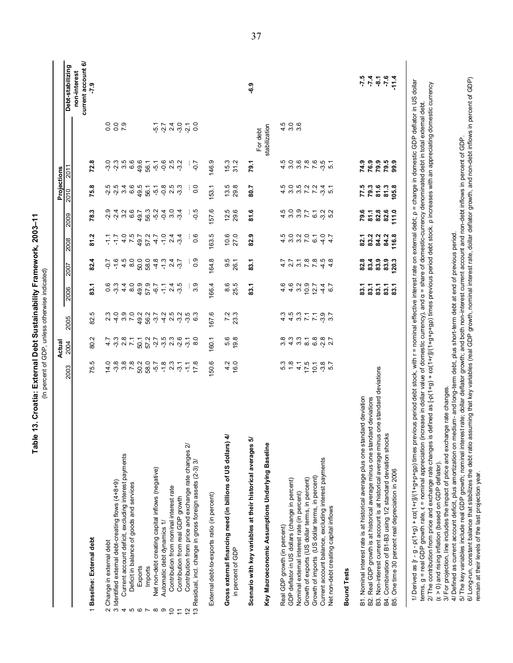|                                                                                                                                                                                                                                                                                                                                                                                                                                                                                                                                                                                               |                  | Actual                           |                                |                     |                                 |                                                 |                             | Projections                             |                                      |                                                       |                                                                                                                  |
|-----------------------------------------------------------------------------------------------------------------------------------------------------------------------------------------------------------------------------------------------------------------------------------------------------------------------------------------------------------------------------------------------------------------------------------------------------------------------------------------------------------------------------------------------------------------------------------------------|------------------|----------------------------------|--------------------------------|---------------------|---------------------------------|-------------------------------------------------|-----------------------------|-----------------------------------------|--------------------------------------|-------------------------------------------------------|------------------------------------------------------------------------------------------------------------------|
|                                                                                                                                                                                                                                                                                                                                                                                                                                                                                                                                                                                               | 2003             | 2004                             | 2005                           | 2006                | 2007                            | 2008                                            | 2009                        | 2010                                    | 2011                                 |                                                       | Debt-stabilizing                                                                                                 |
|                                                                                                                                                                                                                                                                                                                                                                                                                                                                                                                                                                                               |                  |                                  |                                |                     |                                 |                                                 |                             |                                         |                                      |                                                       | current account 6/<br>non-interest                                                                               |
| 1 Baseline: External debt                                                                                                                                                                                                                                                                                                                                                                                                                                                                                                                                                                     | 75.5             | 80.2                             | 82.5                           | 83.1                | 82.4                            | 81.2                                            | 78.3                        | 75.8                                    | 72.8                                 |                                                       | $-7.9$                                                                                                           |
| 2 Change in external debt<br>3 Identified external debt-creating flows (4+8+9)                                                                                                                                                                                                                                                                                                                                                                                                                                                                                                                | 14.0             |                                  | $\frac{3}{2}$<br>$\frac{4}{2}$ |                     | $-1.6$                          | 두                                               |                             | ي يو<br>پ ن                             | <u>၀</u> ၈<br>၇ လု                   |                                                       |                                                                                                                  |
|                                                                                                                                                                                                                                                                                                                                                                                                                                                                                                                                                                                               | $-3.8$           | 4 - 9 - 9 - 7<br>4 - 9 - 9 - 7   |                                | ၀ က<br>၁ ကု         |                                 | $-1.7$                                          | ၈ <del>၂</del> က ဖ<br>ဂ ဂ ဂ |                                         |                                      | 8<br>8<br>8<br>8<br>8<br>8<br>8                       |                                                                                                                  |
| Current account deficit, excluding interest payments<br>4 ro                                                                                                                                                                                                                                                                                                                                                                                                                                                                                                                                  | $3.\overline{8}$ |                                  | $3.0$<br>7.0                   | $4\frac{8}{9}$      | $4.\overline{5}$<br>8.0         |                                                 |                             | 369                                     | .5<br>6.6                            |                                                       |                                                                                                                  |
| Deficit in balance of goods and services                                                                                                                                                                                                                                                                                                                                                                                                                                                                                                                                                      |                  |                                  |                                |                     |                                 | $4 - 4 - 5$<br>$-6 - 7$<br>$-6 - 7$<br>$-6 - 7$ |                             |                                         |                                      |                                                       |                                                                                                                  |
| Exports<br>G                                                                                                                                                                                                                                                                                                                                                                                                                                                                                                                                                                                  |                  |                                  |                                |                     |                                 |                                                 | 49.7                        | 49.5                                    | 49.6                                 |                                                       |                                                                                                                  |
| Imports<br>$\overline{ }$                                                                                                                                                                                                                                                                                                                                                                                                                                                                                                                                                                     | 50.2<br>58.0     |                                  |                                | 49.9<br>57.9        | 5<br>8 8 4 7 9 9<br>0 9 9 9 9 7 |                                                 | 56.3                        | 56.1                                    | 56.1                                 |                                                       |                                                                                                                  |
| Net non-debt creating capital inflows (negative)<br>$\infty$                                                                                                                                                                                                                                                                                                                                                                                                                                                                                                                                  | $-5.7$           |                                  |                                | $-6.7$              |                                 | $-4.7$                                          | $-5.2$                      | $-5.8$                                  | $-5.1$                               |                                                       |                                                                                                                  |
| Automatic debt dynamics 1/<br>ၜ                                                                                                                                                                                                                                                                                                                                                                                                                                                                                                                                                               | $-1.8$           |                                  |                                |                     |                                 | $-1.0$                                          | $-0.4$                      |                                         |                                      | $-5.7$                                                |                                                                                                                  |
| Contribution from nominal interest rate<br>$\overline{C}$                                                                                                                                                                                                                                                                                                                                                                                                                                                                                                                                     | 2.3              |                                  |                                | $^{2.4}$            |                                 | 2.4                                             | 3.0                         |                                         | 2.5                                  |                                                       |                                                                                                                  |
| Contribution from real GDP growth<br>$\overline{1}$                                                                                                                                                                                                                                                                                                                                                                                                                                                                                                                                           | $-3.1$           | 5 5 7 5 6 9 9 9<br>1 7 9 9 9 9 9 | 2.5<br>2.9                     | $-3.5$              |                                 | $-3.4$                                          | $-3.4$                      | 5<br>2 - 3<br>2 - 3                     | $-3.2$                               | 240                                                   |                                                                                                                  |
| Contribution from price and exchange rate changes 2/<br>$\tilde{c}$                                                                                                                                                                                                                                                                                                                                                                                                                                                                                                                           |                  |                                  | $-3.5$                         |                     |                                 |                                                 |                             |                                         |                                      | $-21$                                                 |                                                                                                                  |
| 13 Residual, incl. change in gross foreign assets (2-3) 3/                                                                                                                                                                                                                                                                                                                                                                                                                                                                                                                                    | $-1.7$<br>$-1.7$ | $-3.0$                           | ဖ                              | 3.9                 | 0.9                             | 0.6                                             | $-0.5$                      | 0.0                                     | $-0.7$                               | 0.0                                                   |                                                                                                                  |
| External debt-to-exports ratio (in percent)                                                                                                                                                                                                                                                                                                                                                                                                                                                                                                                                                   | 50.6             | 160.1                            | 167.6                          | 166.4               | 164.8                           | 163.5                                           | 157.6                       | 153.1                                   | 146.9                                |                                                       |                                                                                                                  |
| Gross external financing need (in billions of US dollars) 4/                                                                                                                                                                                                                                                                                                                                                                                                                                                                                                                                  |                  |                                  |                                |                     |                                 |                                                 |                             |                                         | 15.3                                 |                                                       |                                                                                                                  |
| in percent of GDP                                                                                                                                                                                                                                                                                                                                                                                                                                                                                                                                                                             | $4\frac{6}{6}$   | 5.8<br>19.8                      | $7.2$<br>23.3                  | 8.5<br>25.5         | $9.5$<br>26.1                   | $10.6$<br>27.0                                  | $12.5$<br>$29.6$            | $13.5$<br>$29.8$                        | 31.2                                 |                                                       |                                                                                                                  |
| Scenario with key variables at their historical averages 5/                                                                                                                                                                                                                                                                                                                                                                                                                                                                                                                                   |                  |                                  |                                | 83.1                | 83.1                            | 82.9                                            | 81.6                        | 80.7                                    | 79.1                                 |                                                       | တို့                                                                                                             |
|                                                                                                                                                                                                                                                                                                                                                                                                                                                                                                                                                                                               |                  |                                  |                                |                     |                                 |                                                 |                             |                                         |                                      | For debt                                              |                                                                                                                  |
| Key Macroeconomic Assumptions Underlying Baseline                                                                                                                                                                                                                                                                                                                                                                                                                                                                                                                                             |                  |                                  |                                |                     |                                 |                                                 |                             |                                         |                                      | stabilization                                         |                                                                                                                  |
| Real GDP growth (in percent)                                                                                                                                                                                                                                                                                                                                                                                                                                                                                                                                                                  | 5.3              |                                  | $4.\overline{3}$               |                     |                                 |                                                 |                             |                                         |                                      |                                                       |                                                                                                                  |
| GDP deflator in US dollars (change in percent)                                                                                                                                                                                                                                                                                                                                                                                                                                                                                                                                                | $\frac{8}{10}$   |                                  | 4.5                            |                     |                                 | $4.5$<br>3.0                                    |                             |                                         |                                      | $\begin{array}{c} 4 & 0 & 0 \\ 0 & 0 & 0 \end{array}$ |                                                                                                                  |
| Nominal external interest rate (in percent)                                                                                                                                                                                                                                                                                                                                                                                                                                                                                                                                                   | $\overline{4}$   | 8 8 9 9 9 9 9<br>8 9 9 9 9 9     | $3.7$<br>$7.7$                 | $443027$<br>$45027$ |                                 | $3007$<br>$707$                                 | 4 9 9 7<br>4 9 9 7          |                                         |                                      |                                                       |                                                                                                                  |
| Growth of exports (US dollar terms, in percent)                                                                                                                                                                                                                                                                                                                                                                                                                                                                                                                                               | $17.5$<br>$10.1$ |                                  |                                |                     |                                 |                                                 |                             |                                         |                                      |                                                       |                                                                                                                  |
| Growth of imports (US dollar terms, in percent)                                                                                                                                                                                                                                                                                                                                                                                                                                                                                                                                               |                  |                                  |                                |                     |                                 |                                                 |                             |                                         |                                      |                                                       |                                                                                                                  |
| Current account balance, excluding interest payments<br>Net non-debt creating capital inflows                                                                                                                                                                                                                                                                                                                                                                                                                                                                                                 | $3.8$<br>5.7     | $-2.8$                           | $-3.7$                         | $4\frac{6}{7}$      | 4 0 0 1 1 4 4<br>4 1 0 1 1 4 4  | 4.7                                             | 6 1 2 1<br>6 1 1 1          | 4 co co co co co<br>4 co co co co co co | 4 ¤ ¤ r r · · · ·<br>4 · · · · · · · |                                                       |                                                                                                                  |
| <b>Bound Tests</b>                                                                                                                                                                                                                                                                                                                                                                                                                                                                                                                                                                            |                  |                                  |                                |                     |                                 |                                                 |                             |                                         |                                      |                                                       |                                                                                                                  |
| B1. Nominal interest rate is at historical average plus one standard deviation                                                                                                                                                                                                                                                                                                                                                                                                                                                                                                                |                  |                                  |                                |                     | 82.8                            |                                                 | 79.6                        | 77.5                                    | 74.9                                 |                                                       |                                                                                                                  |
| B2. Real GDP growth is at historical average minus one standard deviations                                                                                                                                                                                                                                                                                                                                                                                                                                                                                                                    |                  |                                  |                                |                     | 83.4                            |                                                 | 81.1                        | 79.3                                    | 76.9                                 |                                                       |                                                                                                                  |
| one standard deviations<br>B3. Non-interest current account is at historical average minus                                                                                                                                                                                                                                                                                                                                                                                                                                                                                                    |                  |                                  |                                |                     | 83.9                            | 3<br>3<br>3<br>3<br>3<br>3<br>3                 | 82.8                        | 81.6                                    | 79.9                                 |                                                       |                                                                                                                  |
| B4. Combination of B1-B3 using 1/2 standard deviation shocks                                                                                                                                                                                                                                                                                                                                                                                                                                                                                                                                  |                  |                                  |                                | ន្ទី ខ្លួននិ        | 83.9                            |                                                 | 82.6                        | 81.3                                    |                                      |                                                       | $\frac{1}{2}$ $\frac{1}{2}$ $\frac{1}{6}$ $\frac{1}{6}$ $\frac{1}{4}$ $\frac{1}{6}$ $\frac{1}{4}$ $\frac{1}{10}$ |
| One time 30 percent real depreciation in 2006<br>B5.                                                                                                                                                                                                                                                                                                                                                                                                                                                                                                                                          |                  |                                  |                                |                     | 120.3                           | 84.2<br>116.8                                   | 111.0                       | 105.8                                   | 79.5<br>99.9                         |                                                       |                                                                                                                  |
|                                                                                                                                                                                                                                                                                                                                                                                                                                                                                                                                                                                               |                  |                                  |                                |                     |                                 |                                                 |                             |                                         |                                      |                                                       |                                                                                                                  |
| 1/ Derived as [r - g - p(1+r)]/(1+g+g+p+gp) times previous period debt stock, with r = nominal effective interest rate on external debt; p = change in domestic GDP deflator in US dollar<br>2/ The contribution from price and exchange rate changes is defined as $[\text{-}\rho(1+\text{-}p]/(1+\text{-}p)]$ times previous period debt stock. p increases with an appreciating domestic currency<br>terms, g = real GDP growth rate, ε = nominal appreciation (increase in dollar value of domestic currency), and α = share of domestic-currency denominated debt in total external debt |                  |                                  |                                |                     |                                 |                                                 |                             |                                         |                                      |                                                       |                                                                                                                  |
| 3/ For projection, line includes the impact of price and exchange rate changes<br>( $\varepsilon > 0$ ) and rising inflation (based on GDP deflator).                                                                                                                                                                                                                                                                                                                                                                                                                                         |                  |                                  |                                |                     |                                 |                                                 |                             |                                         |                                      |                                                       |                                                                                                                  |

4/ Defined as current account deficit, plus amortization on medium- and long-term debt, plus short-term debt at end of previous period.

4/ Defined as current account deficit, plus amortization on medium- and long-term debt, plus short-term debt at end of previous period.<br>5/ The key variables include real GDP growth; nominal interest rate; dollar deflator 6/ Long-run, constant balance that stabilizes the debt ratio assuming that key variables (real GDP growth, nominal interest rate, dollar deflator growth, and non-debt inflows in percent of GDP) 5/ The key variables include real GDP growth; nominal interest rate; dollar deflator growth; and both non-interest current account and non-debt inflows in percent of GDP.

remain at their levels of the last projection year.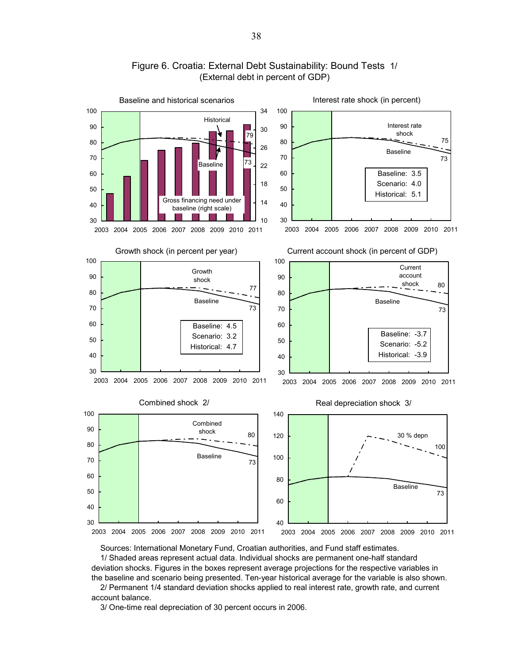

### Figure 6. Croatia: External Debt Sustainability: Bound Tests 1/ (External debt in percent of GDP)

Sources: International Monetary Fund, Croatian authorities, and Fund staff estimates.

 1/ Shaded areas represent actual data. Individual shocks are permanent one-half standard deviation shocks. Figures in the boxes represent average projections for the respective variables in the baseline and scenario being presented. Ten-year historical average for the variable is also shown.

 2/ Permanent 1/4 standard deviation shocks applied to real interest rate, growth rate, and current account balance.

3/ One-time real depreciation of 30 percent occurs in 2006.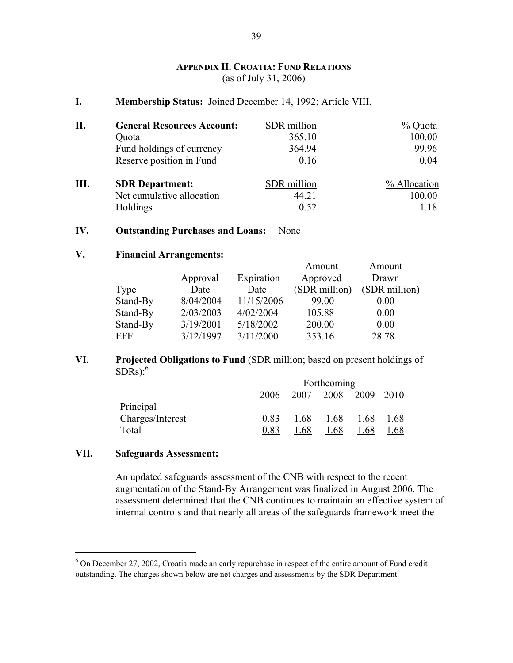## **APPENDIX II. CROATIA: FUND RELATIONS** (as of July 31, 2006)

**I. Membership Status:** Joined December 14, 1992; Article VIII.

| П. | <b>General Resources Account:</b> | SDR million | % Quota      |
|----|-----------------------------------|-------------|--------------|
|    | Quota                             | 365.10      | 100.00       |
|    | Fund holdings of currency         | 364.94      | 99.96        |
|    | Reserve position in Fund          | 0.16        | 0.04         |
| Ш. | <b>SDR</b> Department:            | SDR million | % Allocation |
|    | Net cumulative allocation         | 44.21       | 100.00       |
|    | Holdings                          | 0.52        | 1.18         |

#### **IV. Outstanding Purchases and Loans:** None

#### **V. Financial Arrangements:**

|             |           |            | Amount        | Amount        |
|-------------|-----------|------------|---------------|---------------|
|             | Approval  | Expiration | Approved      | Drawn         |
| <u>Type</u> | Date      | Date       | (SDR million) | (SDR million) |
| Stand-By    | 8/04/2004 | 11/15/2006 | 99.00         | 0.00          |
| Stand-By    | 2/03/2003 | 4/02/2004  | 105.88        | 0.00          |
| Stand-By    | 3/19/2001 | 5/18/2002  | 200.00        | 0.00          |
| EFF         | 3/12/1997 | 3/11/2000  | 353.16        | 28.78         |
|             |           |            |               |               |

### **VI. Projected Obligations to Fund** (SDR million; based on present holdings of  $SDRs):<sup>6</sup>$

|                  |      |      | Forthcoming |      |      |
|------------------|------|------|-------------|------|------|
|                  | 2006 | 2007 | 2008        | 2009 |      |
| Principal        |      |      |             |      |      |
| Charges/Interest | 0.83 | .68  | 1.68        | 1.68 | 1.68 |
| Total            | 0.83 | .68  | .68         | .68  | .68  |

#### **VII. Safeguards Assessment:**

1

An updated safeguards assessment of the CNB with respect to the recent augmentation of the Stand-By Arrangement was finalized in August 2006. The assessment determined that the CNB continues to maintain an effective system of internal controls and that nearly all areas of the safeguards framework meet the

<sup>&</sup>lt;sup>6</sup> On December 27, 2002, Croatia made an early repurchase in respect of the entire amount of Fund credit outstanding. The charges shown below are net charges and assessments by the SDR Department.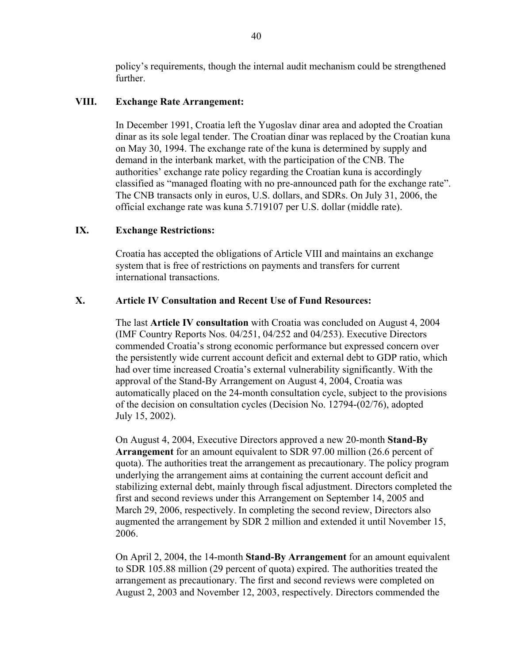policy's requirements, though the internal audit mechanism could be strengthened further.

### **VIII. Exchange Rate Arrangement:**

In December 1991, Croatia left the Yugoslav dinar area and adopted the Croatian dinar as its sole legal tender. The Croatian dinar was replaced by the Croatian kuna on May 30, 1994. The exchange rate of the kuna is determined by supply and demand in the interbank market, with the participation of the CNB. The authorities' exchange rate policy regarding the Croatian kuna is accordingly classified as "managed floating with no pre-announced path for the exchange rate". The CNB transacts only in euros, U.S. dollars, and SDRs. On July 31, 2006, the official exchange rate was kuna 5.719107 per U.S. dollar (middle rate).

### **IX. Exchange Restrictions:**

Croatia has accepted the obligations of Article VIII and maintains an exchange system that is free of restrictions on payments and transfers for current international transactions.

## **X. Article IV Consultation and Recent Use of Fund Resources:**

The last **Article IV consultation** with Croatia was concluded on August 4, 2004 (IMF Country Reports Nos. 04/251, 04/252 and 04/253). Executive Directors commended Croatia's strong economic performance but expressed concern over the persistently wide current account deficit and external debt to GDP ratio, which had over time increased Croatia's external vulnerability significantly. With the approval of the Stand-By Arrangement on August 4, 2004, Croatia was automatically placed on the 24-month consultation cycle, subject to the provisions of the decision on consultation cycles (Decision No. 12794-(02/76), adopted July 15, 2002).

On August 4, 2004, Executive Directors approved a new 20-month **Stand-By Arrangement** for an amount equivalent to SDR 97.00 million (26.6 percent of quota). The authorities treat the arrangement as precautionary. The policy program underlying the arrangement aims at containing the current account deficit and stabilizing external debt, mainly through fiscal adjustment. Directors completed the first and second reviews under this Arrangement on September 14, 2005 and March 29, 2006, respectively. In completing the second review, Directors also augmented the arrangement by SDR 2 million and extended it until November 15, 2006.

On April 2, 2004, the 14-month **Stand-By Arrangement** for an amount equivalent to SDR 105.88 million (29 percent of quota) expired. The authorities treated the arrangement as precautionary. The first and second reviews were completed on August 2, 2003 and November 12, 2003, respectively. Directors commended the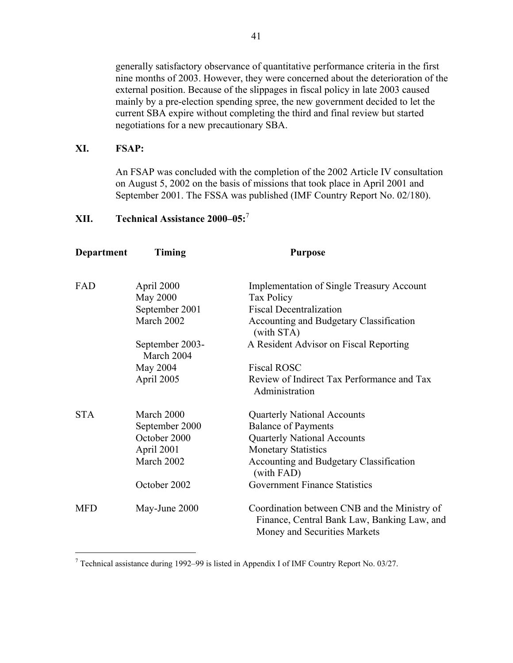generally satisfactory observance of quantitative performance criteria in the first nine months of 2003. However, they were concerned about the deterioration of the external position. Because of the slippages in fiscal policy in late 2003 caused mainly by a pre-election spending spree, the new government decided to let the current SBA expire without completing the third and final review but started negotiations for a new precautionary SBA.

#### **XI. FSAP:**

 $\overline{a}$ 

An FSAP was concluded with the completion of the 2002 Article IV consultation on August 5, 2002 on the basis of missions that took place in April 2001 and September 2001. The FSSA was published (IMF Country Report No. 02/180).

# **XII. Technical Assistance 2000–05:**<sup>7</sup>

| <b>Department</b> | Timing                        | <b>Purpose</b>                                                                                                              |
|-------------------|-------------------------------|-----------------------------------------------------------------------------------------------------------------------------|
| FAD               | April 2000<br>May 2000        | <b>Implementation of Single Treasury Account</b><br>Tax Policy                                                              |
|                   | September 2001                | <b>Fiscal Decentralization</b>                                                                                              |
|                   | March 2002                    | Accounting and Budgetary Classification<br>(with STA)                                                                       |
|                   | September 2003-<br>March 2004 | A Resident Advisor on Fiscal Reporting                                                                                      |
|                   | May 2004                      | <b>Fiscal ROSC</b>                                                                                                          |
|                   | April 2005                    | Review of Indirect Tax Performance and Tax<br>Administration                                                                |
| <b>STA</b>        | March 2000                    | <b>Quarterly National Accounts</b>                                                                                          |
|                   | September 2000                | <b>Balance of Payments</b>                                                                                                  |
|                   | October 2000                  | <b>Quarterly National Accounts</b>                                                                                          |
|                   | April 2001                    | <b>Monetary Statistics</b>                                                                                                  |
|                   | March 2002                    | Accounting and Budgetary Classification<br>(with FAD)                                                                       |
|                   | October 2002                  | <b>Government Finance Statistics</b>                                                                                        |
| <b>MFD</b>        | May-June 2000                 | Coordination between CNB and the Ministry of<br>Finance, Central Bank Law, Banking Law, and<br>Money and Securities Markets |

<sup>&</sup>lt;sup>7</sup> Technical assistance during 1992–99 is listed in Appendix I of IMF Country Report No. 03/27.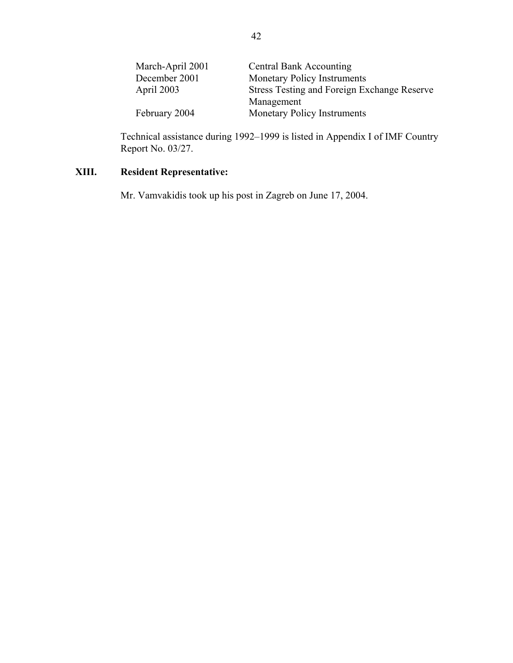| March-April 2001 | <b>Central Bank Accounting</b>              |
|------------------|---------------------------------------------|
| December 2001    | <b>Monetary Policy Instruments</b>          |
| April 2003       | Stress Testing and Foreign Exchange Reserve |
|                  | Management                                  |
| February 2004    | Monetary Policy Instruments                 |

Technical assistance during 1992–1999 is listed in Appendix I of IMF Country Report No. 03/27.

# **XIII. Resident Representative:**

Mr. Vamvakidis took up his post in Zagreb on June 17, 2004.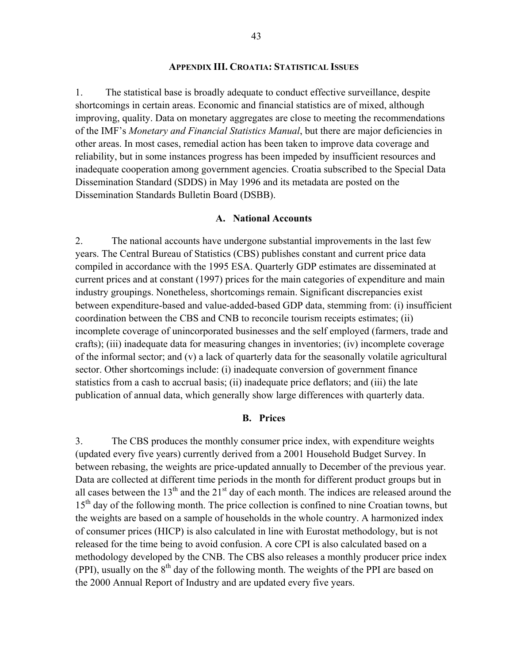#### **APPENDIX III. CROATIA: STATISTICAL ISSUES**

1. The statistical base is broadly adequate to conduct effective surveillance, despite shortcomings in certain areas. Economic and financial statistics are of mixed, although improving, quality. Data on monetary aggregates are close to meeting the recommendations of the IMF's *Monetary and Financial Statistics Manual*, but there are major deficiencies in other areas. In most cases, remedial action has been taken to improve data coverage and reliability, but in some instances progress has been impeded by insufficient resources and inadequate cooperation among government agencies. Croatia subscribed to the Special Data Dissemination Standard (SDDS) in May 1996 and its metadata are posted on the Dissemination Standards Bulletin Board (DSBB).

#### **A. National Accounts**

2. The national accounts have undergone substantial improvements in the last few years. The Central Bureau of Statistics (CBS) publishes constant and current price data compiled in accordance with the 1995 ESA. Quarterly GDP estimates are disseminated at current prices and at constant (1997) prices for the main categories of expenditure and main industry groupings. Nonetheless, shortcomings remain. Significant discrepancies exist between expenditure-based and value-added-based GDP data, stemming from: (i) insufficient coordination between the CBS and CNB to reconcile tourism receipts estimates; (ii) incomplete coverage of unincorporated businesses and the self employed (farmers, trade and crafts); (iii) inadequate data for measuring changes in inventories; (iv) incomplete coverage of the informal sector; and (v) a lack of quarterly data for the seasonally volatile agricultural sector. Other shortcomings include: (i) inadequate conversion of government finance statistics from a cash to accrual basis; (ii) inadequate price deflators; and (iii) the late publication of annual data, which generally show large differences with quarterly data.

#### **B. Prices**

3. The CBS produces the monthly consumer price index, with expenditure weights (updated every five years) currently derived from a 2001 Household Budget Survey. In between rebasing, the weights are price-updated annually to December of the previous year. Data are collected at different time periods in the month for different product groups but in all cases between the  $13<sup>th</sup>$  and the  $21<sup>st</sup>$  day of each month. The indices are released around the 15<sup>th</sup> day of the following month. The price collection is confined to nine Croatian towns, but the weights are based on a sample of households in the whole country. A harmonized index of consumer prices (HICP) is also calculated in line with Eurostat methodology, but is not released for the time being to avoid confusion. A core CPI is also calculated based on a methodology developed by the CNB. The CBS also releases a monthly producer price index (PPI), usually on the  $8<sup>th</sup>$  day of the following month. The weights of the PPI are based on the 2000 Annual Report of Industry and are updated every five years.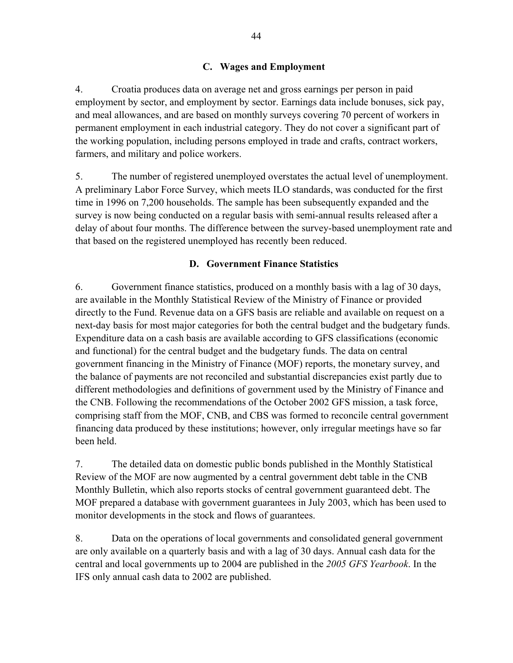# **C. Wages and Employment**

4. Croatia produces data on average net and gross earnings per person in paid employment by sector, and employment by sector. Earnings data include bonuses, sick pay, and meal allowances, and are based on monthly surveys covering 70 percent of workers in permanent employment in each industrial category. They do not cover a significant part of the working population, including persons employed in trade and crafts, contract workers, farmers, and military and police workers.

5. The number of registered unemployed overstates the actual level of unemployment. A preliminary Labor Force Survey, which meets ILO standards, was conducted for the first time in 1996 on 7,200 households. The sample has been subsequently expanded and the survey is now being conducted on a regular basis with semi-annual results released after a delay of about four months. The difference between the survey-based unemployment rate and that based on the registered unemployed has recently been reduced.

# **D. Government Finance Statistics**

6. Government finance statistics, produced on a monthly basis with a lag of 30 days, are available in the Monthly Statistical Review of the Ministry of Finance or provided directly to the Fund. Revenue data on a GFS basis are reliable and available on request on a next-day basis for most major categories for both the central budget and the budgetary funds. Expenditure data on a cash basis are available according to GFS classifications (economic and functional) for the central budget and the budgetary funds. The data on central government financing in the Ministry of Finance (MOF) reports, the monetary survey, and the balance of payments are not reconciled and substantial discrepancies exist partly due to different methodologies and definitions of government used by the Ministry of Finance and the CNB. Following the recommendations of the October 2002 GFS mission, a task force, comprising staff from the MOF, CNB, and CBS was formed to reconcile central government financing data produced by these institutions; however, only irregular meetings have so far been held.

7. The detailed data on domestic public bonds published in the Monthly Statistical Review of the MOF are now augmented by a central government debt table in the CNB Monthly Bulletin, which also reports stocks of central government guaranteed debt. The MOF prepared a database with government guarantees in July 2003, which has been used to monitor developments in the stock and flows of guarantees.

8. Data on the operations of local governments and consolidated general government are only available on a quarterly basis and with a lag of 30 days. Annual cash data for the central and local governments up to 2004 are published in the *2005 GFS Yearbook*. In the IFS only annual cash data to 2002 are published.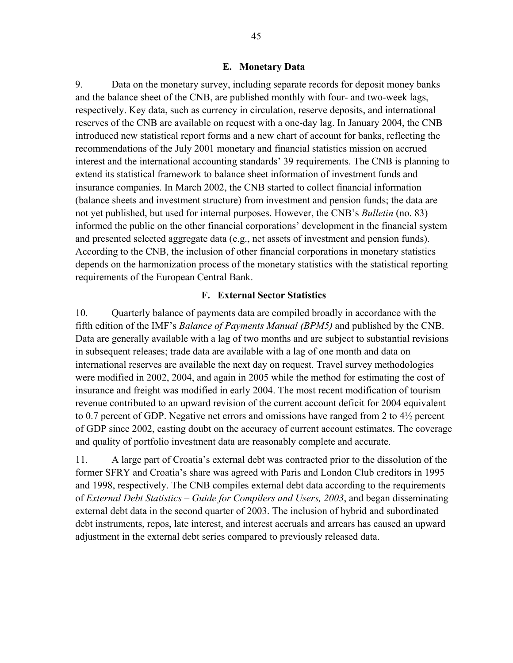#### **E. Monetary Data**

9. Data on the monetary survey, including separate records for deposit money banks and the balance sheet of the CNB, are published monthly with four- and two-week lags, respectively. Key data, such as currency in circulation, reserve deposits, and international reserves of the CNB are available on request with a one-day lag. In January 2004, the CNB introduced new statistical report forms and a new chart of account for banks, reflecting the recommendations of the July 2001 monetary and financial statistics mission on accrued interest and the international accounting standards' 39 requirements. The CNB is planning to extend its statistical framework to balance sheet information of investment funds and insurance companies. In March 2002, the CNB started to collect financial information (balance sheets and investment structure) from investment and pension funds; the data are not yet published, but used for internal purposes. However, the CNB's *Bulletin* (no. 83) informed the public on the other financial corporations' development in the financial system and presented selected aggregate data (e.g., net assets of investment and pension funds). According to the CNB, the inclusion of other financial corporations in monetary statistics depends on the harmonization process of the monetary statistics with the statistical reporting requirements of the European Central Bank.

#### **F. External Sector Statistics**

10. Quarterly balance of payments data are compiled broadly in accordance with the fifth edition of the IMF's *Balance of Payments Manual (BPM5)* and published by the CNB. Data are generally available with a lag of two months and are subject to substantial revisions in subsequent releases; trade data are available with a lag of one month and data on international reserves are available the next day on request. Travel survey methodologies were modified in 2002, 2004, and again in 2005 while the method for estimating the cost of insurance and freight was modified in early 2004. The most recent modification of tourism revenue contributed to an upward revision of the current account deficit for 2004 equivalent to 0.7 percent of GDP. Negative net errors and omissions have ranged from 2 to 4½ percent of GDP since 2002, casting doubt on the accuracy of current account estimates. The coverage and quality of portfolio investment data are reasonably complete and accurate.

11. A large part of Croatia's external debt was contracted prior to the dissolution of the former SFRY and Croatia's share was agreed with Paris and London Club creditors in 1995 and 1998, respectively. The CNB compiles external debt data according to the requirements of *External Debt Statistics – Guide for Compilers and Users, 2003*, and began disseminating external debt data in the second quarter of 2003. The inclusion of hybrid and subordinated debt instruments, repos, late interest, and interest accruals and arrears has caused an upward adjustment in the external debt series compared to previously released data.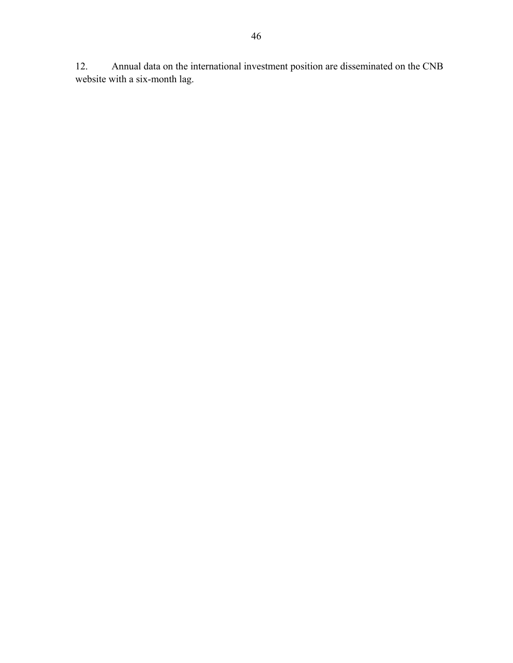12. Annual data on the international investment position are disseminated on the CNB website with a six-month lag.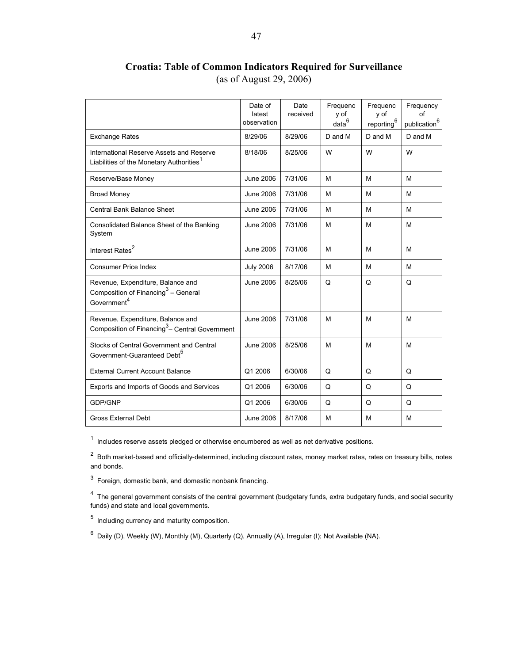# **Croatia: Table of Common Indicators Required for Surveillance**  (as of August 29, 2006)

|                                                                                                        | Date of<br>latest<br>observation | Date<br>received | Frequenc<br>v of<br>data <sup>6</sup> | Frequenc<br>y of<br>reporting <sup>6</sup> | Frequency<br>οf<br>publication <sup>6</sup> |
|--------------------------------------------------------------------------------------------------------|----------------------------------|------------------|---------------------------------------|--------------------------------------------|---------------------------------------------|
| <b>Exchange Rates</b>                                                                                  | 8/29/06                          | 8/29/06          | D and M                               | D and M                                    | D and M                                     |
| International Reserve Assets and Reserve<br>Liabilities of the Monetary Authorities <sup>1</sup>       | 8/18/06                          | 8/25/06          | W                                     | W                                          | W                                           |
| Reserve/Base Money                                                                                     | June 2006                        | 7/31/06          | M                                     | M                                          | м                                           |
| <b>Broad Money</b>                                                                                     | <b>June 2006</b>                 | 7/31/06          | М                                     | М                                          | м                                           |
| <b>Central Bank Balance Sheet</b>                                                                      | <b>June 2006</b>                 | 7/31/06          | M                                     | м                                          | м                                           |
| Consolidated Balance Sheet of the Banking<br>System                                                    | June 2006                        | 7/31/06          | M                                     | M                                          | M                                           |
| Interest Rates <sup>2</sup>                                                                            | <b>June 2006</b>                 | 7/31/06          | M                                     | M                                          | M                                           |
| <b>Consumer Price Index</b>                                                                            | <b>July 2006</b>                 | 8/17/06          | M                                     | M                                          | M                                           |
| Revenue, Expenditure, Balance and<br>Composition of Financing $3 -$ General<br>Government <sup>4</sup> | June 2006                        | 8/25/06          | Q                                     | Q                                          | Q                                           |
| Revenue, Expenditure, Balance and<br>Composition of Financing <sup>3</sup> - Central Government        | <b>June 2006</b>                 | 7/31/06          | M                                     | M                                          | M                                           |
| Stocks of Central Government and Central<br>Government-Guaranteed Debt <sup>5</sup>                    | <b>June 2006</b>                 | 8/25/06          | м                                     | М                                          | м                                           |
| <b>External Current Account Balance</b>                                                                | Q1 2006                          | 6/30/06          | Q                                     | Q                                          | Q                                           |
| Exports and Imports of Goods and Services                                                              | Q1 2006                          | 6/30/06          | Q                                     | Q                                          | Q                                           |
| GDP/GNP                                                                                                | Q1 2006                          | 6/30/06          | Q                                     | Q                                          | Q                                           |
| <b>Gross External Debt</b>                                                                             | <b>June 2006</b>                 | 8/17/06          | M                                     | M                                          | M                                           |

 $1$  Includes reserve assets pledged or otherwise encumbered as well as net derivative positions.

 $2$  Both market-based and officially-determined, including discount rates, money market rates, rates on treasury bills, notes and bonds.

 $3$  Foreign, domestic bank, and domestic nonbank financing.

<sup>4</sup> The general government consists of the central government (budgetary funds, extra budgetary funds, and social security funds) and state and local governments.

 $<sup>5</sup>$  Including currency and maturity composition.</sup>

 $^6$  Daily (D), Weekly (W), Monthly (M), Quarterly (Q), Annually (A), Irregular (I); Not Available (NA).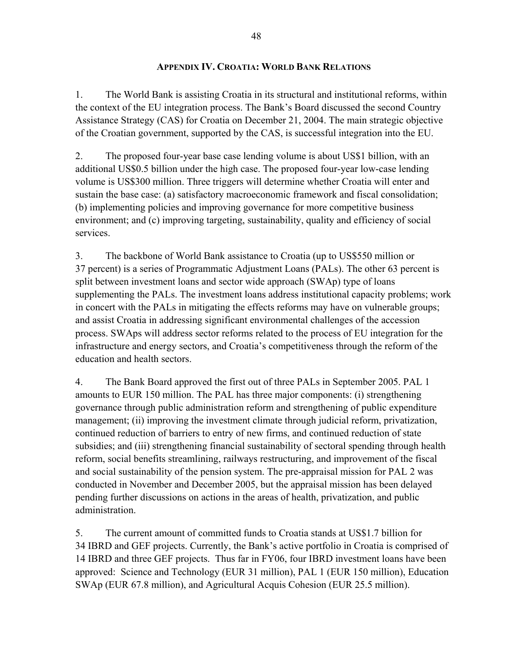### **APPENDIX IV. CROATIA: WORLD BANK RELATIONS**

1. The World Bank is assisting Croatia in its structural and institutional reforms, within the context of the EU integration process. The Bank's Board discussed the second Country Assistance Strategy (CAS) for Croatia on December 21, 2004. The main strategic objective of the Croatian government, supported by the CAS, is successful integration into the EU.

2. The proposed four-year base case lending volume is about US\$1 billion, with an additional US\$0.5 billion under the high case. The proposed four-year low-case lending volume is US\$300 million. Three triggers will determine whether Croatia will enter and sustain the base case: (a) satisfactory macroeconomic framework and fiscal consolidation; (b) implementing policies and improving governance for more competitive business environment; and (c) improving targeting, sustainability, quality and efficiency of social services.

3. The backbone of World Bank assistance to Croatia (up to US\$550 million or 37 percent) is a series of Programmatic Adjustment Loans (PALs). The other 63 percent is split between investment loans and sector wide approach (SWAp) type of loans supplementing the PALs. The investment loans address institutional capacity problems; work in concert with the PALs in mitigating the effects reforms may have on vulnerable groups; and assist Croatia in addressing significant environmental challenges of the accession process. SWAps will address sector reforms related to the process of EU integration for the infrastructure and energy sectors, and Croatia's competitiveness through the reform of the education and health sectors.

4. The Bank Board approved the first out of three PALs in September 2005. PAL 1 amounts to EUR 150 million. The PAL has three major components: (i) strengthening governance through public administration reform and strengthening of public expenditure management; (ii) improving the investment climate through judicial reform, privatization, continued reduction of barriers to entry of new firms, and continued reduction of state subsidies; and (iii) strengthening financial sustainability of sectoral spending through health reform, social benefits streamlining, railways restructuring, and improvement of the fiscal and social sustainability of the pension system. The pre-appraisal mission for PAL 2 was conducted in November and December 2005, but the appraisal mission has been delayed pending further discussions on actions in the areas of health, privatization, and public administration.

5. The current amount of committed funds to Croatia stands at US\$1.7 billion for 34 IBRD and GEF projects. Currently, the Bank's active portfolio in Croatia is comprised of 14 IBRD and three GEF projects. Thus far in FY06, four IBRD investment loans have been approved: Science and Technology (EUR 31 million), PAL 1 (EUR 150 million), Education SWAp (EUR 67.8 million), and Agricultural Acquis Cohesion (EUR 25.5 million).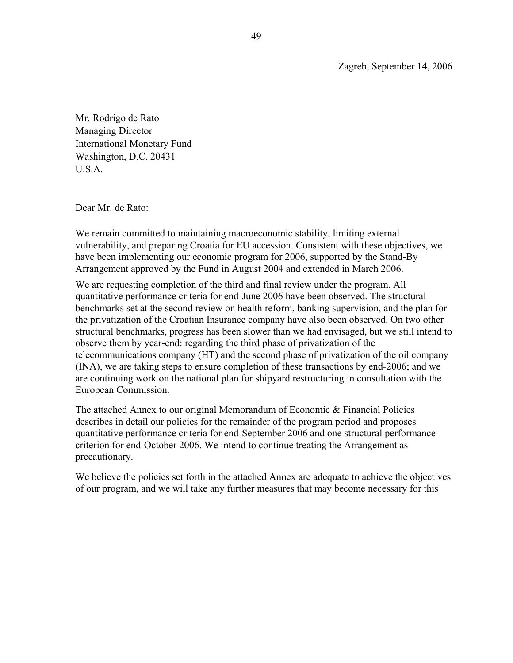Zagreb, September 14, 2006

Mr. Rodrigo de Rato Managing Director International Monetary Fund Washington, D.C. 20431 U.S.A.

Dear Mr. de Rato:

We remain committed to maintaining macroeconomic stability, limiting external vulnerability, and preparing Croatia for EU accession. Consistent with these objectives, we have been implementing our economic program for 2006, supported by the Stand-By Arrangement approved by the Fund in August 2004 and extended in March 2006.

We are requesting completion of the third and final review under the program. All quantitative performance criteria for end-June 2006 have been observed. The structural benchmarks set at the second review on health reform, banking supervision, and the plan for the privatization of the Croatian Insurance company have also been observed. On two other structural benchmarks, progress has been slower than we had envisaged, but we still intend to observe them by year-end: regarding the third phase of privatization of the telecommunications company (HT) and the second phase of privatization of the oil company (INA), we are taking steps to ensure completion of these transactions by end-2006; and we are continuing work on the national plan for shipyard restructuring in consultation with the European Commission.

The attached Annex to our original Memorandum of Economic & Financial Policies describes in detail our policies for the remainder of the program period and proposes quantitative performance criteria for end-September 2006 and one structural performance criterion for end-October 2006. We intend to continue treating the Arrangement as precautionary.

We believe the policies set forth in the attached Annex are adequate to achieve the objectives of our program, and we will take any further measures that may become necessary for this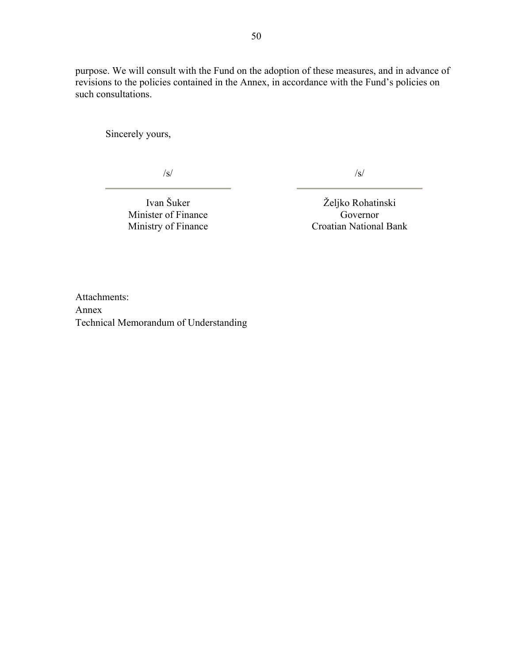purpose. We will consult with the Fund on the adoption of these measures, and in advance of revisions to the policies contained in the Annex, in accordance with the Fund's policies on such consultations.

Sincerely yours,

/s/

/s/

Ivan Šuker Minister of Finance Ministry of Finance

Željko Rohatinski Governor Croatian National Bank

Attachments: Annex Technical Memorandum of Understanding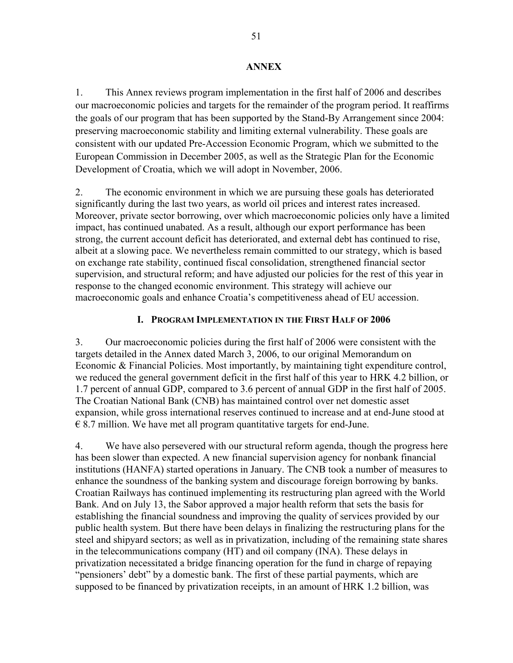#### **ANNEX**

1. This Annex reviews program implementation in the first half of 2006 and describes our macroeconomic policies and targets for the remainder of the program period. It reaffirms the goals of our program that has been supported by the Stand-By Arrangement since 2004: preserving macroeconomic stability and limiting external vulnerability. These goals are consistent with our updated Pre-Accession Economic Program, which we submitted to the European Commission in December 2005, as well as the Strategic Plan for the Economic Development of Croatia, which we will adopt in November, 2006.

2. The economic environment in which we are pursuing these goals has deteriorated significantly during the last two years, as world oil prices and interest rates increased. Moreover, private sector borrowing, over which macroeconomic policies only have a limited impact, has continued unabated. As a result, although our export performance has been strong, the current account deficit has deteriorated, and external debt has continued to rise, albeit at a slowing pace. We nevertheless remain committed to our strategy, which is based on exchange rate stability, continued fiscal consolidation, strengthened financial sector supervision, and structural reform; and have adjusted our policies for the rest of this year in response to the changed economic environment. This strategy will achieve our macroeconomic goals and enhance Croatia's competitiveness ahead of EU accession.

## **I. PROGRAM IMPLEMENTATION IN THE FIRST HALF OF 2006**

3. Our macroeconomic policies during the first half of 2006 were consistent with the targets detailed in the Annex dated March 3, 2006, to our original Memorandum on Economic & Financial Policies. Most importantly, by maintaining tight expenditure control, we reduced the general government deficit in the first half of this year to HRK 4.2 billion, or 1.7 percent of annual GDP, compared to 3.6 percent of annual GDP in the first half of 2005. The Croatian National Bank (CNB) has maintained control over net domestic asset expansion, while gross international reserves continued to increase and at end-June stood at  $\epsilon$  8.7 million. We have met all program quantitative targets for end-June.

4. We have also persevered with our structural reform agenda, though the progress here has been slower than expected. A new financial supervision agency for nonbank financial institutions (HANFA) started operations in January. The CNB took a number of measures to enhance the soundness of the banking system and discourage foreign borrowing by banks. Croatian Railways has continued implementing its restructuring plan agreed with the World Bank. And on July 13, the Sabor approved a major health reform that sets the basis for establishing the financial soundness and improving the quality of services provided by our public health system. But there have been delays in finalizing the restructuring plans for the steel and shipyard sectors; as well as in privatization, including of the remaining state shares in the telecommunications company (HT) and oil company (INA). These delays in privatization necessitated a bridge financing operation for the fund in charge of repaying "pensioners' debt" by a domestic bank. The first of these partial payments, which are supposed to be financed by privatization receipts, in an amount of HRK 1.2 billion, was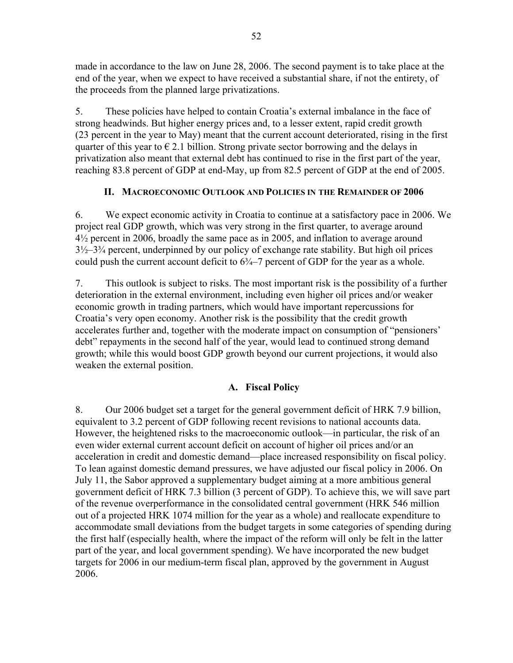made in accordance to the law on June 28, 2006. The second payment is to take place at the end of the year, when we expect to have received a substantial share, if not the entirety, of the proceeds from the planned large privatizations.

5. These policies have helped to contain Croatia's external imbalance in the face of strong headwinds. But higher energy prices and, to a lesser extent, rapid credit growth (23 percent in the year to May) meant that the current account deteriorated, rising in the first quarter of this year to  $\epsilon$  2.1 billion. Strong private sector borrowing and the delays in privatization also meant that external debt has continued to rise in the first part of the year, reaching 83.8 percent of GDP at end-May, up from 82.5 percent of GDP at the end of 2005.

# **II. MACROECONOMIC OUTLOOK AND POLICIES IN THE REMAINDER OF 2006**

6. We expect economic activity in Croatia to continue at a satisfactory pace in 2006. We project real GDP growth, which was very strong in the first quarter, to average around 4½ percent in 2006, broadly the same pace as in 2005, and inflation to average around  $3\frac{1}{2}$ – $3\frac{3}{4}$  percent, underpinned by our policy of exchange rate stability. But high oil prices could push the current account deficit to  $6\frac{3}{4}$ –7 percent of GDP for the year as a whole.

7. This outlook is subject to risks. The most important risk is the possibility of a further deterioration in the external environment, including even higher oil prices and/or weaker economic growth in trading partners, which would have important repercussions for Croatia's very open economy. Another risk is the possibility that the credit growth accelerates further and, together with the moderate impact on consumption of "pensioners' debt" repayments in the second half of the year, would lead to continued strong demand growth; while this would boost GDP growth beyond our current projections, it would also weaken the external position.

# **A. Fiscal Policy**

8. Our 2006 budget set a target for the general government deficit of HRK 7.9 billion, equivalent to 3.2 percent of GDP following recent revisions to national accounts data. However, the heightened risks to the macroeconomic outlook—in particular, the risk of an even wider external current account deficit on account of higher oil prices and/or an acceleration in credit and domestic demand—place increased responsibility on fiscal policy. To lean against domestic demand pressures, we have adjusted our fiscal policy in 2006. On July 11, the Sabor approved a supplementary budget aiming at a more ambitious general government deficit of HRK 7.3 billion (3 percent of GDP). To achieve this, we will save part of the revenue overperformance in the consolidated central government (HRK 546 million out of a projected HRK 1074 million for the year as a whole) and reallocate expenditure to accommodate small deviations from the budget targets in some categories of spending during the first half (especially health, where the impact of the reform will only be felt in the latter part of the year, and local government spending). We have incorporated the new budget targets for 2006 in our medium-term fiscal plan, approved by the government in August 2006.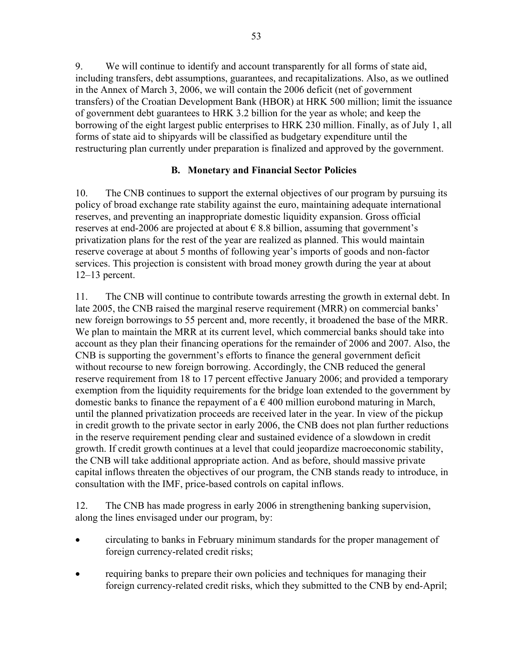9. We will continue to identify and account transparently for all forms of state aid, including transfers, debt assumptions, guarantees, and recapitalizations. Also, as we outlined in the Annex of March 3, 2006, we will contain the 2006 deficit (net of government transfers) of the Croatian Development Bank (HBOR) at HRK 500 million; limit the issuance of government debt guarantees to HRK 3.2 billion for the year as whole; and keep the borrowing of the eight largest public enterprises to HRK 230 million. Finally, as of July 1, all forms of state aid to shipyards will be classified as budgetary expenditure until the restructuring plan currently under preparation is finalized and approved by the government.

# **B. Monetary and Financial Sector Policies**

10. The CNB continues to support the external objectives of our program by pursuing its policy of broad exchange rate stability against the euro, maintaining adequate international reserves, and preventing an inappropriate domestic liquidity expansion. Gross official reserves at end-2006 are projected at about  $\epsilon$  8.8 billion, assuming that government's privatization plans for the rest of the year are realized as planned. This would maintain reserve coverage at about 5 months of following year's imports of goods and non-factor services. This projection is consistent with broad money growth during the year at about 12–13 percent.

11. The CNB will continue to contribute towards arresting the growth in external debt. In late 2005, the CNB raised the marginal reserve requirement (MRR) on commercial banks' new foreign borrowings to 55 percent and, more recently, it broadened the base of the MRR. We plan to maintain the MRR at its current level, which commercial banks should take into account as they plan their financing operations for the remainder of 2006 and 2007. Also, the CNB is supporting the government's efforts to finance the general government deficit without recourse to new foreign borrowing. Accordingly, the CNB reduced the general reserve requirement from 18 to 17 percent effective January 2006; and provided a temporary exemption from the liquidity requirements for the bridge loan extended to the government by domestic banks to finance the repayment of a  $\epsilon$  400 million eurobond maturing in March, until the planned privatization proceeds are received later in the year. In view of the pickup in credit growth to the private sector in early 2006, the CNB does not plan further reductions in the reserve requirement pending clear and sustained evidence of a slowdown in credit growth. If credit growth continues at a level that could jeopardize macroeconomic stability, the CNB will take additional appropriate action. And as before, should massive private capital inflows threaten the objectives of our program, the CNB stands ready to introduce, in consultation with the IMF, price-based controls on capital inflows.

12. The CNB has made progress in early 2006 in strengthening banking supervision, along the lines envisaged under our program, by:

- circulating to banks in February minimum standards for the proper management of foreign currency-related credit risks;
- requiring banks to prepare their own policies and techniques for managing their foreign currency-related credit risks, which they submitted to the CNB by end-April;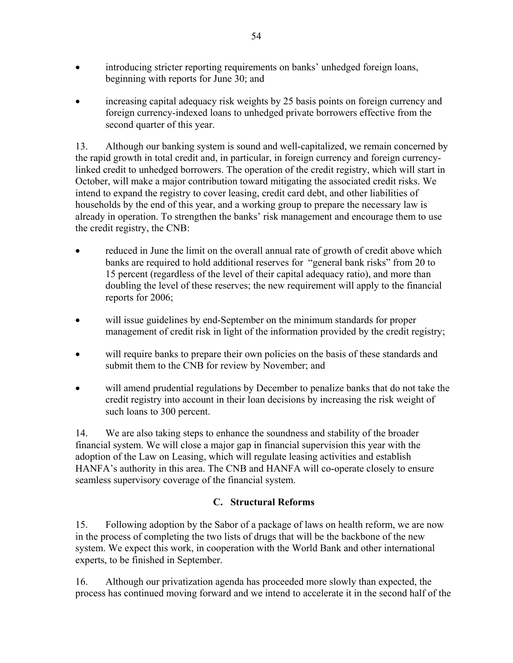- introducing stricter reporting requirements on banks' unhedged foreign loans, beginning with reports for June 30; and
- increasing capital adequacy risk weights by 25 basis points on foreign currency and foreign currency-indexed loans to unhedged private borrowers effective from the second quarter of this year.

13. Although our banking system is sound and well-capitalized, we remain concerned by the rapid growth in total credit and, in particular, in foreign currency and foreign currencylinked credit to unhedged borrowers. The operation of the credit registry, which will start in October, will make a major contribution toward mitigating the associated credit risks. We intend to expand the registry to cover leasing, credit card debt, and other liabilities of households by the end of this year, and a working group to prepare the necessary law is already in operation. To strengthen the banks' risk management and encourage them to use the credit registry, the CNB:

- reduced in June the limit on the overall annual rate of growth of credit above which banks are required to hold additional reserves for "general bank risks" from 20 to 15 percent (regardless of the level of their capital adequacy ratio), and more than doubling the level of these reserves; the new requirement will apply to the financial reports for 2006;
- will issue guidelines by end-September on the minimum standards for proper management of credit risk in light of the information provided by the credit registry;
- will require banks to prepare their own policies on the basis of these standards and submit them to the CNB for review by November; and
- will amend prudential regulations by December to penalize banks that do not take the credit registry into account in their loan decisions by increasing the risk weight of such loans to 300 percent.

14. We are also taking steps to enhance the soundness and stability of the broader financial system. We will close a major gap in financial supervision this year with the adoption of the Law on Leasing, which will regulate leasing activities and establish HANFA's authority in this area. The CNB and HANFA will co-operate closely to ensure seamless supervisory coverage of the financial system.

# **C. Structural Reforms**

15. Following adoption by the Sabor of a package of laws on health reform, we are now in the process of completing the two lists of drugs that will be the backbone of the new system. We expect this work, in cooperation with the World Bank and other international experts, to be finished in September.

16. Although our privatization agenda has proceeded more slowly than expected, the process has continued moving forward and we intend to accelerate it in the second half of the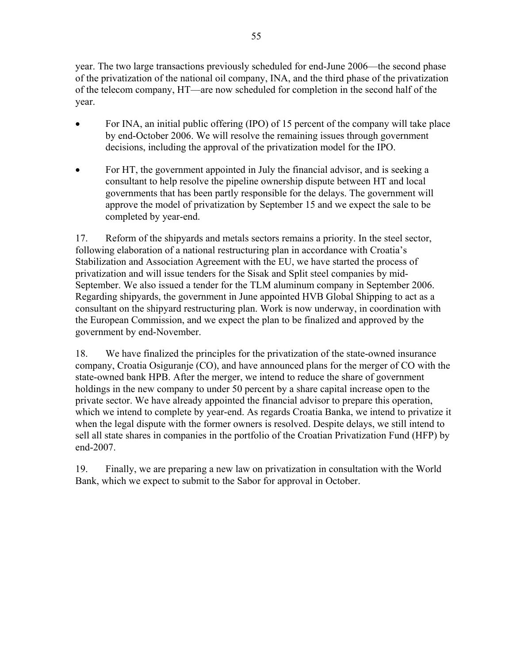year. The two large transactions previously scheduled for end-June 2006—the second phase of the privatization of the national oil company, INA, and the third phase of the privatization of the telecom company, HT—are now scheduled for completion in the second half of the year.

- For INA, an initial public offering (IPO) of 15 percent of the company will take place by end-October 2006. We will resolve the remaining issues through government decisions, including the approval of the privatization model for the IPO.
- For HT, the government appointed in July the financial advisor, and is seeking a consultant to help resolve the pipeline ownership dispute between HT and local governments that has been partly responsible for the delays. The government will approve the model of privatization by September 15 and we expect the sale to be completed by year-end.

17. Reform of the shipyards and metals sectors remains a priority. In the steel sector, following elaboration of a national restructuring plan in accordance with Croatia's Stabilization and Association Agreement with the EU, we have started the process of privatization and will issue tenders for the Sisak and Split steel companies by mid-September. We also issued a tender for the TLM aluminum company in September 2006. Regarding shipyards, the government in June appointed HVB Global Shipping to act as a consultant on the shipyard restructuring plan. Work is now underway, in coordination with the European Commission, and we expect the plan to be finalized and approved by the government by end-November.

18. We have finalized the principles for the privatization of the state-owned insurance company, Croatia Osiguranje (CO), and have announced plans for the merger of CO with the state-owned bank HPB. After the merger, we intend to reduce the share of government holdings in the new company to under 50 percent by a share capital increase open to the private sector. We have already appointed the financial advisor to prepare this operation, which we intend to complete by year-end. As regards Croatia Banka, we intend to privatize it when the legal dispute with the former owners is resolved. Despite delays, we still intend to sell all state shares in companies in the portfolio of the Croatian Privatization Fund (HFP) by end-2007.

19. Finally, we are preparing a new law on privatization in consultation with the World Bank, which we expect to submit to the Sabor for approval in October.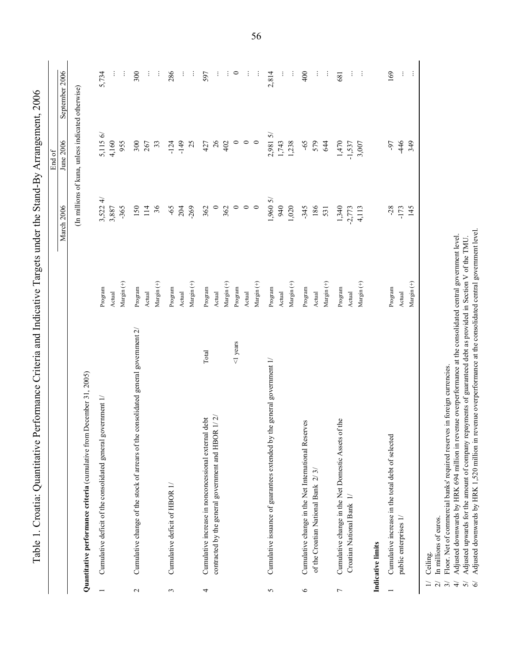| (In millions of kuna, unless indicated otherwise)<br>2,9815/<br>5,115 6/<br>4,160<br>$\circ$<br>$\circ$<br>June 2006<br>955<br>300<br>$-149$<br>25<br>26<br>$\circ$<br>1,743<br>1,238<br>$-65$<br>579<br>1,470<br>$-446$<br>349<br>267<br>33<br>$-124$<br>427<br>402<br>644<br>$-1,537$<br>3,007<br>-97<br>$\overrightarrow{4}$<br>1,9605<br>3,522<br>$\circ$<br>36<br>$-269$<br>$\circ$<br>$\circ$<br>$\circ$<br>940<br>1,020<br><b>March 2006</b><br>$-65$<br>204<br>362<br>$-345$<br>186<br>1,340<br>$-28$<br>3,887<br>$-365$<br>150<br>114<br>362<br>4,113<br>$-173$<br>145<br>531<br>$-2,773$<br>Margin $(+)$<br>$Margin (+)$<br>Margin <sup>(+)</sup><br>Margin (+)<br>$Margin (+)$<br>$Margin (+)$<br>Margin $(+)$<br>Margin $(+)$<br>Margin $(+)$<br>Program<br>Program<br>Program<br>Program<br>Program<br>Program<br>Program<br>Program<br>Program<br>Actual<br>Actual<br>Actual<br>Actual<br>Actual<br>Actual<br>Actual<br>Actual<br>Actual<br>Cumulative change of the stock of arrears of the consolidated general government 2/<br>$1$ years<br>Total<br>the general government 1/<br>Quantitative performance criteria (cumulative from December 31, 2005)<br>Cumulative deficit of the consolidated general government 1/<br>contracted by the general government and HBOR $1/2$<br>Cumulative increase in nonconcessional external debt<br>of the<br>Cumulative change in the Net International Reserves<br>Cumulative issuance of guarantees extended by<br>Cumulative change in the Net Domestic Assets<br>Cumulative increase in the total debt of selected<br>ઌ<br>of the Croatian National Bank 2/<br>Cumulative deficit of HBOR 1/<br>Croatian National Bank 1/<br>public enterprises 1/<br>Indicative limits<br>$\circ$<br>$\mathbf{c}$<br>$\epsilon$<br>4<br>S<br>$\overline{ }$ |  |  | End of |                |
|-----------------------------------------------------------------------------------------------------------------------------------------------------------------------------------------------------------------------------------------------------------------------------------------------------------------------------------------------------------------------------------------------------------------------------------------------------------------------------------------------------------------------------------------------------------------------------------------------------------------------------------------------------------------------------------------------------------------------------------------------------------------------------------------------------------------------------------------------------------------------------------------------------------------------------------------------------------------------------------------------------------------------------------------------------------------------------------------------------------------------------------------------------------------------------------------------------------------------------------------------------------------------------------------------------------------------------------------------------------------------------------------------------------------------------------------------------------------------------------------------------------------------------------------------------------------------------------------------------------------------------------------------------------------------------------------------------------------------------------------------------------------------------------------------------------|--|--|--------|----------------|
|                                                                                                                                                                                                                                                                                                                                                                                                                                                                                                                                                                                                                                                                                                                                                                                                                                                                                                                                                                                                                                                                                                                                                                                                                                                                                                                                                                                                                                                                                                                                                                                                                                                                                                                                                                                                           |  |  |        | September 2006 |
|                                                                                                                                                                                                                                                                                                                                                                                                                                                                                                                                                                                                                                                                                                                                                                                                                                                                                                                                                                                                                                                                                                                                                                                                                                                                                                                                                                                                                                                                                                                                                                                                                                                                                                                                                                                                           |  |  |        |                |
|                                                                                                                                                                                                                                                                                                                                                                                                                                                                                                                                                                                                                                                                                                                                                                                                                                                                                                                                                                                                                                                                                                                                                                                                                                                                                                                                                                                                                                                                                                                                                                                                                                                                                                                                                                                                           |  |  |        | 5,734          |
|                                                                                                                                                                                                                                                                                                                                                                                                                                                                                                                                                                                                                                                                                                                                                                                                                                                                                                                                                                                                                                                                                                                                                                                                                                                                                                                                                                                                                                                                                                                                                                                                                                                                                                                                                                                                           |  |  |        |                |
|                                                                                                                                                                                                                                                                                                                                                                                                                                                                                                                                                                                                                                                                                                                                                                                                                                                                                                                                                                                                                                                                                                                                                                                                                                                                                                                                                                                                                                                                                                                                                                                                                                                                                                                                                                                                           |  |  |        | ÷              |
|                                                                                                                                                                                                                                                                                                                                                                                                                                                                                                                                                                                                                                                                                                                                                                                                                                                                                                                                                                                                                                                                                                                                                                                                                                                                                                                                                                                                                                                                                                                                                                                                                                                                                                                                                                                                           |  |  |        | 300            |
|                                                                                                                                                                                                                                                                                                                                                                                                                                                                                                                                                                                                                                                                                                                                                                                                                                                                                                                                                                                                                                                                                                                                                                                                                                                                                                                                                                                                                                                                                                                                                                                                                                                                                                                                                                                                           |  |  |        | ŧ              |
|                                                                                                                                                                                                                                                                                                                                                                                                                                                                                                                                                                                                                                                                                                                                                                                                                                                                                                                                                                                                                                                                                                                                                                                                                                                                                                                                                                                                                                                                                                                                                                                                                                                                                                                                                                                                           |  |  |        | ÷              |
|                                                                                                                                                                                                                                                                                                                                                                                                                                                                                                                                                                                                                                                                                                                                                                                                                                                                                                                                                                                                                                                                                                                                                                                                                                                                                                                                                                                                                                                                                                                                                                                                                                                                                                                                                                                                           |  |  |        | 286            |
|                                                                                                                                                                                                                                                                                                                                                                                                                                                                                                                                                                                                                                                                                                                                                                                                                                                                                                                                                                                                                                                                                                                                                                                                                                                                                                                                                                                                                                                                                                                                                                                                                                                                                                                                                                                                           |  |  |        | ÷              |
|                                                                                                                                                                                                                                                                                                                                                                                                                                                                                                                                                                                                                                                                                                                                                                                                                                                                                                                                                                                                                                                                                                                                                                                                                                                                                                                                                                                                                                                                                                                                                                                                                                                                                                                                                                                                           |  |  |        | ÷              |
|                                                                                                                                                                                                                                                                                                                                                                                                                                                                                                                                                                                                                                                                                                                                                                                                                                                                                                                                                                                                                                                                                                                                                                                                                                                                                                                                                                                                                                                                                                                                                                                                                                                                                                                                                                                                           |  |  |        | 597            |
|                                                                                                                                                                                                                                                                                                                                                                                                                                                                                                                                                                                                                                                                                                                                                                                                                                                                                                                                                                                                                                                                                                                                                                                                                                                                                                                                                                                                                                                                                                                                                                                                                                                                                                                                                                                                           |  |  |        | ÷              |
|                                                                                                                                                                                                                                                                                                                                                                                                                                                                                                                                                                                                                                                                                                                                                                                                                                                                                                                                                                                                                                                                                                                                                                                                                                                                                                                                                                                                                                                                                                                                                                                                                                                                                                                                                                                                           |  |  |        |                |
|                                                                                                                                                                                                                                                                                                                                                                                                                                                                                                                                                                                                                                                                                                                                                                                                                                                                                                                                                                                                                                                                                                                                                                                                                                                                                                                                                                                                                                                                                                                                                                                                                                                                                                                                                                                                           |  |  |        | $\circ$        |
|                                                                                                                                                                                                                                                                                                                                                                                                                                                                                                                                                                                                                                                                                                                                                                                                                                                                                                                                                                                                                                                                                                                                                                                                                                                                                                                                                                                                                                                                                                                                                                                                                                                                                                                                                                                                           |  |  |        | ÷              |
|                                                                                                                                                                                                                                                                                                                                                                                                                                                                                                                                                                                                                                                                                                                                                                                                                                                                                                                                                                                                                                                                                                                                                                                                                                                                                                                                                                                                                                                                                                                                                                                                                                                                                                                                                                                                           |  |  |        | ÷              |
|                                                                                                                                                                                                                                                                                                                                                                                                                                                                                                                                                                                                                                                                                                                                                                                                                                                                                                                                                                                                                                                                                                                                                                                                                                                                                                                                                                                                                                                                                                                                                                                                                                                                                                                                                                                                           |  |  |        | 2,814          |
|                                                                                                                                                                                                                                                                                                                                                                                                                                                                                                                                                                                                                                                                                                                                                                                                                                                                                                                                                                                                                                                                                                                                                                                                                                                                                                                                                                                                                                                                                                                                                                                                                                                                                                                                                                                                           |  |  |        | ÷              |
|                                                                                                                                                                                                                                                                                                                                                                                                                                                                                                                                                                                                                                                                                                                                                                                                                                                                                                                                                                                                                                                                                                                                                                                                                                                                                                                                                                                                                                                                                                                                                                                                                                                                                                                                                                                                           |  |  |        | ÷              |
|                                                                                                                                                                                                                                                                                                                                                                                                                                                                                                                                                                                                                                                                                                                                                                                                                                                                                                                                                                                                                                                                                                                                                                                                                                                                                                                                                                                                                                                                                                                                                                                                                                                                                                                                                                                                           |  |  |        | 400            |
|                                                                                                                                                                                                                                                                                                                                                                                                                                                                                                                                                                                                                                                                                                                                                                                                                                                                                                                                                                                                                                                                                                                                                                                                                                                                                                                                                                                                                                                                                                                                                                                                                                                                                                                                                                                                           |  |  |        | ÷              |
|                                                                                                                                                                                                                                                                                                                                                                                                                                                                                                                                                                                                                                                                                                                                                                                                                                                                                                                                                                                                                                                                                                                                                                                                                                                                                                                                                                                                                                                                                                                                                                                                                                                                                                                                                                                                           |  |  |        | ÷              |
|                                                                                                                                                                                                                                                                                                                                                                                                                                                                                                                                                                                                                                                                                                                                                                                                                                                                                                                                                                                                                                                                                                                                                                                                                                                                                                                                                                                                                                                                                                                                                                                                                                                                                                                                                                                                           |  |  |        | 681            |
|                                                                                                                                                                                                                                                                                                                                                                                                                                                                                                                                                                                                                                                                                                                                                                                                                                                                                                                                                                                                                                                                                                                                                                                                                                                                                                                                                                                                                                                                                                                                                                                                                                                                                                                                                                                                           |  |  |        | ÷              |
|                                                                                                                                                                                                                                                                                                                                                                                                                                                                                                                                                                                                                                                                                                                                                                                                                                                                                                                                                                                                                                                                                                                                                                                                                                                                                                                                                                                                                                                                                                                                                                                                                                                                                                                                                                                                           |  |  |        | ÷              |
|                                                                                                                                                                                                                                                                                                                                                                                                                                                                                                                                                                                                                                                                                                                                                                                                                                                                                                                                                                                                                                                                                                                                                                                                                                                                                                                                                                                                                                                                                                                                                                                                                                                                                                                                                                                                           |  |  |        |                |
|                                                                                                                                                                                                                                                                                                                                                                                                                                                                                                                                                                                                                                                                                                                                                                                                                                                                                                                                                                                                                                                                                                                                                                                                                                                                                                                                                                                                                                                                                                                                                                                                                                                                                                                                                                                                           |  |  |        | 169            |
|                                                                                                                                                                                                                                                                                                                                                                                                                                                                                                                                                                                                                                                                                                                                                                                                                                                                                                                                                                                                                                                                                                                                                                                                                                                                                                                                                                                                                                                                                                                                                                                                                                                                                                                                                                                                           |  |  |        | $\vdots$       |
|                                                                                                                                                                                                                                                                                                                                                                                                                                                                                                                                                                                                                                                                                                                                                                                                                                                                                                                                                                                                                                                                                                                                                                                                                                                                                                                                                                                                                                                                                                                                                                                                                                                                                                                                                                                                           |  |  |        | $\vdots$       |

1/ Ceiling.<br>
2/ In millions of euros.<br>
3/ Floor. Net of commercial banks' required reserves in foreign currencies.<br>
4/ Adjusted downwards by HRK 694 million in revenue overperformance at the consolidated central government

<sup>1/</sup> Ceiling.

<sup>2/</sup> In millions of euros.

<sup>3/</sup> Floor. Net of commercial banks' required reserves in foreign currencies.

<sup>4/</sup> Adjusted downwards by HRK 694 million in revenue overperformance at the consolidated central government level. 5/ Adjusted upwards for the amount of company repayments of guaranteed debt as provided in Section V of the TMU.

Adjusted downwards by HRK 1,520 million in revenue overperformance at the consolidated central government level. 6/ Adjusted downwards by HRK 1,520 million in revenue overperformance at the consolidated central government level.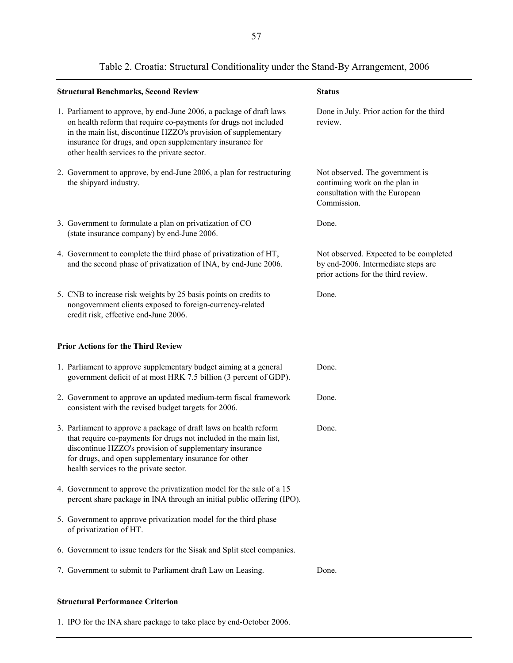| <b>Structural Benchmarks, Second Review</b>                                                                                                                                                                                                                                                                             | <b>Status</b>                                                                                                        |
|-------------------------------------------------------------------------------------------------------------------------------------------------------------------------------------------------------------------------------------------------------------------------------------------------------------------------|----------------------------------------------------------------------------------------------------------------------|
| 1. Parliament to approve, by end-June 2006, a package of draft laws<br>on health reform that require co-payments for drugs not included<br>in the main list, discontinue HZZO's provision of supplementary<br>insurance for drugs, and open supplementary insurance for<br>other health services to the private sector. | Done in July. Prior action for the third<br>review.                                                                  |
| 2. Government to approve, by end-June 2006, a plan for restructuring<br>the shipyard industry.                                                                                                                                                                                                                          | Not observed. The government is<br>continuing work on the plan in<br>consultation with the European<br>Commission.   |
| 3. Government to formulate a plan on privatization of CO<br>(state insurance company) by end-June 2006.                                                                                                                                                                                                                 | Done.                                                                                                                |
| 4. Government to complete the third phase of privatization of HT,<br>and the second phase of privatization of INA, by end-June 2006.                                                                                                                                                                                    | Not observed. Expected to be completed<br>by end-2006. Intermediate steps are<br>prior actions for the third review. |
| 5. CNB to increase risk weights by 25 basis points on credits to<br>nongovernment clients exposed to foreign-currency-related<br>credit risk, effective end-June 2006.                                                                                                                                                  | Done.                                                                                                                |
| <b>Prior Actions for the Third Review</b>                                                                                                                                                                                                                                                                               |                                                                                                                      |
| 1. Parliament to approve supplementary budget aiming at a general<br>government deficit of at most HRK 7.5 billion (3 percent of GDP).                                                                                                                                                                                  | Done.                                                                                                                |
| 2. Government to approve an updated medium-term fiscal framework<br>consistent with the revised budget targets for 2006.                                                                                                                                                                                                | Done.                                                                                                                |
| 3. Parliament to approve a package of draft laws on health reform<br>that require co-payments for drugs not included in the main list,<br>discontinue HZZO's provision of supplementary insurance<br>for drugs, and open supplementary insurance for other<br>health services to the private sector.                    | Done.                                                                                                                |
| 4. Government to approve the privatization model for the sale of a 15<br>percent share package in INA through an initial public offering (IPO).                                                                                                                                                                         |                                                                                                                      |
| 5. Government to approve privatization model for the third phase<br>of privatization of HT.                                                                                                                                                                                                                             |                                                                                                                      |
| 6. Government to issue tenders for the Sisak and Split steel companies.                                                                                                                                                                                                                                                 |                                                                                                                      |
| 7. Government to submit to Parliament draft Law on Leasing.                                                                                                                                                                                                                                                             | Done.                                                                                                                |

# Table 2. Croatia: Structural Conditionality under the Stand-By Arrangement, 2006

#### **Structural Performance Criterion**

1. IPO for the INA share package to take place by end-October 2006.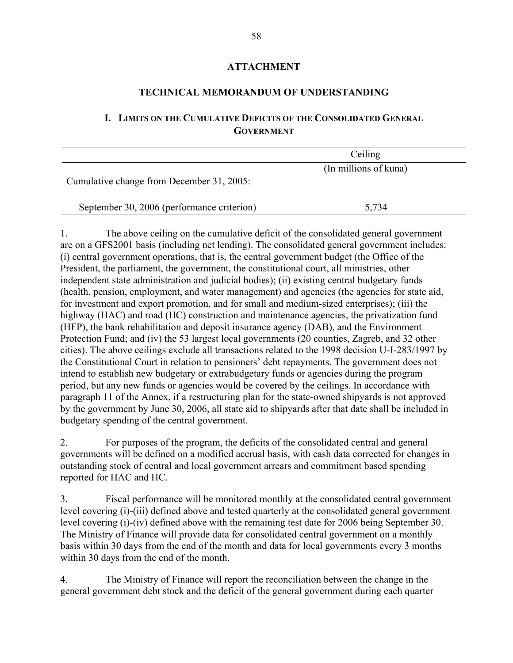### **ATTACHMENT**

### **TECHNICAL MEMORANDUM OF UNDERSTANDING**

# **I. LIMITS ON THE CUMULATIVE DEFICITS OF THE CONSOLIDATED GENERAL GOVERNMENT**

|                                            | Ceiling               |  |
|--------------------------------------------|-----------------------|--|
| Cumulative change from December 31, 2005:  | (In millions of kuna) |  |
| September 30, 2006 (performance criterion) | 5,734                 |  |

1. The above ceiling on the cumulative deficit of the consolidated general government are on a GFS2001 basis (including net lending). The consolidated general government includes: (i) central government operations, that is, the central government budget (the Office of the President, the parliament, the government, the constitutional court, all ministries, other independent state administration and judicial bodies); (ii) existing central budgetary funds (health, pension, employment, and water management) and agencies (the agencies for state aid, for investment and export promotion, and for small and medium-sized enterprises); (iii) the highway (HAC) and road (HC) construction and maintenance agencies, the privatization fund (HFP), the bank rehabilitation and deposit insurance agency (DAB), and the Environment Protection Fund; and (iv) the 53 largest local governments (20 counties, Zagreb, and 32 other cities). The above ceilings exclude all transactions related to the 1998 decision U-I-283/1997 by the Constitutional Court in relation to pensioners' debt repayments. The government does not intend to establish new budgetary or extrabudgetary funds or agencies during the program period, but any new funds or agencies would be covered by the ceilings. In accordance with paragraph 11 of the Annex, if a restructuring plan for the state-owned shipyards is not approved by the government by June 30, 2006, all state aid to shipyards after that date shall be included in budgetary spending of the central government.

2. For purposes of the program, the deficits of the consolidated central and general governments will be defined on a modified accrual basis, with cash data corrected for changes in outstanding stock of central and local government arrears and commitment based spending reported for HAC and HC.

3. Fiscal performance will be monitored monthly at the consolidated central government level covering (i)-(iii) defined above and tested quarterly at the consolidated general government level covering (i)-(iv) defined above with the remaining test date for 2006 being September 30. The Ministry of Finance will provide data for consolidated central government on a monthly basis within 30 days from the end of the month and data for local governments every 3 months within 30 days from the end of the month.

4. The Ministry of Finance will report the reconciliation between the change in the general government debt stock and the deficit of the general government during each quarter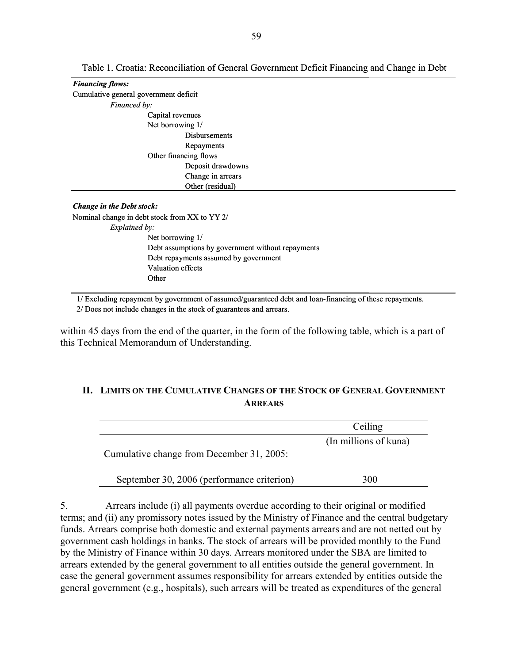| <b>Financing flows:</b>                                                                                 |
|---------------------------------------------------------------------------------------------------------|
| Cumulative general government deficit                                                                   |
| Financed by:                                                                                            |
| Capital revenues                                                                                        |
| Net borrowing 1/                                                                                        |
| <b>Disbursements</b>                                                                                    |
| Repayments                                                                                              |
| Other financing flows                                                                                   |
| Deposit drawdowns                                                                                       |
| Change in arrears                                                                                       |
| Other (residual)                                                                                        |
|                                                                                                         |
| <b>Change in the Debt stock:</b>                                                                        |
| Nominal change in debt stock from XX to YY 2/                                                           |
| Explained by:                                                                                           |
| Net borrowing 1/                                                                                        |
| Debt assumptions by government without repayments                                                       |
| Debt repayments assumed by government                                                                   |
| <b>Valuation effects</b>                                                                                |
| Other                                                                                                   |
|                                                                                                         |
| 1/ Excluding repayment by government of assumed/guaranteed debt and loan-financing of these repayments. |

2/ Does not include changes in the stock of guarantees and arrears.

within 45 days from the end of the quarter, in the form of the following table, which is a part of this Technical Memorandum of Understanding.

### **II. LIMITS ON THE CUMULATIVE CHANGES OF THE STOCK OF GENERAL GOVERNMENT ARREARS**

|                                            | Ceiling               |
|--------------------------------------------|-----------------------|
| Cumulative change from December 31, 2005:  | (In millions of kuna) |
| September 30, 2006 (performance criterion) | 300                   |

5. Arrears include (i) all payments overdue according to their original or modified terms; and (ii) any promissory notes issued by the Ministry of Finance and the central budgetary funds. Arrears comprise both domestic and external payments arrears and are not netted out by government cash holdings in banks. The stock of arrears will be provided monthly to the Fund by the Ministry of Finance within 30 days. Arrears monitored under the SBA are limited to arrears extended by the general government to all entities outside the general government. In case the general government assumes responsibility for arrears extended by entities outside the general government (e.g., hospitals), such arrears will be treated as expenditures of the general

Table 1. Croatia: Reconciliation of General Government Deficit Financing and Change in Debt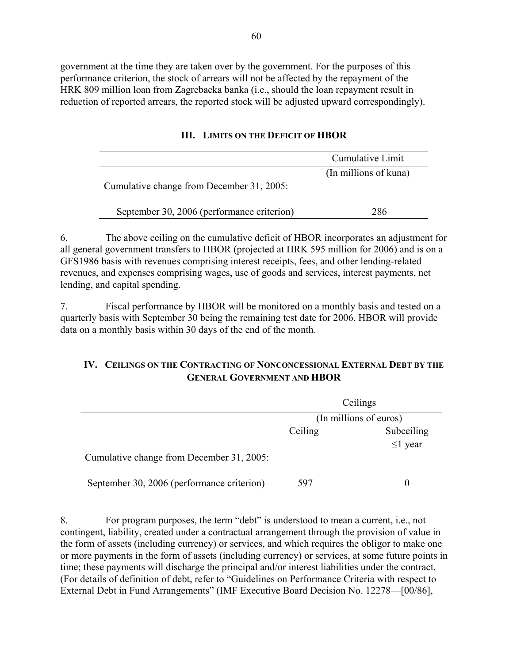government at the time they are taken over by the government. For the purposes of this performance criterion, the stock of arrears will not be affected by the repayment of the HRK 809 million loan from Zagrebacka banka (i.e., should the loan repayment result in reduction of reported arrears, the reported stock will be adjusted upward correspondingly).

|                                            | Cumulative Limit      |
|--------------------------------------------|-----------------------|
| Cumulative change from December 31, 2005:  | (In millions of kuna) |
| September 30, 2006 (performance criterion) | 286                   |

### **III. LIMITS ON THE DEFICIT OF HBOR**

6. The above ceiling on the cumulative deficit of HBOR incorporates an adjustment for all general government transfers to HBOR (projected at HRK 595 million for 2006) and is on a GFS1986 basis with revenues comprising interest receipts, fees, and other lending-related revenues, and expenses comprising wages, use of goods and services, interest payments, net lending, and capital spending.

7. Fiscal performance by HBOR will be monitored on a monthly basis and tested on a quarterly basis with September 30 being the remaining test date for 2006. HBOR will provide data on a monthly basis within 30 days of the end of the month.

## **IV. CEILINGS ON THE CONTRACTING OF NONCONCESSIONAL EXTERNAL DEBT BY THE GENERAL GOVERNMENT AND HBOR**

|                                            | Ceilings               |               |  |
|--------------------------------------------|------------------------|---------------|--|
|                                            | (In millions of euros) |               |  |
|                                            | Ceiling                | Subceiling    |  |
|                                            |                        | $\leq$ 1 year |  |
| Cumulative change from December 31, 2005:  |                        |               |  |
| September 30, 2006 (performance criterion) | 597                    | 0             |  |

8. For program purposes, the term "debt" is understood to mean a current, i.e., not contingent, liability, created under a contractual arrangement through the provision of value in the form of assets (including currency) or services, and which requires the obligor to make one or more payments in the form of assets (including currency) or services, at some future points in time; these payments will discharge the principal and/or interest liabilities under the contract. (For details of definition of debt, refer to "Guidelines on Performance Criteria with respect to External Debt in Fund Arrangements" (IMF Executive Board Decision No. 12278—[00/86],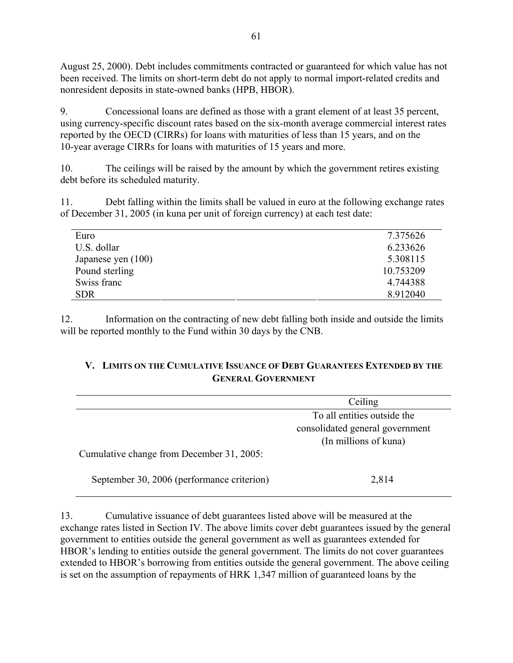August 25, 2000). Debt includes commitments contracted or guaranteed for which value has not been received. The limits on short-term debt do not apply to normal import-related credits and nonresident deposits in state-owned banks (HPB, HBOR).

9. Concessional loans are defined as those with a grant element of at least 35 percent, using currency-specific discount rates based on the six-month average commercial interest rates reported by the OECD (CIRRs) for loans with maturities of less than 15 years, and on the 10-year average CIRRs for loans with maturities of 15 years and more.

10. The ceilings will be raised by the amount by which the government retires existing debt before its scheduled maturity.

11. Debt falling within the limits shall be valued in euro at the following exchange rates of December 31, 2005 (in kuna per unit of foreign currency) at each test date:

| Euro               | 7.375626  |
|--------------------|-----------|
| U.S. dollar        | 6.233626  |
| Japanese yen (100) | 5.308115  |
| Pound sterling     | 10.753209 |
| Swiss franc        | 4.744388  |
| <b>SDR</b>         | 8.912040  |

12. Information on the contracting of new debt falling both inside and outside the limits will be reported monthly to the Fund within 30 days by the CNB.

# **V. LIMITS ON THE CUMULATIVE ISSUANCE OF DEBT GUARANTEES EXTENDED BY THE GENERAL GOVERNMENT**

|                                            | Ceiling                         |
|--------------------------------------------|---------------------------------|
|                                            | To all entities outside the     |
|                                            | consolidated general government |
|                                            | (In millions of kuna)           |
| Cumulative change from December 31, 2005:  |                                 |
| September 30, 2006 (performance criterion) | 2,814                           |

13. Cumulative issuance of debt guarantees listed above will be measured at the exchange rates listed in Section IV. The above limits cover debt guarantees issued by the general government to entities outside the general government as well as guarantees extended for HBOR's lending to entities outside the general government. The limits do not cover guarantees extended to HBOR's borrowing from entities outside the general government. The above ceiling is set on the assumption of repayments of HRK 1,347 million of guaranteed loans by the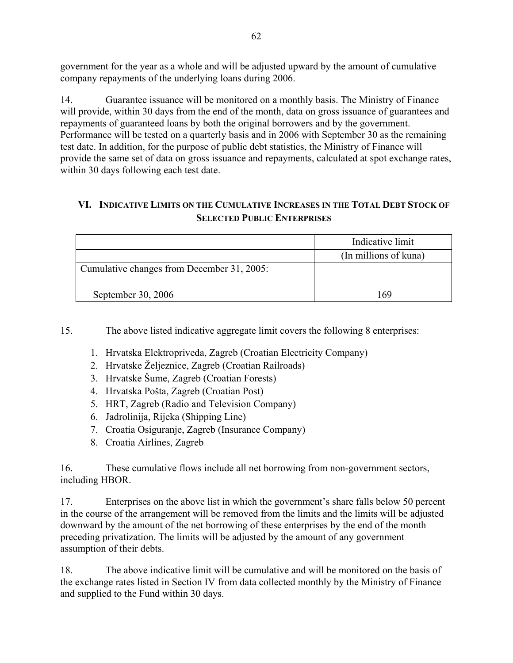government for the year as a whole and will be adjusted upward by the amount of cumulative company repayments of the underlying loans during 2006.

14. Guarantee issuance will be monitored on a monthly basis. The Ministry of Finance will provide, within 30 days from the end of the month, data on gross issuance of guarantees and repayments of guaranteed loans by both the original borrowers and by the government. Performance will be tested on a quarterly basis and in 2006 with September 30 as the remaining test date. In addition, for the purpose of public debt statistics, the Ministry of Finance will provide the same set of data on gross issuance and repayments, calculated at spot exchange rates, within 30 days following each test date.

# **VI. INDICATIVE LIMITS ON THE CUMULATIVE INCREASES IN THE TOTAL DEBT STOCK OF SELECTED PUBLIC ENTERPRISES**

|                                            | Indicative limit      |
|--------------------------------------------|-----------------------|
|                                            | (In millions of kuna) |
| Cumulative changes from December 31, 2005: |                       |
| September 30, 2006                         | 169                   |

15. The above listed indicative aggregate limit covers the following 8 enterprises:

- 1. Hrvatska Elektropriveda, Zagreb (Croatian Electricity Company)
- 2. Hrvatske Željeznice, Zagreb (Croatian Railroads)
- 3. Hrvatske Šume, Zagreb (Croatian Forests)
- 4. Hrvatska Pošta, Zagreb (Croatian Post)
- 5. HRT, Zagreb (Radio and Television Company)
- 6. Jadrolinija, Rijeka (Shipping Line)
- 7. Croatia Osiguranje, Zagreb (Insurance Company)
- 8. Croatia Airlines, Zagreb

16. These cumulative flows include all net borrowing from non-government sectors, including HBOR.

17. Enterprises on the above list in which the government's share falls below 50 percent in the course of the arrangement will be removed from the limits and the limits will be adjusted downward by the amount of the net borrowing of these enterprises by the end of the month preceding privatization. The limits will be adjusted by the amount of any government assumption of their debts.

18. The above indicative limit will be cumulative and will be monitored on the basis of the exchange rates listed in Section IV from data collected monthly by the Ministry of Finance and supplied to the Fund within 30 days.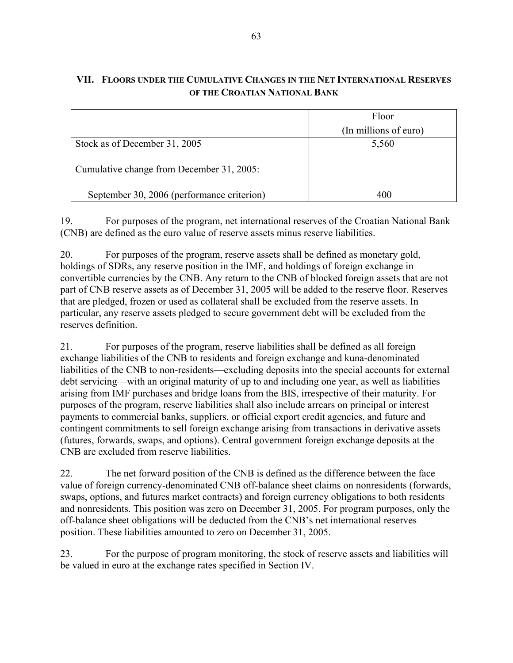# **VII. FLOORS UNDER THE CUMULATIVE CHANGES IN THE NET INTERNATIONAL RESERVES OF THE CROATIAN NATIONAL BANK**

|                                            | Floor                 |
|--------------------------------------------|-----------------------|
|                                            | (In millions of euro) |
| Stock as of December 31, 2005              | 5,560                 |
| Cumulative change from December 31, 2005:  |                       |
| September 30, 2006 (performance criterion) | 400                   |

19. For purposes of the program, net international reserves of the Croatian National Bank (CNB) are defined as the euro value of reserve assets minus reserve liabilities.

20. For purposes of the program, reserve assets shall be defined as monetary gold, holdings of SDRs, any reserve position in the IMF, and holdings of foreign exchange in convertible currencies by the CNB. Any return to the CNB of blocked foreign assets that are not part of CNB reserve assets as of December 31, 2005 will be added to the reserve floor. Reserves that are pledged, frozen or used as collateral shall be excluded from the reserve assets. In particular, any reserve assets pledged to secure government debt will be excluded from the reserves definition.

21. For purposes of the program, reserve liabilities shall be defined as all foreign exchange liabilities of the CNB to residents and foreign exchange and kuna-denominated liabilities of the CNB to non-residents—excluding deposits into the special accounts for external debt servicing—with an original maturity of up to and including one year, as well as liabilities arising from IMF purchases and bridge loans from the BIS, irrespective of their maturity. For purposes of the program, reserve liabilities shall also include arrears on principal or interest payments to commercial banks, suppliers, or official export credit agencies, and future and contingent commitments to sell foreign exchange arising from transactions in derivative assets (futures, forwards, swaps, and options). Central government foreign exchange deposits at the CNB are excluded from reserve liabilities.

22. The net forward position of the CNB is defined as the difference between the face value of foreign currency-denominated CNB off-balance sheet claims on nonresidents (forwards, swaps, options, and futures market contracts) and foreign currency obligations to both residents and nonresidents. This position was zero on December 31, 2005. For program purposes, only the off-balance sheet obligations will be deducted from the CNB's net international reserves position. These liabilities amounted to zero on December 31, 2005.

23. For the purpose of program monitoring, the stock of reserve assets and liabilities will be valued in euro at the exchange rates specified in Section IV.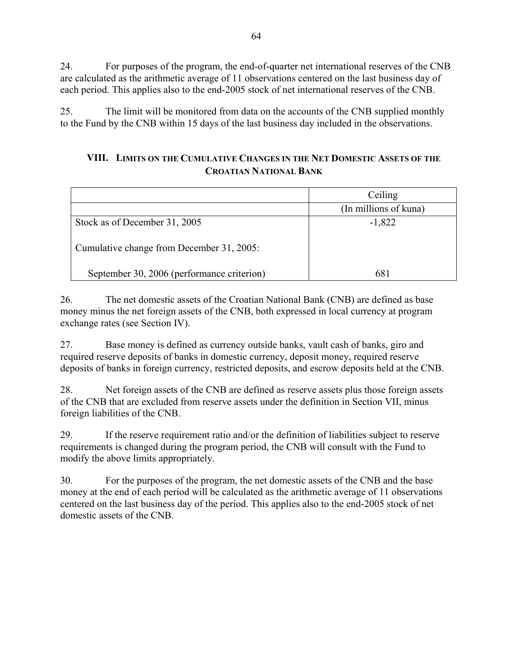24. For purposes of the program, the end-of-quarter net international reserves of the CNB are calculated as the arithmetic average of 11 observations centered on the last business day of each period. This applies also to the end-2005 stock of net international reserves of the CNB.

25. The limit will be monitored from data on the accounts of the CNB supplied monthly to the Fund by the CNB within 15 days of the last business day included in the observations.

# **VIII. LIMITS ON THE CUMULATIVE CHANGES IN THE NET DOMESTIC ASSETS OF THE CROATIAN NATIONAL BANK**

|                                            | Ceiling               |
|--------------------------------------------|-----------------------|
|                                            | (In millions of kuna) |
| Stock as of December 31, 2005              | $-1,822$              |
| Cumulative change from December 31, 2005:  |                       |
| September 30, 2006 (performance criterion) | 681                   |

26. The net domestic assets of the Croatian National Bank (CNB) are defined as base money minus the net foreign assets of the CNB, both expressed in local currency at program exchange rates (see Section IV).

27. Base money is defined as currency outside banks, vault cash of banks, giro and required reserve deposits of banks in domestic currency, deposit money, required reserve deposits of banks in foreign currency, restricted deposits, and escrow deposits held at the CNB.

28. Net foreign assets of the CNB are defined as reserve assets plus those foreign assets of the CNB that are excluded from reserve assets under the definition in Section VII, minus foreign liabilities of the CNB.

29. If the reserve requirement ratio and/or the definition of liabilities subject to reserve requirements is changed during the program period, the CNB will consult with the Fund to modify the above limits appropriately.

30. For the purposes of the program, the net domestic assets of the CNB and the base money at the end of each period will be calculated as the arithmetic average of 11 observations centered on the last business day of the period. This applies also to the end-2005 stock of net domestic assets of the CNB.